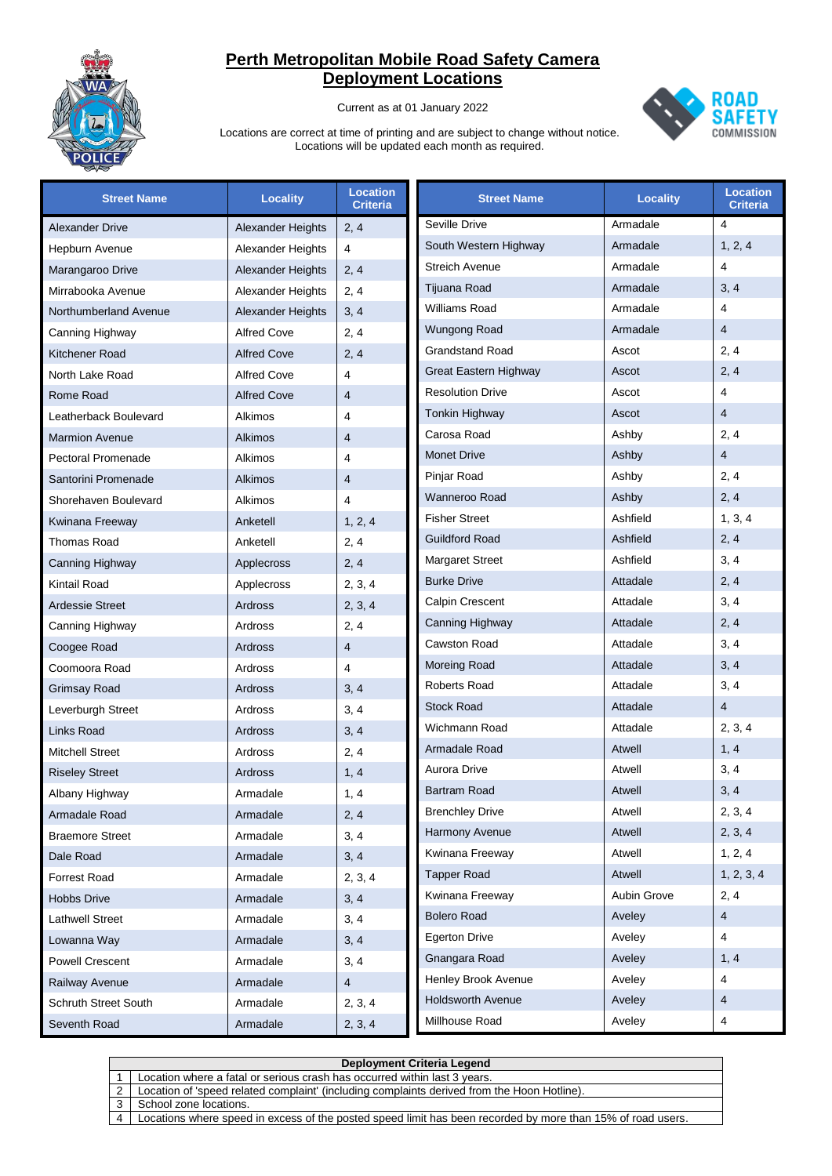

Current as at 01 January 2022



| <b>Street Name</b>          | <b>Locality</b>          | <b>Location</b><br>Criteria | <b>Street Name</b>       | <b>Locality</b> | <b>Location</b><br><b>Criteria</b> |
|-----------------------------|--------------------------|-----------------------------|--------------------------|-----------------|------------------------------------|
| <b>Alexander Drive</b>      | Alexander Heights        | 2, 4                        | Seville Drive            | Armadale        | 4                                  |
| Hepburn Avenue              | <b>Alexander Heights</b> | 4                           | South Western Highway    | Armadale        | 1, 2, 4                            |
| Marangaroo Drive            | Alexander Heights        | 2, 4                        | <b>Streich Avenue</b>    | Armadale        | $\overline{4}$                     |
| Mirrabooka Avenue           | Alexander Heights        | 2, 4                        | Tijuana Road             | Armadale        | 3, 4                               |
| Northumberland Avenue       | Alexander Heights        | 3, 4                        | <b>Williams Road</b>     | Armadale        | $\overline{4}$                     |
| Canning Highway             | <b>Alfred Cove</b>       | 2, 4                        | Wungong Road             | Armadale        | $\overline{4}$                     |
| Kitchener Road              | <b>Alfred Cove</b>       | 2, 4                        | <b>Grandstand Road</b>   | Ascot           | 2, 4                               |
| North Lake Road             | <b>Alfred Cove</b>       | 4                           | Great Eastern Highway    | Ascot           | 2, 4                               |
| Rome Road                   | <b>Alfred Cove</b>       | 4                           | <b>Resolution Drive</b>  | Ascot           | $\overline{4}$                     |
| Leatherback Boulevard       | Alkimos                  | 4                           | <b>Tonkin Highway</b>    | Ascot           | $\overline{4}$                     |
| <b>Marmion Avenue</b>       | <b>Alkimos</b>           | 4                           | Carosa Road              | Ashby           | 2, 4                               |
| <b>Pectoral Promenade</b>   | Alkimos                  | 4                           | <b>Monet Drive</b>       | Ashby           | $\overline{4}$                     |
| Santorini Promenade         | Alkimos                  | 4                           | Pinjar Road              | Ashby           | 2, 4                               |
| Shorehaven Boulevard        | Alkimos                  | 4                           | Wanneroo Road            | Ashby           | 2, 4                               |
| Kwinana Freeway             | Anketell                 | 1, 2, 4                     | <b>Fisher Street</b>     | Ashfield        | 1, 3, 4                            |
| Thomas Road                 | Anketell                 | 2, 4                        | <b>Guildford Road</b>    | Ashfield        | 2, 4                               |
| Canning Highway             | Applecross               | 2, 4                        | <b>Margaret Street</b>   | Ashfield        | 3, 4                               |
| Kintail Road                | Applecross               | 2, 3, 4                     | <b>Burke Drive</b>       | Attadale        | 2, 4                               |
| <b>Ardessie Street</b>      | Ardross                  | 2, 3, 4                     | <b>Calpin Crescent</b>   | Attadale        | 3, 4                               |
| Canning Highway             | Ardross                  | 2, 4                        | Canning Highway          | Attadale        | 2, 4                               |
| Coogee Road                 | Ardross                  | $\overline{4}$              | <b>Cawston Road</b>      | Attadale        | 3, 4                               |
| Coomoora Road               | Ardross                  | 4                           | Moreing Road             | Attadale        | 3, 4                               |
| Grimsay Road                | Ardross                  | 3, 4                        | <b>Roberts Road</b>      | Attadale        | 3, 4                               |
| Leverburgh Street           | Ardross                  | 3, 4                        | <b>Stock Road</b>        | Attadale        | $\overline{4}$                     |
| Links Road                  | Ardross                  | 3, 4                        | Wichmann Road            | Attadale        | 2, 3, 4                            |
| <b>Mitchell Street</b>      | Ardross                  | 2, 4                        | Armadale Road            | Atwell          | 1, 4                               |
| <b>Riseley Street</b>       | Ardross                  | 1, 4                        | <b>Aurora Drive</b>      | Atwell          | 3, 4                               |
| Albany Highway              | Armadale                 | 1, 4                        | <b>Bartram Road</b>      | <b>Atwell</b>   | 3, 4                               |
| Armadale Road               | Armadale                 | 2, 4                        | <b>Brenchley Drive</b>   | Atwell          | 2, 3, 4                            |
| <b>Braemore Street</b>      | Armadale                 | 3, 4                        | Harmony Avenue           | Atwell          | 2, 3, 4                            |
| Dale Road                   | Armadale                 | 3, 4                        | Kwinana Freeway          | Atwell          | 1, 2, 4                            |
| Forrest Road                | Armadale                 | 2, 3, 4                     | <b>Tapper Road</b>       | Atwell          | 1, 2, 3, 4                         |
| <b>Hobbs Drive</b>          | Armadale                 | 3, 4                        | Kwinana Freeway          | Aubin Grove     | 2, 4                               |
| <b>Lathwell Street</b>      | Armadale                 | 3, 4                        | <b>Bolero Road</b>       | Aveley          | $\overline{4}$                     |
| Lowanna Way                 | Armadale                 | 3, 4                        | <b>Egerton Drive</b>     | Aveley          | $\overline{4}$                     |
| <b>Powell Crescent</b>      | Armadale                 | 3, 4                        | Gnangara Road            | Aveley          | 1, 4                               |
| Railway Avenue              | Armadale                 | 4                           | Henley Brook Avenue      | Aveley          | 4                                  |
| <b>Schruth Street South</b> | Armadale                 | 2, 3, 4                     | <b>Holdsworth Avenue</b> | Aveley          | 4                                  |
| Seventh Road                | Armadale                 | 2, 3, 4                     | Millhouse Road           | Aveley          | 4                                  |

|   | Deployment Criteria Legend                                                                                  |  |  |  |
|---|-------------------------------------------------------------------------------------------------------------|--|--|--|
|   | Location where a fatal or serious crash has occurred within last 3 years.                                   |  |  |  |
|   | Location of 'speed related complaint' (including complaints derived from the Hoon Hotline).                 |  |  |  |
|   | School zone locations.                                                                                      |  |  |  |
| 4 | Locations where speed in excess of the posted speed limit has been recorded by more than 15% of road users. |  |  |  |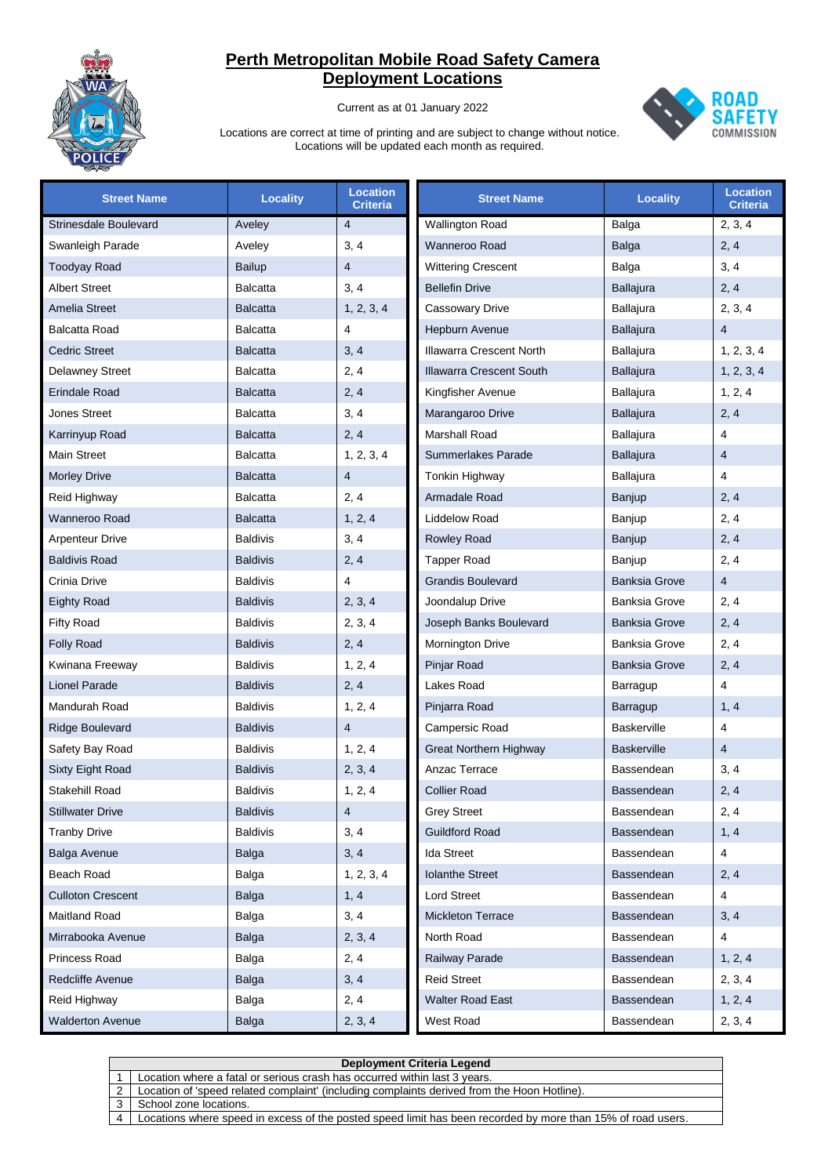

Current as at 01 January 2022



| <b>Street Name</b>       | <b>Locality</b> | <b>Location</b><br><b>Criteria</b> | <b>Street Name</b>            | <b>Locality</b>      | <b>Location</b><br><b>Criteria</b> |
|--------------------------|-----------------|------------------------------------|-------------------------------|----------------------|------------------------------------|
| Strinesdale Boulevard    | Aveley          | $\overline{4}$                     | <b>Wallington Road</b>        | Balga                | 2, 3, 4                            |
| Swanleigh Parade         | Aveley          | 3, 4                               | Wanneroo Road                 | Balga                | 2, 4                               |
| <b>Toodyay Road</b>      | Bailup          | $\overline{4}$                     | <b>Wittering Crescent</b>     | Balga                | 3, 4                               |
| <b>Albert Street</b>     | <b>Balcatta</b> | 3, 4                               | <b>Bellefin Drive</b>         | <b>Ballajura</b>     | 2, 4                               |
| Amelia Street            | <b>Balcatta</b> | 1, 2, 3, 4                         | <b>Cassowary Drive</b>        | Ballajura            | 2, 3, 4                            |
| <b>Balcatta Road</b>     | <b>Balcatta</b> | 4                                  | <b>Hepburn Avenue</b>         | <b>Ballajura</b>     | $\overline{4}$                     |
| <b>Cedric Street</b>     | <b>Balcatta</b> | 3, 4                               | Illawarra Crescent North      | Ballajura            | 1, 2, 3, 4                         |
| <b>Delawney Street</b>   | <b>Balcatta</b> | 2, 4                               | Illawarra Crescent South      | <b>Ballajura</b>     | 1, 2, 3, 4                         |
| <b>Erindale Road</b>     | <b>Balcatta</b> | 2, 4                               | Kingfisher Avenue             | Ballajura            | 1, 2, 4                            |
| Jones Street             | <b>Balcatta</b> | 3, 4                               | Marangaroo Drive              | <b>Ballajura</b>     | 2, 4                               |
| Karrinyup Road           | <b>Balcatta</b> | 2, 4                               | Marshall Road                 | Ballajura            | 4                                  |
| <b>Main Street</b>       | <b>Balcatta</b> | 1, 2, 3, 4                         | Summerlakes Parade            | <b>Ballajura</b>     | $\overline{4}$                     |
| <b>Morley Drive</b>      | <b>Balcatta</b> | $\overline{4}$                     | Tonkin Highway                | Ballajura            | 4                                  |
| Reid Highway             | <b>Balcatta</b> | 2, 4                               | Armadale Road                 | Banjup               | 2, 4                               |
| Wanneroo Road            | <b>Balcatta</b> | 1, 2, 4                            | Liddelow Road                 | Banjup               | 2, 4                               |
| <b>Arpenteur Drive</b>   | <b>Baldivis</b> | 3, 4                               | <b>Rowley Road</b>            | Banjup               | 2, 4                               |
| <b>Baldivis Road</b>     | <b>Baldivis</b> | 2, 4                               | <b>Tapper Road</b>            | Banjup               | 2, 4                               |
| Crinia Drive             | <b>Baldivis</b> | 4                                  | <b>Grandis Boulevard</b>      | <b>Banksia Grove</b> | $\overline{4}$                     |
| Eighty Road              | <b>Baldivis</b> | 2, 3, 4                            | Joondalup Drive               | <b>Banksia Grove</b> | 2, 4                               |
| <b>Fifty Road</b>        | <b>Baldivis</b> | 2, 3, 4                            | Joseph Banks Boulevard        | <b>Banksia Grove</b> | 2, 4                               |
| <b>Folly Road</b>        | <b>Baldivis</b> | 2, 4                               | Mornington Drive              | <b>Banksia Grove</b> | 2, 4                               |
| Kwinana Freeway          | <b>Baldivis</b> | 1, 2, 4                            | Pinjar Road                   | <b>Banksia Grove</b> | 2, 4                               |
| <b>Lionel Parade</b>     | <b>Baldivis</b> | 2, 4                               | Lakes Road                    | Barragup             | 4                                  |
| Mandurah Road            | <b>Baldivis</b> | 1, 2, 4                            | Pinjarra Road                 | Barragup             | 1, 4                               |
| <b>Ridge Boulevard</b>   | <b>Baldivis</b> | $\overline{4}$                     | Campersic Road                | <b>Baskerville</b>   | 4                                  |
| Safety Bay Road          | <b>Baldivis</b> | 1, 2, 4                            | <b>Great Northern Highway</b> | <b>Baskerville</b>   | $\overline{4}$                     |
| Sixty Eight Road         | <b>Baldivis</b> | 2, 3, 4                            | Anzac Terrace                 | Bassendean           | 3, 4                               |
| Stakehill Road           | <b>Baldivis</b> | 1, 2, 4                            | <b>Collier Road</b>           | Bassendean           | 2, 4                               |
| <b>Stillwater Drive</b>  | <b>Baldivis</b> | 4                                  | <b>Grey Street</b>            | Bassendean           | 2, 4                               |
| <b>Tranby Drive</b>      | <b>Baldivis</b> | 3, 4                               | <b>Guildford Road</b>         | Bassendean           | 1, 4                               |
| <b>Balga Avenue</b>      | Balga           | 3, 4                               | <b>Ida Street</b>             | Bassendean           | 4                                  |
| Beach Road               | Balga           | 1, 2, 3, 4                         | <b>Iolanthe Street</b>        | Bassendean           | 2, 4                               |
| <b>Culloton Crescent</b> | Balga           | 1, 4                               | Lord Street                   | Bassendean           | 4                                  |
| Maitland Road            | Balga           | 3, 4                               | <b>Mickleton Terrace</b>      | Bassendean           | 3, 4                               |
| Mirrabooka Avenue        | Balga           | 2, 3, 4                            | North Road                    | Bassendean           | 4                                  |
| Princess Road            | Balga           | 2, 4                               | Railway Parade                | Bassendean           | 1, 2, 4                            |
| Redcliffe Avenue         | Balga           | 3, 4                               | <b>Reid Street</b>            | Bassendean           | 2, 3, 4                            |
| Reid Highway             | Balga           | 2, 4                               | Walter Road East              | Bassendean           | 1, 2, 4                            |
| <b>Walderton Avenue</b>  | Balga           | 2, 3, 4                            | West Road                     | Bassendean           | 2, 3, 4                            |

|   | <b>Deployment Criteria Legend</b>                                                                           |  |  |  |
|---|-------------------------------------------------------------------------------------------------------------|--|--|--|
|   | Location where a fatal or serious crash has occurred within last 3 years.                                   |  |  |  |
|   | Location of 'speed related complaint' (including complaints derived from the Hoon Hotline).                 |  |  |  |
|   | School zone locations.                                                                                      |  |  |  |
| Δ | Locations where speed in excess of the posted speed limit has been recorded by more than 15% of road users. |  |  |  |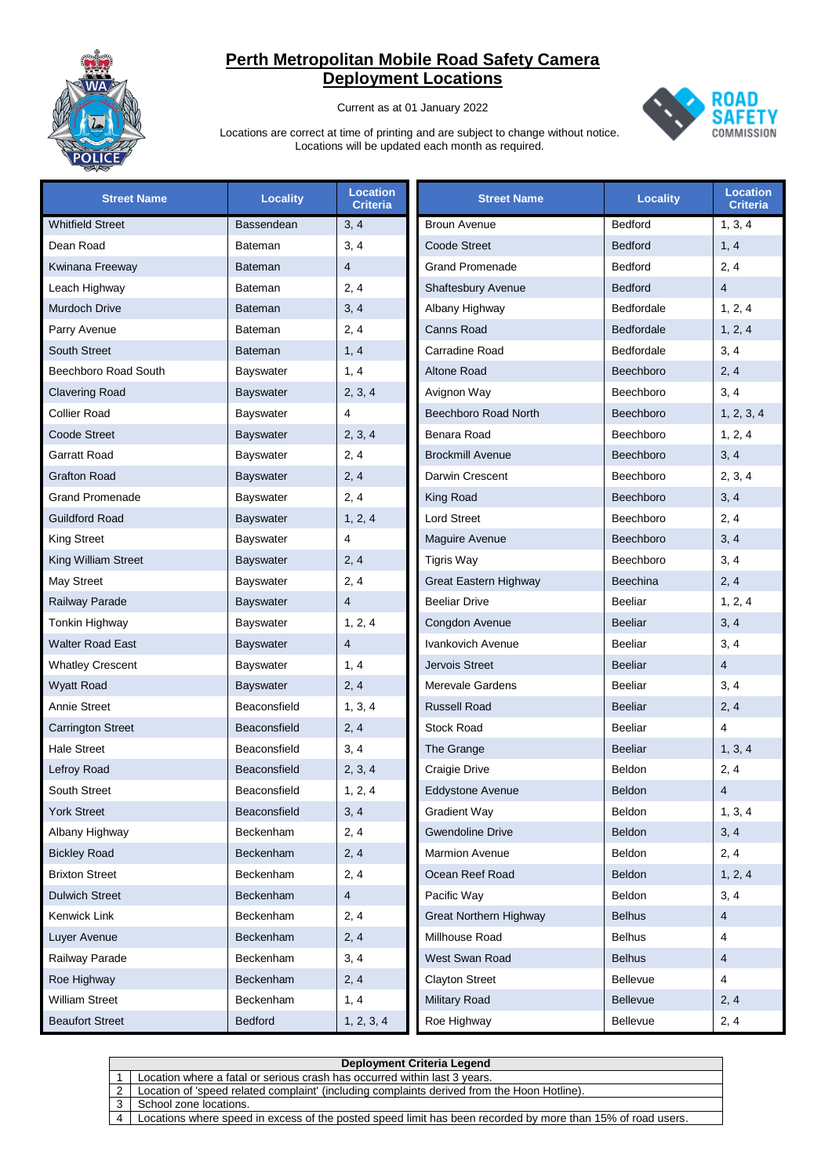

Current as at 01 January 2022



| <b>Street Name</b>       | <b>Locality</b>  | <b>Location</b><br>Criteria | <b>Street Name</b>            | <b>Locality</b>   | <b>Location</b><br>Criteria |
|--------------------------|------------------|-----------------------------|-------------------------------|-------------------|-----------------------------|
| <b>Whitfield Street</b>  | Bassendean       | 3, 4                        | <b>Broun Avenue</b>           | Bedford           | 1, 3, 4                     |
| Dean Road                | <b>Bateman</b>   | 3, 4                        | <b>Coode Street</b>           | <b>Bedford</b>    | 1, 4                        |
| Kwinana Freeway          | <b>Bateman</b>   | 4                           | <b>Grand Promenade</b>        | Bedford           | 2, 4                        |
| Leach Highway            | <b>Bateman</b>   | 2, 4                        | Shaftesbury Avenue            | <b>Bedford</b>    | $\overline{4}$              |
| Murdoch Drive            | <b>Bateman</b>   | 3, 4                        | Albany Highway                | Bedfordale        | 1, 2, 4                     |
| Parry Avenue             | <b>Bateman</b>   | 2, 4                        | Canns Road                    | <b>Bedfordale</b> | 1, 2, 4                     |
| <b>South Street</b>      | <b>Bateman</b>   | 1, 4                        | Carradine Road                | Bedfordale        | 3, 4                        |
| Beechboro Road South     | <b>Bayswater</b> | 1, 4                        | <b>Altone Road</b>            | Beechboro         | 2, 4                        |
| <b>Clavering Road</b>    | <b>Bayswater</b> | 2, 3, 4                     | Avignon Way                   | Beechboro         | 3, 4                        |
| <b>Collier Road</b>      | <b>Bayswater</b> | 4                           | Beechboro Road North          | Beechboro         | 1, 2, 3, 4                  |
| <b>Coode Street</b>      | <b>Bayswater</b> | 2, 3, 4                     | Benara Road                   | Beechboro         | 1, 2, 4                     |
| Garratt Road             | <b>Bayswater</b> | 2, 4                        | <b>Brockmill Avenue</b>       | Beechboro         | 3, 4                        |
| <b>Grafton Road</b>      | <b>Bayswater</b> | 2, 4                        | Darwin Crescent               | Beechboro         | 2, 3, 4                     |
| <b>Grand Promenade</b>   | <b>Bayswater</b> | 2, 4                        | King Road                     | Beechboro         | 3, 4                        |
| <b>Guildford Road</b>    | <b>Bayswater</b> | 1, 2, 4                     | Lord Street                   | Beechboro         | 2, 4                        |
| <b>King Street</b>       | <b>Bayswater</b> | 4                           | Maguire Avenue                | Beechboro         | 3, 4                        |
| King William Street      | <b>Bayswater</b> | 2, 4                        | <b>Tigris Way</b>             | Beechboro         | 3, 4                        |
| May Street               | <b>Bayswater</b> | 2, 4                        | Great Eastern Highway         | <b>Beechina</b>   | 2, 4                        |
| Railway Parade           | <b>Bayswater</b> | 4                           | <b>Beeliar Drive</b>          | <b>Beeliar</b>    | 1, 2, 4                     |
| Tonkin Highway           | <b>Bayswater</b> | 1, 2, 4                     | Congdon Avenue                | <b>Beeliar</b>    | 3, 4                        |
| Walter Road East         | <b>Bayswater</b> | 4                           | Ivankovich Avenue             | <b>Beeliar</b>    | 3, 4                        |
| <b>Whatley Crescent</b>  | <b>Bayswater</b> | 1, 4                        | Jervois Street                | <b>Beeliar</b>    | $\overline{4}$              |
| <b>Wyatt Road</b>        | <b>Bayswater</b> | 2, 4                        | Merevale Gardens              | <b>Beeliar</b>    | 3, 4                        |
| Annie Street             | Beaconsfield     | 1, 3, 4                     | <b>Russell Road</b>           | <b>Beeliar</b>    | 2, 4                        |
| <b>Carrington Street</b> | Beaconsfield     | 2, 4                        | <b>Stock Road</b>             | Beeliar           | $\overline{4}$              |
| <b>Hale Street</b>       | Beaconsfield     | 3, 4                        | The Grange                    | <b>Beeliar</b>    | 1, 3, 4                     |
| Lefroy Road              | Beaconsfield     | 2, 3, 4                     | Craigie Drive                 | Beldon            | 2, 4                        |
| <b>South Street</b>      | Beaconsfield     | 1, 2, 4                     | <b>Eddystone Avenue</b>       | Beldon            | $\overline{4}$              |
| <b>York Street</b>       | Beaconsfield     | 3, 4                        | <b>Gradient Way</b>           | Beldon            | 1, 3, 4                     |
| Albany Highway           | Beckenham        | 2, 4                        | <b>Gwendoline Drive</b>       | Beldon            | 3, 4                        |
| <b>Bickley Road</b>      | Beckenham        | 2, 4                        | <b>Marmion Avenue</b>         | Beldon            | 2, 4                        |
| <b>Brixton Street</b>    | Beckenham        | 2, 4                        | Ocean Reef Road               | Beldon            | 1, 2, 4                     |
| <b>Dulwich Street</b>    | Beckenham        | $\overline{4}$              | Pacific Way                   | Beldon            | 3, 4                        |
| Kenwick Link             | Beckenham        | 2, 4                        | <b>Great Northern Highway</b> | <b>Belhus</b>     | 4                           |
| Luyer Avenue             | <b>Beckenham</b> | 2, 4                        | Millhouse Road                | <b>Belhus</b>     | 4                           |
| Railway Parade           | Beckenham        | 3, 4                        | West Swan Road                | <b>Belhus</b>     | 4                           |
| Roe Highway              | Beckenham        | 2, 4                        | <b>Clayton Street</b>         | <b>Bellevue</b>   | $\overline{4}$              |
| William Street           | Beckenham        | 1, 4                        | <b>Military Road</b>          | <b>Bellevue</b>   | 2, 4                        |
| <b>Beaufort Street</b>   | <b>Bedford</b>   | 1, 2, 3, 4                  | Roe Highway                   | Bellevue          | 2, 4                        |

|                | Deployment Criteria Legend                                                                                  |  |  |  |  |
|----------------|-------------------------------------------------------------------------------------------------------------|--|--|--|--|
|                | Location where a fatal or serious crash has occurred within last 3 years.                                   |  |  |  |  |
|                | Location of 'speed related complaint' (including complaints derived from the Hoon Hotline).                 |  |  |  |  |
|                | School zone locations.                                                                                      |  |  |  |  |
| $\overline{4}$ | Locations where speed in excess of the posted speed limit has been recorded by more than 15% of road users. |  |  |  |  |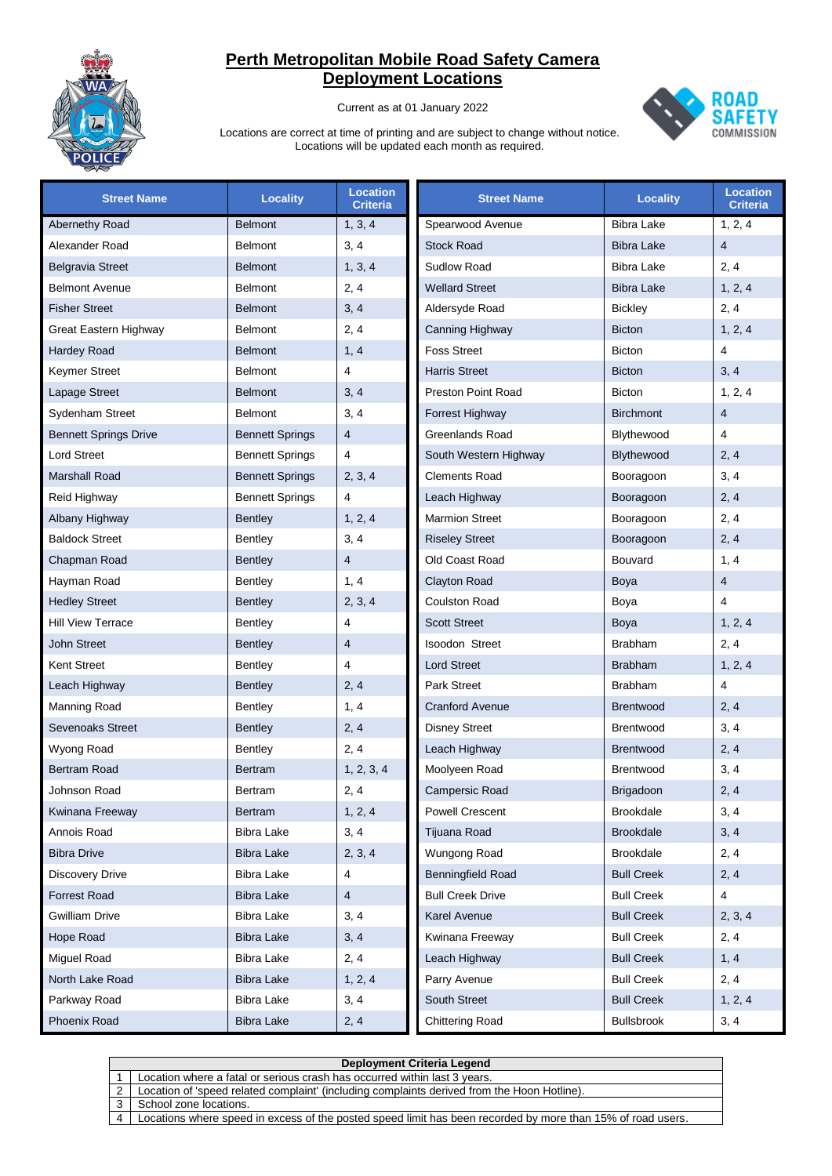

Current as at 01 January 2022



| <b>Street Name</b>           | <b>Locality</b>        | <b>Location</b><br><b>Criteria</b> | <b>Street Name</b>        | <b>Locality</b>   | <b>Location</b><br><b>Criteria</b> |
|------------------------------|------------------------|------------------------------------|---------------------------|-------------------|------------------------------------|
| Abernethy Road               | <b>Belmont</b>         | 1, 3, 4                            | Spearwood Avenue          | <b>Bibra Lake</b> | 1, 2, 4                            |
| Alexander Road               | <b>Belmont</b>         | 3, 4                               | <b>Stock Road</b>         | <b>Bibra Lake</b> | $\overline{4}$                     |
| <b>Belgravia Street</b>      | <b>Belmont</b>         | 1, 3, 4                            | Sudlow Road               | <b>Bibra Lake</b> | 2, 4                               |
| <b>Belmont Avenue</b>        | <b>Belmont</b>         | 2, 4                               | <b>Wellard Street</b>     | <b>Bibra Lake</b> | 1, 2, 4                            |
| <b>Fisher Street</b>         | <b>Belmont</b>         | 3, 4                               | Aldersyde Road            | <b>Bickley</b>    | 2, 4                               |
| Great Eastern Highway        | <b>Belmont</b>         | 2, 4                               | Canning Highway           | <b>Bicton</b>     | 1, 2, 4                            |
| <b>Hardey Road</b>           | <b>Belmont</b>         | 1, 4                               | <b>Foss Street</b>        | Bicton            | $\overline{4}$                     |
| <b>Keymer Street</b>         | <b>Belmont</b>         | $\overline{4}$                     | <b>Harris Street</b>      | <b>Bicton</b>     | 3, 4                               |
| Lapage Street                | <b>Belmont</b>         | 3, 4                               | <b>Preston Point Road</b> | <b>Bicton</b>     | 1, 2, 4                            |
| Sydenham Street              | <b>Belmont</b>         | 3, 4                               | Forrest Highway           | <b>Birchmont</b>  | $\overline{4}$                     |
| <b>Bennett Springs Drive</b> | <b>Bennett Springs</b> | 4                                  | Greenlands Road           | Blythewood        | 4                                  |
| <b>Lord Street</b>           | <b>Bennett Springs</b> | 4                                  | South Western Highway     | Blythewood        | 2, 4                               |
| <b>Marshall Road</b>         | <b>Bennett Springs</b> | 2, 3, 4                            | <b>Clements Road</b>      | Booragoon         | 3, 4                               |
| Reid Highway                 | <b>Bennett Springs</b> | 4                                  | Leach Highway             | Booragoon         | 2, 4                               |
| Albany Highway               | <b>Bentley</b>         | 1, 2, 4                            | <b>Marmion Street</b>     | Booragoon         | 2, 4                               |
| <b>Baldock Street</b>        | Bentley                | 3, 4                               | <b>Riseley Street</b>     | Booragoon         | 2, 4                               |
| Chapman Road                 | <b>Bentley</b>         | $\overline{4}$                     | Old Coast Road            | <b>Bouvard</b>    | 1, 4                               |
| Hayman Road                  | Bentley                | 1, 4                               | Clayton Road              | Boya              | $\overline{4}$                     |
| <b>Hedley Street</b>         | <b>Bentley</b>         | 2, 3, 4                            | <b>Coulston Road</b>      | Boya              | 4                                  |
| <b>Hill View Terrace</b>     | Bentley                | 4                                  | <b>Scott Street</b>       | Boya              | 1, 2, 4                            |
| <b>John Street</b>           | <b>Bentley</b>         | $\overline{4}$                     | Isoodon Street            | <b>Brabham</b>    | 2, 4                               |
| <b>Kent Street</b>           | <b>Bentley</b>         | 4                                  | <b>Lord Street</b>        | <b>Brabham</b>    | 1, 2, 4                            |
| Leach Highway                | <b>Bentley</b>         | 2, 4                               | <b>Park Street</b>        | <b>Brabham</b>    | $\overline{4}$                     |
| <b>Manning Road</b>          | <b>Bentley</b>         | 1, 4                               | <b>Cranford Avenue</b>    | <b>Brentwood</b>  | 2, 4                               |
| Sevenoaks Street             | <b>Bentley</b>         | 2, 4                               | <b>Disney Street</b>      | <b>Brentwood</b>  | 3, 4                               |
| Wyong Road                   | <b>Bentley</b>         | 2, 4                               | Leach Highway             | <b>Brentwood</b>  | 2, 4                               |
| <b>Bertram Road</b>          | <b>Bertram</b>         | 1, 2, 3, 4                         | Moolyeen Road             | Brentwood         | 3, 4                               |
| Johnson Road                 | Bertram                | 2, 4                               | Campersic Road            | <b>Brigadoon</b>  | 2, 4                               |
| Kwinana Freeway              | Bertram                | 1, 2, 4                            | <b>Powell Crescent</b>    | <b>Brookdale</b>  | 3, 4                               |
| Annois Road                  | <b>Bibra Lake</b>      | 3, 4                               | Tijuana Road              | <b>Brookdale</b>  | 3, 4                               |
| <b>Bibra Drive</b>           | <b>Bibra Lake</b>      | 2, 3, 4                            | Wungong Road              | <b>Brookdale</b>  | 2, 4                               |
| <b>Discovery Drive</b>       | <b>Bibra Lake</b>      | 4                                  | Benningfield Road         | <b>Bull Creek</b> | 2, 4                               |
| <b>Forrest Road</b>          | <b>Bibra Lake</b>      | $\overline{4}$                     | <b>Bull Creek Drive</b>   | <b>Bull Creek</b> | 4                                  |
| Gwilliam Drive               | <b>Bibra Lake</b>      | 3, 4                               | Karel Avenue              | <b>Bull Creek</b> | 2, 3, 4                            |
| Hope Road                    | <b>Bibra Lake</b>      | 3, 4                               | Kwinana Freeway           | <b>Bull Creek</b> | 2, 4                               |
| Miguel Road                  | <b>Bibra Lake</b>      | 2, 4                               | Leach Highway             | <b>Bull Creek</b> | 1, 4                               |
| North Lake Road              | <b>Bibra Lake</b>      | 1, 2, 4                            | Parry Avenue              | <b>Bull Creek</b> | 2, 4                               |
| Parkway Road                 | <b>Bibra Lake</b>      | 3, 4                               | <b>South Street</b>       | <b>Bull Creek</b> | 1, 2, 4                            |
| Phoenix Road                 | <b>Bibra Lake</b>      | 2, 4                               | <b>Chittering Road</b>    | <b>Bullsbrook</b> | 3, 4                               |

|                | <b>Deployment Criteria Legend</b>                                                                           |  |  |  |
|----------------|-------------------------------------------------------------------------------------------------------------|--|--|--|
|                | Location where a fatal or serious crash has occurred within last 3 years.                                   |  |  |  |
|                | Location of 'speed related complaint' (including complaints derived from the Hoon Hotline).                 |  |  |  |
|                | School zone locations.                                                                                      |  |  |  |
| $\overline{4}$ | Locations where speed in excess of the posted speed limit has been recorded by more than 15% of road users. |  |  |  |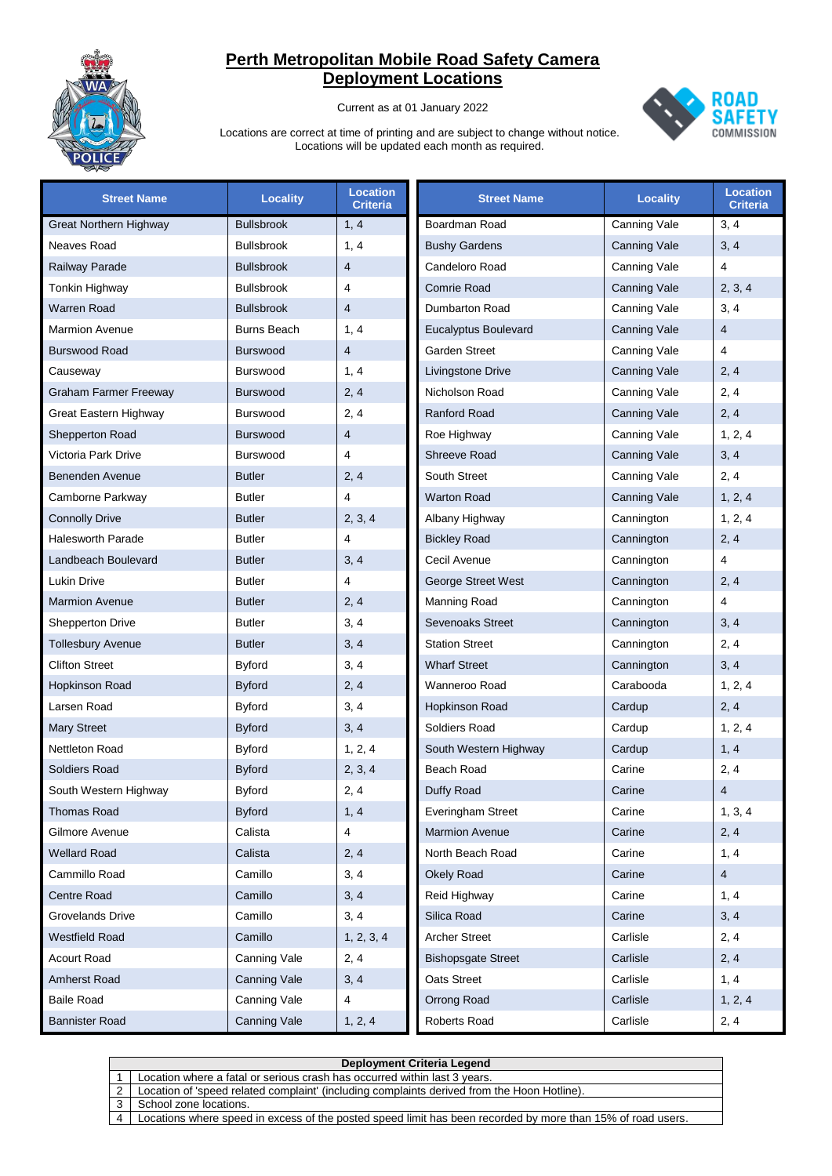

Current as at 01 January 2022



| <b>Street Name</b>            | <b>Locality</b>    | <b>Location</b><br><b>Criteria</b> | <b>Street Name</b>          | <b>Locality</b>     | <b>Location</b><br><b>Criteria</b> |
|-------------------------------|--------------------|------------------------------------|-----------------------------|---------------------|------------------------------------|
| <b>Great Northern Highway</b> | <b>Bullsbrook</b>  | 1, 4                               | Boardman Road               | Canning Vale        | 3, 4                               |
| Neaves Road                   | <b>Bullsbrook</b>  | 1, 4                               | <b>Bushy Gardens</b>        | <b>Canning Vale</b> | 3, 4                               |
| Railway Parade                | <b>Bullsbrook</b>  | $\overline{4}$                     | Candeloro Road              | Canning Vale        | $\overline{4}$                     |
| Tonkin Highway                | <b>Bullsbrook</b>  | 4                                  | <b>Comrie Road</b>          | <b>Canning Vale</b> | 2, 3, 4                            |
| Warren Road                   | <b>Bullsbrook</b>  | $\overline{4}$                     | Dumbarton Road              | Canning Vale        | 3, 4                               |
| <b>Marmion Avenue</b>         | <b>Burns Beach</b> | 1, 4                               | <b>Eucalyptus Boulevard</b> | <b>Canning Vale</b> | $\overline{4}$                     |
| <b>Burswood Road</b>          | <b>Burswood</b>    | $\overline{4}$                     | Garden Street               | Canning Vale        | $\overline{\mathbf{4}}$            |
| Causeway                      | <b>Burswood</b>    | 1, 4                               | Livingstone Drive           | <b>Canning Vale</b> | 2, 4                               |
| <b>Graham Farmer Freeway</b>  | <b>Burswood</b>    | 2, 4                               | Nicholson Road              | Canning Vale        | 2, 4                               |
| Great Eastern Highway         | <b>Burswood</b>    | 2, 4                               | <b>Ranford Road</b>         | <b>Canning Vale</b> | 2, 4                               |
| Shepperton Road               | <b>Burswood</b>    | $\overline{4}$                     | Roe Highway                 | Canning Vale        | 1, 2, 4                            |
| Victoria Park Drive           | <b>Burswood</b>    | 4                                  | <b>Shreeve Road</b>         | <b>Canning Vale</b> | 3, 4                               |
| Benenden Avenue               | <b>Butler</b>      | 2, 4                               | South Street                | Canning Vale        | 2, 4                               |
| Camborne Parkway              | <b>Butler</b>      | 4                                  | <b>Warton Road</b>          | <b>Canning Vale</b> | 1, 2, 4                            |
| <b>Connolly Drive</b>         | <b>Butler</b>      | 2, 3, 4                            | Albany Highway              | Cannington          | 1, 2, 4                            |
| <b>Halesworth Parade</b>      | <b>Butler</b>      | $\overline{4}$                     | <b>Bickley Road</b>         | Cannington          | 2, 4                               |
| Landbeach Boulevard           | <b>Butler</b>      | 3, 4                               | Cecil Avenue                | Cannington          | $\overline{4}$                     |
| <b>Lukin Drive</b>            | <b>Butler</b>      | 4                                  | <b>George Street West</b>   | Cannington          | 2, 4                               |
| <b>Marmion Avenue</b>         | <b>Butler</b>      | 2, 4                               | Manning Road                | Cannington          | $\overline{4}$                     |
| <b>Shepperton Drive</b>       | <b>Butler</b>      | 3, 4                               | <b>Sevenoaks Street</b>     | Cannington          | 3, 4                               |
| <b>Tollesbury Avenue</b>      | <b>Butler</b>      | 3, 4                               | <b>Station Street</b>       | Cannington          | 2, 4                               |
| <b>Clifton Street</b>         | <b>Byford</b>      | 3, 4                               | <b>Wharf Street</b>         | Cannington          | 3, 4                               |
| <b>Hopkinson Road</b>         | <b>Byford</b>      | 2, 4                               | Wanneroo Road               | Carabooda           | 1, 2, 4                            |
| Larsen Road                   | <b>Byford</b>      | 3, 4                               | Hopkinson Road              | Cardup              | 2, 4                               |
| <b>Mary Street</b>            | <b>Byford</b>      | 3, 4                               | Soldiers Road               | Cardup              | 1, 2, 4                            |
| <b>Nettleton Road</b>         | <b>Byford</b>      | 1, 2, 4                            | South Western Highway       | Cardup              | 1, 4                               |
| <b>Soldiers Road</b>          | <b>Byford</b>      | 2, 3, 4                            | Beach Road                  | Carine              | 2, 4                               |
| South Western Highway         | <b>Byford</b>      | 2, 4                               | Duffy Road                  | Carine              | 4                                  |
| <b>Thomas Road</b>            | <b>Byford</b>      | 1, 4                               | Everingham Street           | Carine              | 1, 3, 4                            |
| Gilmore Avenue                | Calista            | 4                                  | <b>Marmion Avenue</b>       | Carine              | 2, 4                               |
| <b>Wellard Road</b>           | Calista            | 2, 4                               | North Beach Road            | Carine              | 1, 4                               |
| Cammillo Road                 | Camillo            | 3, 4                               | Okely Road                  | Carine              | 4                                  |
| <b>Centre Road</b>            | Camillo            | 3, 4                               | Reid Highway                | Carine              | 1, 4                               |
| <b>Grovelands Drive</b>       | Camillo            | 3, 4                               | Silica Road                 | Carine              | 3, 4                               |
| <b>Westfield Road</b>         | Camillo            | 1, 2, 3, 4                         | <b>Archer Street</b>        | Carlisle            | 2, 4                               |
| <b>Acourt Road</b>            | Canning Vale       | 2, 4                               | <b>Bishopsgate Street</b>   | Carlisle            | 2, 4                               |
| Amherst Road                  | Canning Vale       | 3, 4                               | Oats Street                 | Carlisle            | 1, 4                               |
| <b>Baile Road</b>             | Canning Vale       | 4                                  | Orrong Road                 | Carlisle            | 1, 2, 4                            |
| <b>Bannister Road</b>         | Canning Vale       | 1, 2, 4                            | Roberts Road                | Carlisle            | 2, 4                               |

|                | Deployment Criteria Legend                                                                                  |  |  |  |
|----------------|-------------------------------------------------------------------------------------------------------------|--|--|--|
|                | Location where a fatal or serious crash has occurred within last 3 years.                                   |  |  |  |
|                | Location of 'speed related complaint' (including complaints derived from the Hoon Hotline).                 |  |  |  |
|                | School zone locations.                                                                                      |  |  |  |
| $\overline{4}$ | Locations where speed in excess of the posted speed limit has been recorded by more than 15% of road users. |  |  |  |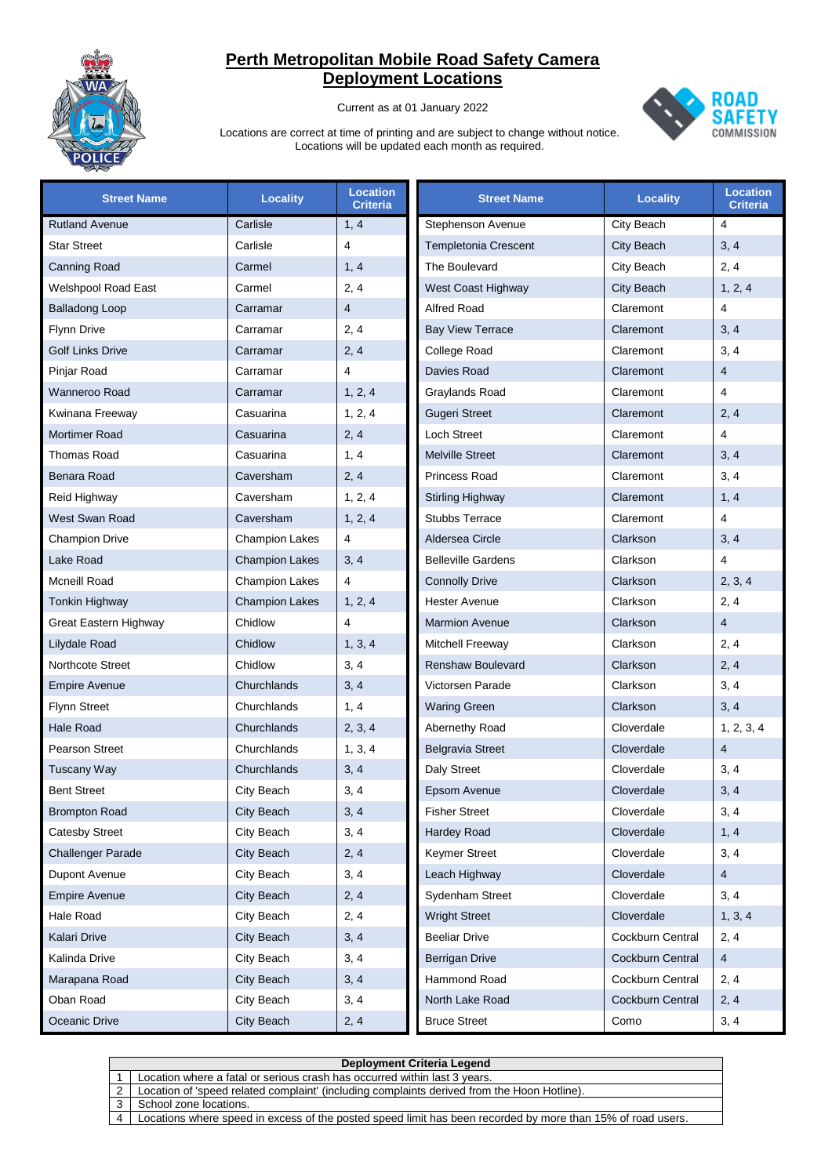

Current as at 01 January 2022



| <b>Street Name</b>         | <b>Locality</b>       | <b>Location</b><br><b>Criteria</b> | <b>Street Name</b>        | <b>Locality</b>  | <b>Location</b><br><b>Criteria</b> |
|----------------------------|-----------------------|------------------------------------|---------------------------|------------------|------------------------------------|
| <b>Rutland Avenue</b>      | Carlisle              | 1, 4                               | Stephenson Avenue         | City Beach       | 4                                  |
| <b>Star Street</b>         | Carlisle              | 4                                  | Templetonia Crescent      | City Beach       | 3, 4                               |
| <b>Canning Road</b>        | Carmel                | 1, 4                               | The Boulevard             | City Beach       | 2, 4                               |
| <b>Welshpool Road East</b> | Carmel                | 2, 4                               | West Coast Highway        | City Beach       | 1, 2, 4                            |
| <b>Balladong Loop</b>      | Carramar              | $\overline{4}$                     | <b>Alfred Road</b>        | Claremont        | $\overline{4}$                     |
| <b>Flynn Drive</b>         | Carramar              | 2, 4                               | <b>Bay View Terrace</b>   | Claremont        | 3, 4                               |
| <b>Golf Links Drive</b>    | Carramar              | 2, 4                               | <b>College Road</b>       | Claremont        | 3, 4                               |
| Pinjar Road                | Carramar              | $\overline{4}$                     | <b>Davies Road</b>        | Claremont        | $\overline{4}$                     |
| Wanneroo Road              | Carramar              | 1, 2, 4                            | Graylands Road            | Claremont        | $\overline{4}$                     |
| Kwinana Freeway            | Casuarina             | 1, 2, 4                            | <b>Gugeri Street</b>      | Claremont        | 2, 4                               |
| <b>Mortimer Road</b>       | Casuarina             | 2, 4                               | <b>Loch Street</b>        | Claremont        | $\overline{4}$                     |
| <b>Thomas Road</b>         | Casuarina             | 1, 4                               | <b>Melville Street</b>    | Claremont        | 3, 4                               |
| Benara Road                | Caversham             | 2, 4                               | Princess Road             | Claremont        | 3, 4                               |
| Reid Highway               | Caversham             | 1, 2, 4                            | <b>Stirling Highway</b>   | Claremont        | 1, 4                               |
| West Swan Road             | Caversham             | 1, 2, 4                            | <b>Stubbs Terrace</b>     | Claremont        | $\overline{4}$                     |
| <b>Champion Drive</b>      | <b>Champion Lakes</b> | 4                                  | Aldersea Circle           | Clarkson         | 3, 4                               |
| Lake Road                  | <b>Champion Lakes</b> | 3, 4                               | <b>Belleville Gardens</b> | Clarkson         | $\overline{4}$                     |
| Mcneill Road               | <b>Champion Lakes</b> | 4                                  | <b>Connolly Drive</b>     | Clarkson         | 2, 3, 4                            |
| <b>Tonkin Highway</b>      | <b>Champion Lakes</b> | 1, 2, 4                            | <b>Hester Avenue</b>      | Clarkson         | 2, 4                               |
| Great Eastern Highway      | Chidlow               | $\overline{4}$                     | <b>Marmion Avenue</b>     | Clarkson         | $\overline{4}$                     |
| Lilydale Road              | Chidlow               | 1, 3, 4                            | Mitchell Freeway          | Clarkson         | 2, 4                               |
| <b>Northcote Street</b>    | Chidlow               | 3, 4                               | <b>Renshaw Boulevard</b>  | Clarkson         | 2, 4                               |
| <b>Empire Avenue</b>       | Churchlands           | 3, 4                               | Victorsen Parade          | Clarkson         | 3, 4                               |
| <b>Flynn Street</b>        | Churchlands           | 1, 4                               | <b>Waring Green</b>       | Clarkson         | 3, 4                               |
| Hale Road                  | Churchlands           | 2, 3, 4                            | Abernethy Road            | Cloverdale       | 1, 2, 3, 4                         |
| <b>Pearson Street</b>      | Churchlands           | 1, 3, 4                            | <b>Belgravia Street</b>   | Cloverdale       | $\overline{4}$                     |
| <b>Tuscany Way</b>         | Churchlands           | 3, 4                               | Daly Street               | Cloverdale       | 3, 4                               |
| <b>Bent Street</b>         | City Beach            | 3, 4                               | Epsom Avenue              | Cloverdale       | 3, 4                               |
| <b>Brompton Road</b>       | City Beach            | 3, 4                               | <b>Fisher Street</b>      | Cloverdale       | 3, 4                               |
| <b>Catesby Street</b>      | City Beach            | 3, 4                               | Hardey Road               | Cloverdale       | 1, 4                               |
| <b>Challenger Parade</b>   | City Beach            | 2, 4                               | Keymer Street             | Cloverdale       | 3, 4                               |
| Dupont Avenue              | City Beach            | 3, 4                               | Leach Highway             | Cloverdale       | $\overline{4}$                     |
| <b>Empire Avenue</b>       | City Beach            | 2, 4                               | Sydenham Street           | Cloverdale       | 3, 4                               |
| Hale Road                  | City Beach            | 2, 4                               | <b>Wright Street</b>      | Cloverdale       | 1, 3, 4                            |
| <b>Kalari Drive</b>        | City Beach            | 3, 4                               | <b>Beeliar Drive</b>      | Cockburn Central | 2, 4                               |
| Kalinda Drive              | City Beach            | 3, 4                               | Berrigan Drive            | Cockburn Central | $\overline{4}$                     |
| Marapana Road              | City Beach            | 3, 4                               | Hammond Road              | Cockburn Central | 2, 4                               |
| Oban Road                  | City Beach            | 3, 4                               | North Lake Road           | Cockburn Central | 2, 4                               |
| Oceanic Drive              | City Beach            | 2, 4                               | <b>Bruce Street</b>       | Como             | 3, 4                               |

| <b>Deployment Criteria Legend</b>                                                                           |  |  |  |
|-------------------------------------------------------------------------------------------------------------|--|--|--|
| Location where a fatal or serious crash has occurred within last 3 years.                                   |  |  |  |
| Location of 'speed related complaint' (including complaints derived from the Hoon Hotline).                 |  |  |  |
| School zone locations.                                                                                      |  |  |  |
| Locations where speed in excess of the posted speed limit has been recorded by more than 15% of road users. |  |  |  |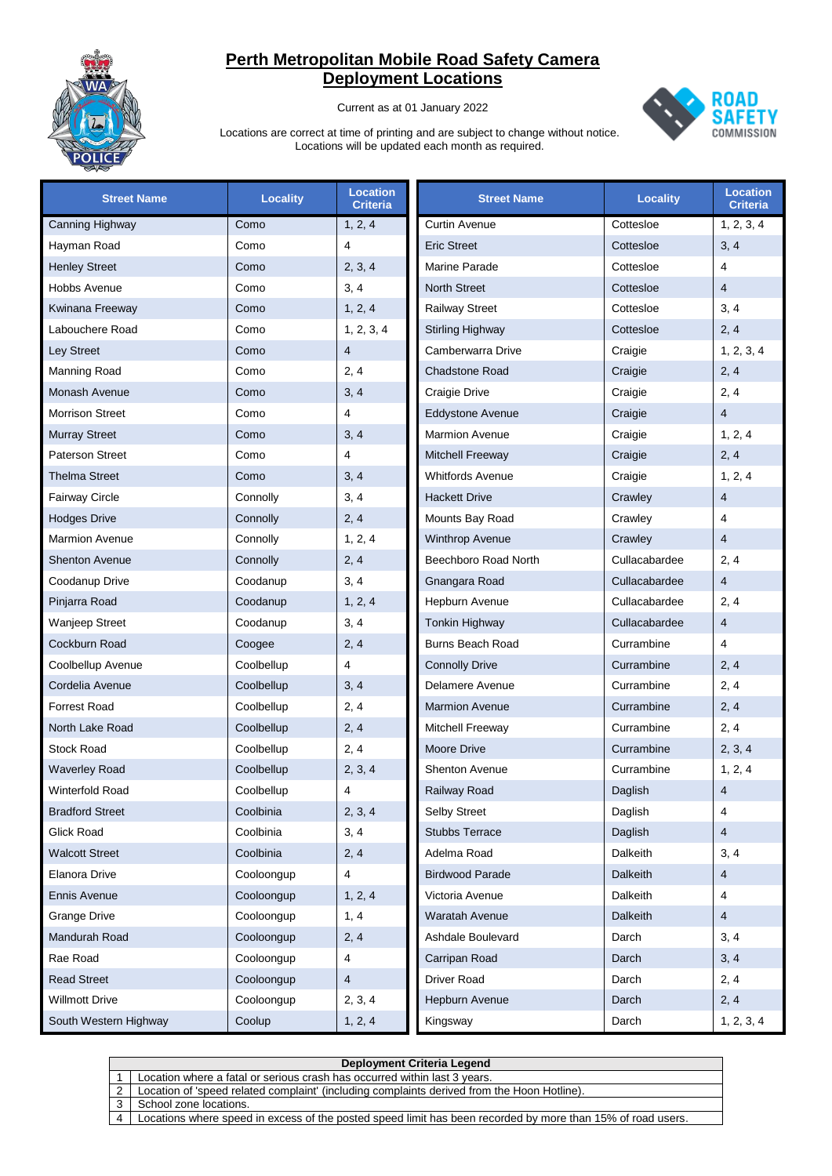

Current as at 01 January 2022



| <b>Street Name</b>     | <b>Locality</b> | <b>Location</b><br><b>Criteria</b> | <b>Street Name</b>      | <b>Locality</b> | <b>Location</b><br><b>Criteria</b> |
|------------------------|-----------------|------------------------------------|-------------------------|-----------------|------------------------------------|
| Canning Highway        | Como            | 1, 2, 4                            | <b>Curtin Avenue</b>    | Cottesloe       | 1, 2, 3, 4                         |
| Hayman Road            | Como            | 4                                  | <b>Eric Street</b>      | Cottesloe       | 3, 4                               |
| <b>Henley Street</b>   | Como            | 2, 3, 4                            | Marine Parade           | Cottesloe       | 4                                  |
| Hobbs Avenue           | Como            | 3, 4                               | <b>North Street</b>     | Cottesloe       | $\overline{4}$                     |
| Kwinana Freeway        | Como            | 1, 2, 4                            | <b>Railway Street</b>   | Cottesloe       | 3, 4                               |
| Labouchere Road        | Como            | 1, 2, 3, 4                         | <b>Stirling Highway</b> | Cottesloe       | 2, 4                               |
| Ley Street             | Como            | 4                                  | Camberwarra Drive       | Craigie         | 1, 2, 3, 4                         |
| Manning Road           | Como            | 2, 4                               | <b>Chadstone Road</b>   | Craigie         | 2, 4                               |
| Monash Avenue          | Como            | 3, 4                               | Craigie Drive           | Craigie         | 2, 4                               |
| <b>Morrison Street</b> | Como            | 4                                  | <b>Eddystone Avenue</b> | Craigie         | $\overline{4}$                     |
| <b>Murray Street</b>   | Como            | 3, 4                               | <b>Marmion Avenue</b>   | Craigie         | 1, 2, 4                            |
| <b>Paterson Street</b> | Como            | 4                                  | <b>Mitchell Freeway</b> | Craigie         | 2, 4                               |
| <b>Thelma Street</b>   | Como            | 3, 4                               | <b>Whitfords Avenue</b> | Craigie         | 1, 2, 4                            |
| Fairway Circle         | Connolly        | 3, 4                               | <b>Hackett Drive</b>    | Crawley         | $\overline{4}$                     |
| <b>Hodges Drive</b>    | Connolly        | 2, 4                               | Mounts Bay Road         | Crawley         | 4                                  |
| <b>Marmion Avenue</b>  | Connolly        | 1, 2, 4                            | <b>Winthrop Avenue</b>  | Crawley         | $\overline{4}$                     |
| <b>Shenton Avenue</b>  | Connolly        | 2, 4                               | Beechboro Road North    | Cullacabardee   | 2, 4                               |
| Coodanup Drive         | Coodanup        | 3, 4                               | Gnangara Road           | Cullacabardee   | $\overline{4}$                     |
| Pinjarra Road          | Coodanup        | 1, 2, 4                            | Hepburn Avenue          | Cullacabardee   | 2, 4                               |
| Wanjeep Street         | Coodanup        | 3, 4                               | Tonkin Highway          | Cullacabardee   | $\overline{4}$                     |
| Cockburn Road          | Coogee          | 2, 4                               | <b>Burns Beach Road</b> | Currambine      | 4                                  |
| Coolbellup Avenue      | Coolbellup      | 4                                  | <b>Connolly Drive</b>   | Currambine      | 2, 4                               |
| Cordelia Avenue        | Coolbellup      | 3, 4                               | Delamere Avenue         | Currambine      | 2, 4                               |
| <b>Forrest Road</b>    | Coolbellup      | 2, 4                               | <b>Marmion Avenue</b>   | Currambine      | 2, 4                               |
| North Lake Road        | Coolbellup      | 2, 4                               | Mitchell Freeway        | Currambine      | 2, 4                               |
| <b>Stock Road</b>      | Coolbellup      | 2, 4                               | <b>Moore Drive</b>      | Currambine      | 2, 3, 4                            |
| <b>Waverley Road</b>   | Coolbellup      | 2, 3, 4                            | <b>Shenton Avenue</b>   | Currambine      | 1, 2, 4                            |
| Winterfold Road        | Coolbellup      | 4                                  | Railway Road            | Daglish         | $\overline{4}$                     |
| <b>Bradford Street</b> | Coolbinia       | 2, 3, 4                            | Selby Street            | Daglish         | 4                                  |
| <b>Glick Road</b>      | Coolbinia       | 3, 4                               | <b>Stubbs Terrace</b>   | Daglish         | $\overline{4}$                     |
| <b>Walcott Street</b>  | Coolbinia       | 2, 4                               | Adelma Road             | Dalkeith        | 3, 4                               |
| Elanora Drive          | Cooloongup      | $\overline{4}$                     | <b>Birdwood Parade</b>  | Dalkeith        | $\overline{4}$                     |
| <b>Ennis Avenue</b>    | Cooloongup      | 1, 2, 4                            | Victoria Avenue         | Dalkeith        | 4                                  |
| <b>Grange Drive</b>    | Cooloongup      | 1, 4                               | <b>Waratah Avenue</b>   | Dalkeith        | $\overline{4}$                     |
| Mandurah Road          | Cooloongup      | 2, 4                               | Ashdale Boulevard       | Darch           | 3, 4                               |
| Rae Road               | Cooloongup      | 4                                  | Carripan Road           | Darch           | 3, 4                               |
| <b>Read Street</b>     | Cooloongup      | $\overline{4}$                     | Driver Road             | Darch           | 2, 4                               |
| <b>Willmott Drive</b>  | Cooloongup      | 2, 3, 4                            | Hepburn Avenue          | Darch           | 2, 4                               |
| South Western Highway  | Coolup          | 1, 2, 4                            | Kingsway                | Darch           | 1, 2, 3, 4                         |

|                | <b>Deployment Criteria Legend</b>                                                                           |  |  |  |
|----------------|-------------------------------------------------------------------------------------------------------------|--|--|--|
|                | Location where a fatal or serious crash has occurred within last 3 years.                                   |  |  |  |
|                | Location of 'speed related complaint' (including complaints derived from the Hoon Hotline).                 |  |  |  |
|                | School zone locations.                                                                                      |  |  |  |
| $\overline{4}$ | Locations where speed in excess of the posted speed limit has been recorded by more than 15% of road users. |  |  |  |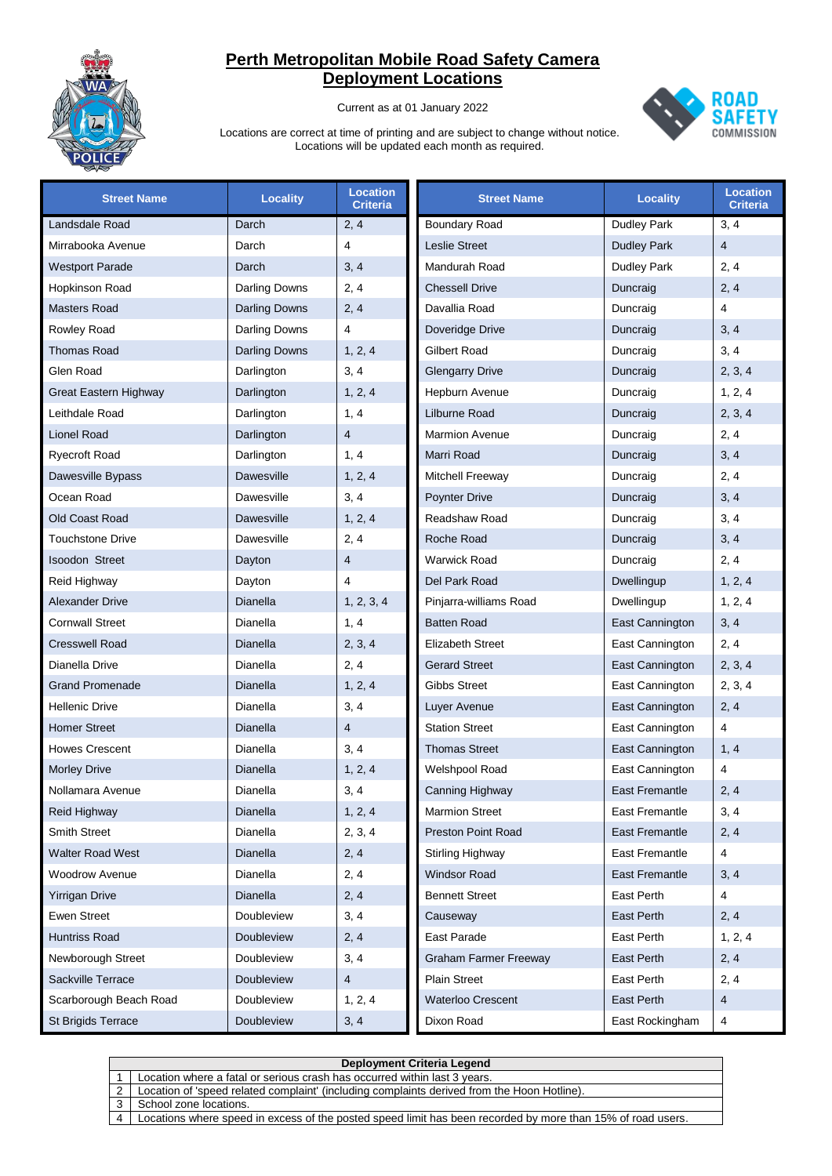

Current as at 01 January 2022



| <b>Street Name</b>           | <b>Locality</b>      | <b>Location</b><br><b>Criteria</b> | <b>Street Name</b>           | <b>Locality</b>       | <b>Location</b><br><b>Criteria</b> |
|------------------------------|----------------------|------------------------------------|------------------------------|-----------------------|------------------------------------|
| Landsdale Road               | Darch                | 2, 4                               | <b>Boundary Road</b>         | <b>Dudley Park</b>    | 3, 4                               |
| Mirrabooka Avenue            | Darch                | 4                                  | <b>Leslie Street</b>         | <b>Dudley Park</b>    | $\overline{4}$                     |
| <b>Westport Parade</b>       | Darch                | 3, 4                               | Mandurah Road                | Dudley Park           | 2, 4                               |
| Hopkinson Road               | Darling Downs        | 2, 4                               | <b>Chessell Drive</b>        | Duncraig              | 2, 4                               |
| <b>Masters Road</b>          | <b>Darling Downs</b> | 2, 4                               | Davallia Road                | Duncraig              | 4                                  |
| Rowley Road                  | Darling Downs        | 4                                  | Doveridge Drive              | Duncraig              | 3, 4                               |
| <b>Thomas Road</b>           | <b>Darling Downs</b> | 1, 2, 4                            | <b>Gilbert Road</b>          | Duncraig              | 3, 4                               |
| Glen Road                    | Darlington           | 3, 4                               | <b>Glengarry Drive</b>       | Duncraig              | 2, 3, 4                            |
| <b>Great Eastern Highway</b> | Darlington           | 1, 2, 4                            | Hepburn Avenue               | Duncraig              | 1, 2, 4                            |
| Leithdale Road               | Darlington           | 1, 4                               | Lilburne Road                | Duncraig              | 2, 3, 4                            |
| Lionel Road                  | Darlington           | $\overline{4}$                     | <b>Marmion Avenue</b>        | Duncraig              | 2, 4                               |
| <b>Ryecroft Road</b>         | Darlington           | 1, 4                               | Marri Road                   | Duncraig              | 3, 4                               |
| Dawesville Bypass            | <b>Dawesville</b>    | 1, 2, 4                            | Mitchell Freeway             | Duncraig              | 2, 4                               |
| Ocean Road                   | Dawesville           | 3, 4                               | Poynter Drive                | Duncraig              | 3, 4                               |
| Old Coast Road               | Dawesville           | 1, 2, 4                            | Readshaw Road                | Duncraig              | 3, 4                               |
| <b>Touchstone Drive</b>      | Dawesville           | 2, 4                               | Roche Road                   | Duncraig              | 3, 4                               |
| <b>Isoodon Street</b>        | Dayton               | $\overline{4}$                     | <b>Warwick Road</b>          | Duncraig              | 2, 4                               |
| Reid Highway                 | Dayton               | 4                                  | Del Park Road                | Dwellingup            | 1, 2, 4                            |
| <b>Alexander Drive</b>       | Dianella             | 1, 2, 3, 4                         | Pinjarra-williams Road       | Dwellingup            | 1, 2, 4                            |
| <b>Cornwall Street</b>       | Dianella             | 1, 4                               | <b>Batten Road</b>           | East Cannington       | 3, 4                               |
| <b>Cresswell Road</b>        | Dianella             | 2, 3, 4                            | <b>Elizabeth Street</b>      | East Cannington       | 2, 4                               |
| Dianella Drive               | Dianella             | 2, 4                               | <b>Gerard Street</b>         | East Cannington       | 2, 3, 4                            |
| <b>Grand Promenade</b>       | Dianella             | 1, 2, 4                            | Gibbs Street                 | East Cannington       | 2, 3, 4                            |
| <b>Hellenic Drive</b>        | Dianella             | 3, 4                               | Luyer Avenue                 | East Cannington       | 2, 4                               |
| <b>Homer Street</b>          | Dianella             | $\overline{4}$                     | <b>Station Street</b>        | East Cannington       | 4                                  |
| <b>Howes Crescent</b>        | Dianella             | 3, 4                               | <b>Thomas Street</b>         | East Cannington       | 1, 4                               |
| <b>Morley Drive</b>          | Dianella             | 1, 2, 4                            | Welshpool Road               | East Cannington       | 4                                  |
| Nollamara Avenue             | Dianella             | 3, 4                               | Canning Highway              | <b>East Fremantle</b> | 2, 4                               |
| Reid Highway                 | Dianella             | 1, 2, 4                            | <b>Marmion Street</b>        | East Fremantle        | 3, 4                               |
| <b>Smith Street</b>          | Dianella             | 2, 3, 4                            | Preston Point Road           | <b>East Fremantle</b> | 2, 4                               |
| <b>Walter Road West</b>      | Dianella             | 2, 4                               | Stirling Highway             | East Fremantle        | $\overline{4}$                     |
| <b>Woodrow Avenue</b>        | Dianella             | 2, 4                               | <b>Windsor Road</b>          | <b>East Fremantle</b> | 3, 4                               |
| <b>Yirrigan Drive</b>        | Dianella             | 2, 4                               | <b>Bennett Street</b>        | East Perth            | 4                                  |
| <b>Ewen Street</b>           | Doubleview           | 3, 4                               | Causeway                     | East Perth            | 2, 4                               |
| Huntriss Road                | Doubleview           | 2, 4                               | East Parade                  | East Perth            | 1, 2, 4                            |
| Newborough Street            | Doubleview           | 3, 4                               | <b>Graham Farmer Freeway</b> | East Perth            | 2, 4                               |
| Sackville Terrace            | <b>Doubleview</b>    | $\overline{4}$                     | <b>Plain Street</b>          | East Perth            | 2, 4                               |
| Scarborough Beach Road       | Doubleview           | 1, 2, 4                            | <b>Waterloo Crescent</b>     | East Perth            | 4                                  |
| St Brigids Terrace           | Doubleview           | 3, 4                               | Dixon Road                   | East Rockingham       | 4                                  |

|                | Deployment Criteria Legend                                                                                  |  |  |  |
|----------------|-------------------------------------------------------------------------------------------------------------|--|--|--|
|                | Location where a fatal or serious crash has occurred within last 3 years.                                   |  |  |  |
|                | Location of 'speed related complaint' (including complaints derived from the Hoon Hotline).                 |  |  |  |
|                | School zone locations.                                                                                      |  |  |  |
| $\overline{4}$ | Locations where speed in excess of the posted speed limit has been recorded by more than 15% of road users. |  |  |  |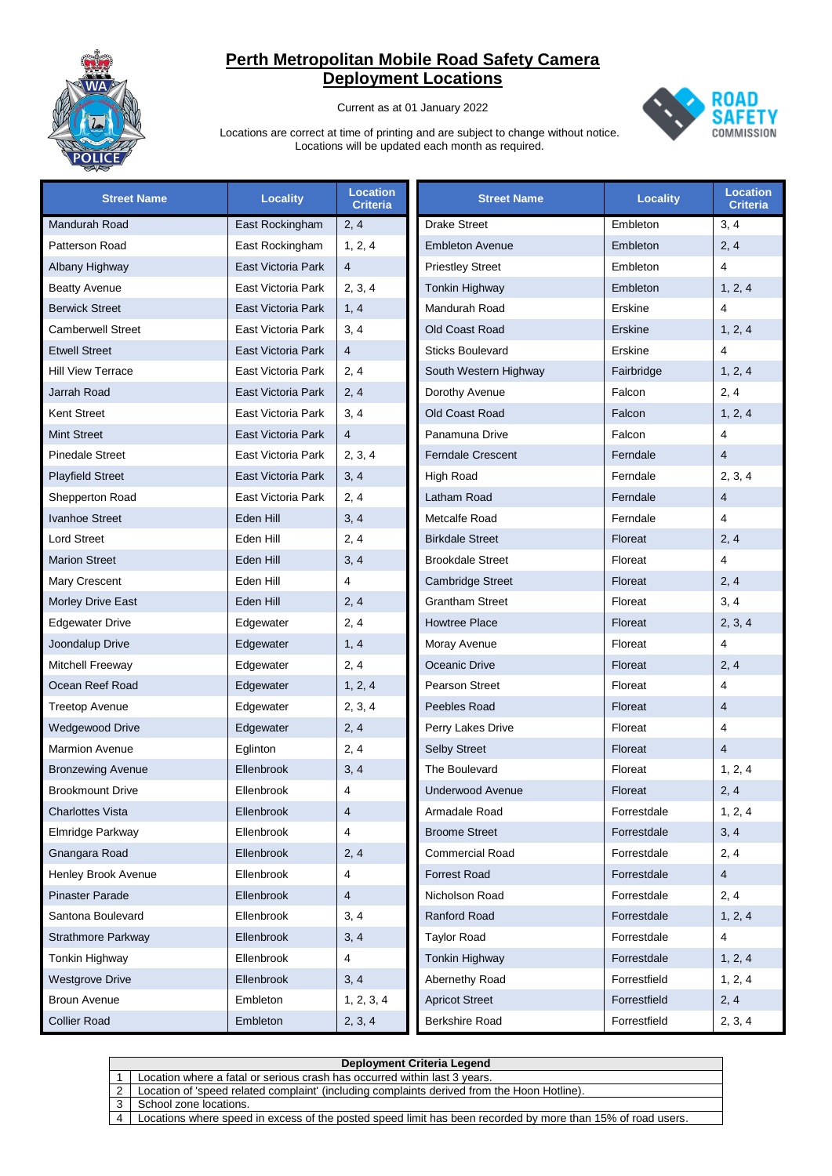

Current as at 01 January 2022



| <b>Street Name</b>        | <b>Locality</b>    | <b>Location</b><br><b>Criteria</b> | <b>Street Name</b>       | <b>Locality</b> | <b>Location</b><br><b>Criteria</b> |
|---------------------------|--------------------|------------------------------------|--------------------------|-----------------|------------------------------------|
| Mandurah Road             | East Rockingham    | 2, 4                               | <b>Drake Street</b>      | Embleton        | 3, 4                               |
| Patterson Road            | East Rockingham    | 1, 2, 4                            | <b>Embleton Avenue</b>   | Embleton        | 2, 4                               |
| Albany Highway            | East Victoria Park | $\overline{4}$                     | <b>Priestley Street</b>  | Embleton        | 4                                  |
| <b>Beatty Avenue</b>      | East Victoria Park | 2, 3, 4                            | Tonkin Highway           | Embleton        | 1, 2, 4                            |
| <b>Berwick Street</b>     | East Victoria Park | 1, 4                               | Mandurah Road            | Erskine         | 4                                  |
| <b>Camberwell Street</b>  | East Victoria Park | 3, 4                               | Old Coast Road           | Erskine         | 1, 2, 4                            |
| <b>Etwell Street</b>      | East Victoria Park | $\overline{4}$                     | <b>Sticks Boulevard</b>  | Erskine         | 4                                  |
| <b>Hill View Terrace</b>  | East Victoria Park | 2, 4                               | South Western Highway    | Fairbridge      | 1, 2, 4                            |
| Jarrah Road               | East Victoria Park | 2, 4                               | Dorothy Avenue           | Falcon          | 2, 4                               |
| <b>Kent Street</b>        | East Victoria Park | 3, 4                               | Old Coast Road           | Falcon          | 1, 2, 4                            |
| <b>Mint Street</b>        | East Victoria Park | $\overline{4}$                     | Panamuna Drive           | Falcon          | 4                                  |
| <b>Pinedale Street</b>    | East Victoria Park | 2, 3, 4                            | <b>Ferndale Crescent</b> | Ferndale        | $\overline{4}$                     |
| <b>Playfield Street</b>   | East Victoria Park | 3, 4                               | <b>High Road</b>         | Ferndale        | 2, 3, 4                            |
| Shepperton Road           | East Victoria Park | 2, 4                               | Latham Road              | Ferndale        | 4                                  |
| Ivanhoe Street            | Eden Hill          | 3, 4                               | Metcalfe Road            | Ferndale        | 4                                  |
| <b>Lord Street</b>        | Eden Hill          | 2, 4                               | <b>Birkdale Street</b>   | Floreat         | 2, 4                               |
| <b>Marion Street</b>      | Eden Hill          | 3, 4                               | <b>Brookdale Street</b>  | Floreat         | 4                                  |
| Mary Crescent             | Eden Hill          | $\overline{4}$                     | <b>Cambridge Street</b>  | Floreat         | 2, 4                               |
| Morley Drive East         | Eden Hill          | 2, 4                               | <b>Grantham Street</b>   | Floreat         | 3, 4                               |
| <b>Edgewater Drive</b>    | Edgewater          | 2, 4                               | <b>Howtree Place</b>     | Floreat         | 2, 3, 4                            |
| Joondalup Drive           | Edgewater          | 1, 4                               | Moray Avenue             | Floreat         | 4                                  |
| Mitchell Freeway          | Edgewater          | 2, 4                               | Oceanic Drive            | Floreat         | 2, 4                               |
| Ocean Reef Road           | Edgewater          | 1, 2, 4                            | <b>Pearson Street</b>    | Floreat         | $\overline{4}$                     |
| <b>Treetop Avenue</b>     | Edgewater          | 2, 3, 4                            | Peebles Road             | Floreat         | $\overline{4}$                     |
| <b>Wedgewood Drive</b>    | Edgewater          | 2, 4                               | Perry Lakes Drive        | Floreat         | 4                                  |
| <b>Marmion Avenue</b>     | Eglinton           | 2, 4                               | <b>Selby Street</b>      | Floreat         | $\overline{4}$                     |
| <b>Bronzewing Avenue</b>  | Ellenbrook         | 3, 4                               | The Boulevard            | Floreat         | 1, 2, 4                            |
| <b>Brookmount Drive</b>   | Ellenbrook         | 4                                  | <b>Underwood Avenue</b>  | Floreat         | 2, 4                               |
| Charlottes Vista          | Ellenbrook         | $\overline{\mathbf{4}}$            | Armadale Road            | Forrestdale     | 1, 2, 4                            |
| Elmridge Parkway          | Ellenbrook         | $\overline{4}$                     | <b>Broome Street</b>     | Forrestdale     | 3, 4                               |
| Gnangara Road             | Ellenbrook         | 2, 4                               | <b>Commercial Road</b>   | Forrestdale     | 2, 4                               |
| Henley Brook Avenue       | Ellenbrook         | 4                                  | <b>Forrest Road</b>      | Forrestdale     | $\overline{4}$                     |
| <b>Pinaster Parade</b>    | Ellenbrook         | $\overline{4}$                     | Nicholson Road           | Forrestdale     | 2, 4                               |
| Santona Boulevard         | Ellenbrook         | 3, 4                               | Ranford Road             | Forrestdale     | 1, 2, 4                            |
| <b>Strathmore Parkway</b> | Ellenbrook         | 3, 4                               | <b>Taylor Road</b>       | Forrestdale     | 4                                  |
| Tonkin Highway            | Ellenbrook         | 4                                  | Tonkin Highway           | Forrestdale     | 1, 2, 4                            |
| <b>Westgrove Drive</b>    | Ellenbrook         | 3, 4                               | Abernethy Road           | Forrestfield    | 1, 2, 4                            |
| <b>Broun Avenue</b>       | Embleton           | 1, 2, 3, 4                         | <b>Apricot Street</b>    | Forrestfield    | 2, 4                               |
| <b>Collier Road</b>       | Embleton           | 2, 3, 4                            | Berkshire Road           | Forrestfield    | 2, 3, 4                            |

|                | Deployment Criteria Legend                                                                                  |  |  |  |
|----------------|-------------------------------------------------------------------------------------------------------------|--|--|--|
|                | Location where a fatal or serious crash has occurred within last 3 years.                                   |  |  |  |
|                | Location of 'speed related complaint' (including complaints derived from the Hoon Hotline).                 |  |  |  |
|                | School zone locations.                                                                                      |  |  |  |
| $\overline{A}$ | Locations where speed in excess of the posted speed limit has been recorded by more than 15% of road users. |  |  |  |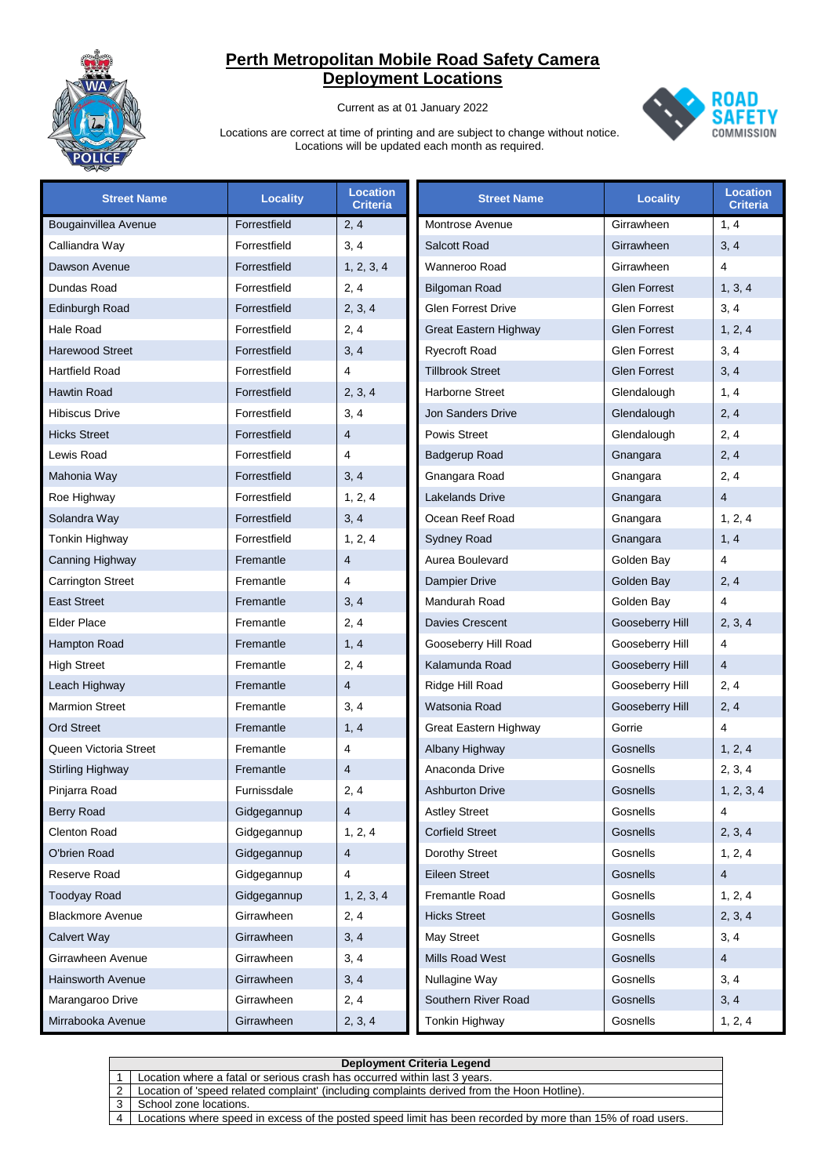

Current as at 01 January 2022



| <b>Street Name</b>       | <b>Locality</b> | <b>Location</b><br><b>Criteria</b> | <b>Street Name</b>        | <b>Locality</b>     | <b>Location</b><br><b>Criteria</b> |
|--------------------------|-----------------|------------------------------------|---------------------------|---------------------|------------------------------------|
| Bougainvillea Avenue     | Forrestfield    | 2, 4                               | Montrose Avenue           | Girrawheen          | 1, 4                               |
| Calliandra Way           | Forrestfield    | 3, 4                               | Salcott Road              | Girrawheen          | 3, 4                               |
| Dawson Avenue            | Forrestfield    | 1, 2, 3, 4                         | Wanneroo Road             | Girrawheen          | $\overline{4}$                     |
| Dundas Road              | Forrestfield    | 2, 4                               | <b>Bilgoman Road</b>      | <b>Glen Forrest</b> | 1, 3, 4                            |
| Edinburgh Road           | Forrestfield    | 2, 3, 4                            | <b>Glen Forrest Drive</b> | <b>Glen Forrest</b> | 3, 4                               |
| Hale Road                | Forrestfield    | 2, 4                               | Great Eastern Highway     | <b>Glen Forrest</b> | 1, 2, 4                            |
| <b>Harewood Street</b>   | Forrestfield    | 3, 4                               | <b>Ryecroft Road</b>      | <b>Glen Forrest</b> | 3, 4                               |
| <b>Hartfield Road</b>    | Forrestfield    | 4                                  | <b>Tillbrook Street</b>   | <b>Glen Forrest</b> | 3, 4                               |
| <b>Hawtin Road</b>       | Forrestfield    | 2, 3, 4                            | Harborne Street           | Glendalough         | 1, 4                               |
| <b>Hibiscus Drive</b>    | Forrestfield    | 3, 4                               | <b>Jon Sanders Drive</b>  | Glendalough         | 2, 4                               |
| <b>Hicks Street</b>      | Forrestfield    | $\overline{4}$                     | <b>Powis Street</b>       | Glendalough         | 2, 4                               |
| Lewis Road               | Forrestfield    | 4                                  | <b>Badgerup Road</b>      | Gnangara            | 2, 4                               |
| Mahonia Way              | Forrestfield    | 3, 4                               | Gnangara Road             | Gnangara            | 2, 4                               |
| Roe Highway              | Forrestfield    | 1, 2, 4                            | <b>Lakelands Drive</b>    | Gnangara            | $\overline{4}$                     |
| Solandra Way             | Forrestfield    | 3, 4                               | Ocean Reef Road           | Gnangara            | 1, 2, 4                            |
| Tonkin Highway           | Forrestfield    | 1, 2, 4                            | <b>Sydney Road</b>        | Gnangara            | 1, 4                               |
| Canning Highway          | Fremantle       | $\overline{4}$                     | Aurea Boulevard           | Golden Bay          | $\overline{4}$                     |
| <b>Carrington Street</b> | Fremantle       | 4                                  | <b>Dampier Drive</b>      | Golden Bay          | 2, 4                               |
| <b>East Street</b>       | Fremantle       | 3, 4                               | Mandurah Road             | Golden Bay          | $\overline{4}$                     |
| <b>Elder Place</b>       | Fremantle       | 2, 4                               | Davies Crescent           | Gooseberry Hill     | 2, 3, 4                            |
| Hampton Road             | Fremantle       | 1, 4                               | Gooseberry Hill Road      | Gooseberry Hill     | $\overline{4}$                     |
| <b>High Street</b>       | Fremantle       | 2, 4                               | Kalamunda Road            | Gooseberry Hill     | $\overline{4}$                     |
| Leach Highway            | Fremantle       | $\overline{4}$                     | Ridge Hill Road           | Gooseberry Hill     | 2, 4                               |
| <b>Marmion Street</b>    | Fremantle       | 3, 4                               | Watsonia Road             | Gooseberry Hill     | 2, 4                               |
| <b>Ord Street</b>        | Fremantle       | 1, 4                               | Great Eastern Highway     | Gorrie              | 4                                  |
| Queen Victoria Street    | Fremantle       | 4                                  | Albany Highway            | Gosnells            | 1, 2, 4                            |
| Stirling Highway         | Fremantle       | $\overline{4}$                     | Anaconda Drive            | Gosnells            | 2, 3, 4                            |
| Pinjarra Road            | Furnissdale     | 2, 4                               | <b>Ashburton Drive</b>    | Gosnells            | 1, 2, 3, 4                         |
| Berry Road               | Gidgegannup     | $\overline{4}$                     | <b>Astley Street</b>      | Gosnells            | 4                                  |
| <b>Clenton Road</b>      | Gidgegannup     | 1, 2, 4                            | <b>Corfield Street</b>    | Gosnells            | 2, 3, 4                            |
| O'brien Road             | Gidgegannup     | 4                                  | Dorothy Street            | Gosnells            | 1, 2, 4                            |
| Reserve Road             | Gidgegannup     | 4                                  | <b>Eileen Street</b>      | Gosnells            | $\overline{4}$                     |
| <b>Toodyay Road</b>      | Gidgegannup     | 1, 2, 3, 4                         | Fremantle Road            | Gosnells            | 1, 2, 4                            |
| <b>Blackmore Avenue</b>  | Girrawheen      | 2, 4                               | <b>Hicks Street</b>       | Gosnells            | 2, 3, 4                            |
| <b>Calvert Way</b>       | Girrawheen      | 3, 4                               | May Street                | Gosnells            | 3, 4                               |
| Girrawheen Avenue        | Girrawheen      | 3, 4                               | Mills Road West           | Gosnells            | $\overline{4}$                     |
| <b>Hainsworth Avenue</b> | Girrawheen      | 3, 4                               | Nullagine Way             | Gosnells            | 3, 4                               |
| Marangaroo Drive         | Girrawheen      | 2, 4                               | Southern River Road       | Gosnells            | 3, 4                               |
| Mirrabooka Avenue        | Girrawheen      | 2, 3, 4                            | Tonkin Highway            | Gosnells            | 1, 2, 4                            |

|   | <b>Deployment Criteria Legend</b>                                                                           |  |  |  |
|---|-------------------------------------------------------------------------------------------------------------|--|--|--|
|   | Location where a fatal or serious crash has occurred within last 3 years.                                   |  |  |  |
|   | Location of 'speed related complaint' (including complaints derived from the Hoon Hotline).                 |  |  |  |
|   | School zone locations.                                                                                      |  |  |  |
| 4 | Locations where speed in excess of the posted speed limit has been recorded by more than 15% of road users. |  |  |  |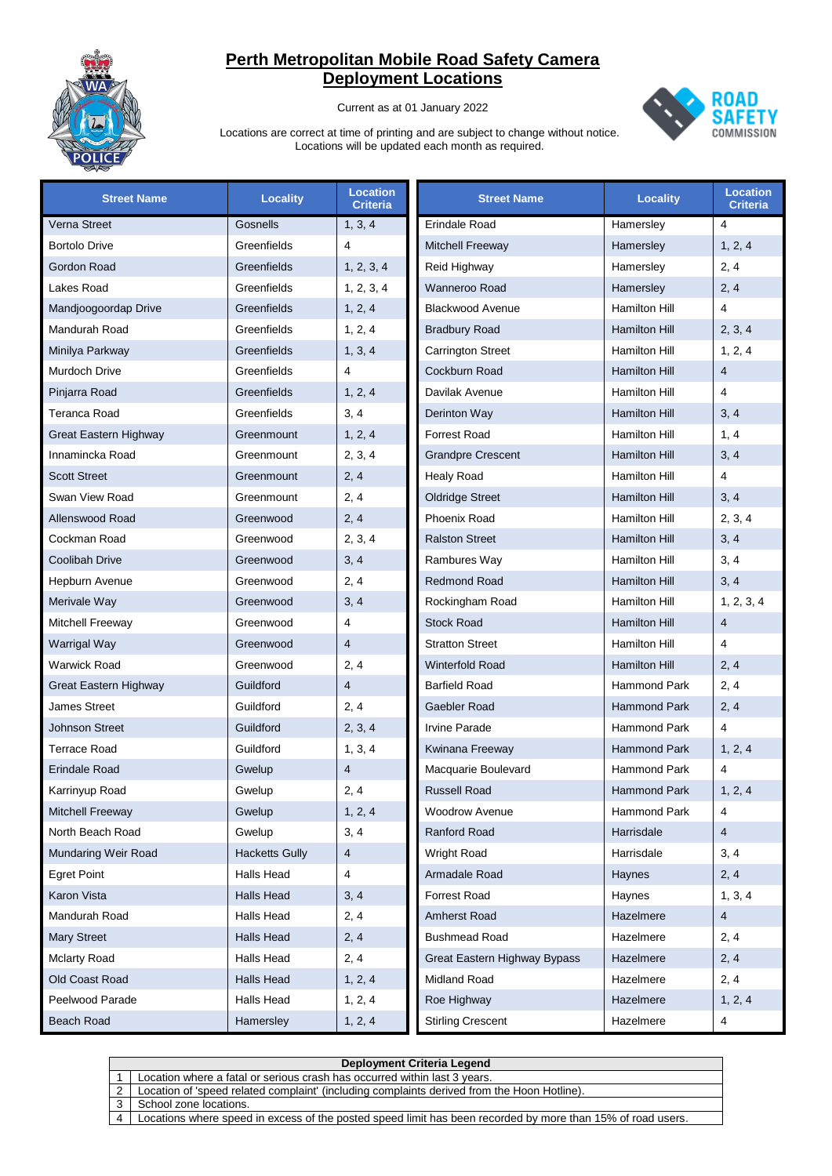

Current as at 01 January 2022



| <b>Street Name</b>    | <b>Locality</b>       | <b>Location</b><br><b>Criteria</b> | <b>Street Name</b>           | <b>Locality</b>      | <b>Location</b><br><b>Criteria</b> |
|-----------------------|-----------------------|------------------------------------|------------------------------|----------------------|------------------------------------|
| Verna Street          | Gosnells              | 1, 3, 4                            | Erindale Road                | Hamersley            | 4                                  |
| <b>Bortolo Drive</b>  | Greenfields           | 4                                  | <b>Mitchell Freeway</b>      | Hamersley            | 1, 2, 4                            |
| Gordon Road           | Greenfields           | 1, 2, 3, 4                         | Reid Highway                 | Hamersley            | 2, 4                               |
| Lakes Road            | Greenfields           | 1, 2, 3, 4                         | Wanneroo Road                | Hamersley            | 2, 4                               |
| Mandjoogoordap Drive  | Greenfields           | 1, 2, 4                            | <b>Blackwood Avenue</b>      | Hamilton Hill        | 4                                  |
| Mandurah Road         | Greenfields           | 1, 2, 4                            | <b>Bradbury Road</b>         | <b>Hamilton Hill</b> | 2, 3, 4                            |
| Minilya Parkway       | Greenfields           | 1, 3, 4                            | <b>Carrington Street</b>     | Hamilton Hill        | 1, 2, 4                            |
| <b>Murdoch Drive</b>  | Greenfields           | 4                                  | Cockburn Road                | <b>Hamilton Hill</b> | $\overline{4}$                     |
| Pinjarra Road         | Greenfields           | 1, 2, 4                            | Davilak Avenue               | Hamilton Hill        | $\overline{4}$                     |
| <b>Teranca Road</b>   | Greenfields           | 3, 4                               | Derinton Way                 | <b>Hamilton Hill</b> | 3, 4                               |
| Great Eastern Highway | Greenmount            | 1, 2, 4                            | <b>Forrest Road</b>          | Hamilton Hill        | 1, 4                               |
| Innamincka Road       | Greenmount            | 2, 3, 4                            | <b>Grandpre Crescent</b>     | <b>Hamilton Hill</b> | 3, 4                               |
| <b>Scott Street</b>   | Greenmount            | 2, 4                               | <b>Healy Road</b>            | Hamilton Hill        | $\overline{4}$                     |
| Swan View Road        | Greenmount            | 2, 4                               | <b>Oldridge Street</b>       | <b>Hamilton Hill</b> | 3, 4                               |
| Allenswood Road       | Greenwood             | 2, 4                               | <b>Phoenix Road</b>          | Hamilton Hill        | 2, 3, 4                            |
| Cockman Road          | Greenwood             | 2, 3, 4                            | <b>Ralston Street</b>        | <b>Hamilton Hill</b> | 3, 4                               |
| <b>Coolibah Drive</b> | Greenwood             | 3, 4                               | Rambures Way                 | Hamilton Hill        | 3, 4                               |
| Hepburn Avenue        | Greenwood             | 2, 4                               | <b>Redmond Road</b>          | <b>Hamilton Hill</b> | 3, 4                               |
| Merivale Way          | Greenwood             | 3, 4                               | Rockingham Road              | Hamilton Hill        | 1, 2, 3, 4                         |
| Mitchell Freeway      | Greenwood             | 4                                  | <b>Stock Road</b>            | <b>Hamilton Hill</b> | $\overline{4}$                     |
| Warrigal Way          | Greenwood             | $\overline{4}$                     | <b>Stratton Street</b>       | Hamilton Hill        | 4                                  |
| <b>Warwick Road</b>   | Greenwood             | 2, 4                               | <b>Winterfold Road</b>       | <b>Hamilton Hill</b> | 2, 4                               |
| Great Eastern Highway | Guildford             | 4                                  | <b>Barfield Road</b>         | <b>Hammond Park</b>  | 2, 4                               |
| <b>James Street</b>   | Guildford             | 2, 4                               | Gaebler Road                 | <b>Hammond Park</b>  | 2, 4                               |
| <b>Johnson Street</b> | Guildford             | 2, 3, 4                            | <b>Irvine Parade</b>         | <b>Hammond Park</b>  | 4                                  |
| <b>Terrace Road</b>   | Guildford             | 1, 3, 4                            | Kwinana Freeway              | <b>Hammond Park</b>  | 1, 2, 4                            |
| <b>Erindale Road</b>  | Gwelup                | 4                                  | Macquarie Boulevard          | <b>Hammond Park</b>  | $\overline{\mathbf{4}}$            |
| Karrinyup Road        | Gwelup                | 2, 4                               | <b>Russell Road</b>          | <b>Hammond Park</b>  | 1, 2, 4                            |
| Mitchell Freeway      | Gwelup                | 1, 2, 4                            | <b>Woodrow Avenue</b>        | Hammond Park         | 4                                  |
| North Beach Road      | Gwelup                | 3, 4                               | Ranford Road                 | Harrisdale           | 4                                  |
| Mundaring Weir Road   | <b>Hacketts Gully</b> | 4                                  | Wright Road                  | Harrisdale           | 3, 4                               |
| <b>Egret Point</b>    | Halls Head            | 4                                  | Armadale Road                | Haynes               | 2, 4                               |
| Karon Vista           | Halls Head            | 3, 4                               | <b>Forrest Road</b>          | Haynes               | 1, 3, 4                            |
| Mandurah Road         | Halls Head            | 2, 4                               | Amherst Road                 | Hazelmere            | 4                                  |
| <b>Mary Street</b>    | <b>Halls Head</b>     | 2, 4                               | <b>Bushmead Road</b>         | Hazelmere            | 2, 4                               |
| <b>Mclarty Road</b>   | Halls Head            | 2, 4                               | Great Eastern Highway Bypass | Hazelmere            | 2, 4                               |
| Old Coast Road        | <b>Halls Head</b>     | 1, 2, 4                            | Midland Road                 | Hazelmere            | 2, 4                               |
| Peelwood Parade       | Halls Head            | 1, 2, 4                            | Roe Highway                  | Hazelmere            | 1, 2, 4                            |
| Beach Road            | Hamersley             | 1, 2, 4                            | <b>Stirling Crescent</b>     | Hazelmere            | 4                                  |

|   | <b>Deployment Criteria Legend</b>                                                                           |  |  |  |
|---|-------------------------------------------------------------------------------------------------------------|--|--|--|
|   | Location where a fatal or serious crash has occurred within last 3 years.                                   |  |  |  |
|   | Location of 'speed related complaint' (including complaints derived from the Hoon Hotline).                 |  |  |  |
|   | School zone locations.                                                                                      |  |  |  |
| 4 | Locations where speed in excess of the posted speed limit has been recorded by more than 15% of road users. |  |  |  |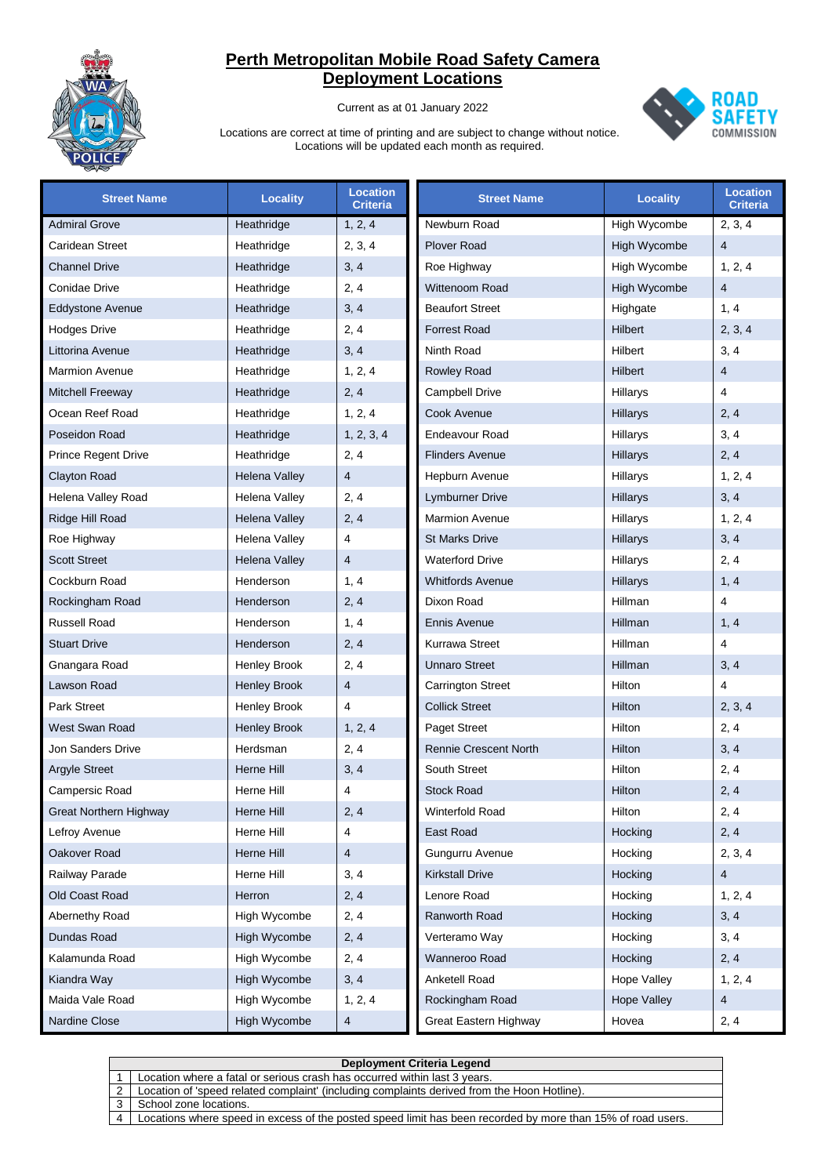

Current as at 01 January 2022



| <b>Street Name</b>            | <b>Locality</b>      | <b>Location</b><br><b>Criteria</b> | <b>Street Name</b>           | <b>Locality</b>    | <b>Location</b><br><b>Criteria</b> |
|-------------------------------|----------------------|------------------------------------|------------------------------|--------------------|------------------------------------|
| <b>Admiral Grove</b>          | Heathridge           | 1, 2, 4                            | Newburn Road                 | High Wycombe       | 2, 3, 4                            |
| Caridean Street               | Heathridge           | 2, 3, 4                            | <b>Plover Road</b>           | High Wycombe       | 4                                  |
| <b>Channel Drive</b>          | Heathridge           | 3, 4                               | Roe Highway                  | High Wycombe       | 1, 2, 4                            |
| Conidae Drive                 | Heathridge           | 2, 4                               | Wittenoom Road               | High Wycombe       | $\overline{4}$                     |
| Eddystone Avenue              | Heathridge           | 3, 4                               | <b>Beaufort Street</b>       | Highgate           | 1, 4                               |
| <b>Hodges Drive</b>           | Heathridge           | 2, 4                               | <b>Forrest Road</b>          | Hilbert            | 2, 3, 4                            |
| Littorina Avenue              | Heathridge           | 3, 4                               | Ninth Road                   | Hilbert            | 3, 4                               |
| <b>Marmion Avenue</b>         | Heathridge           | 1, 2, 4                            | <b>Rowley Road</b>           | Hilbert            | 4                                  |
| Mitchell Freeway              | Heathridge           | 2, 4                               | <b>Campbell Drive</b>        | Hillarys           | 4                                  |
| Ocean Reef Road               | Heathridge           | 1, 2, 4                            | Cook Avenue                  | Hillarys           | 2, 4                               |
| Poseidon Road                 | Heathridge           | 1, 2, 3, 4                         | Endeavour Road               | Hillarys           | 3, 4                               |
| <b>Prince Regent Drive</b>    | Heathridge           | 2, 4                               | <b>Flinders Avenue</b>       | Hillarys           | 2, 4                               |
| <b>Clayton Road</b>           | <b>Helena Valley</b> | $\overline{4}$                     | Hepburn Avenue               | Hillarys           | 1, 2, 4                            |
| Helena Valley Road            | Helena Valley        | 2, 4                               | Lymburner Drive              | Hillarys           | 3, 4                               |
| Ridge Hill Road               | Helena Valley        | 2, 4                               | <b>Marmion Avenue</b>        | Hillarys           | 1, 2, 4                            |
| Roe Highway                   | Helena Valley        | 4                                  | <b>St Marks Drive</b>        | Hillarys           | 3, 4                               |
| <b>Scott Street</b>           | <b>Helena Valley</b> | $\overline{4}$                     | <b>Waterford Drive</b>       | Hillarys           | 2, 4                               |
| Cockburn Road                 | Henderson            | 1, 4                               | <b>Whitfords Avenue</b>      | Hillarys           | 1, 4                               |
| Rockingham Road               | Henderson            | 2, 4                               | Dixon Road                   | Hillman            | $\overline{4}$                     |
| <b>Russell Road</b>           | Henderson            | 1, 4                               | <b>Ennis Avenue</b>          | <b>Hillman</b>     | 1, 4                               |
| <b>Stuart Drive</b>           | Henderson            | 2, 4                               | Kurrawa Street               | Hillman            | $\overline{4}$                     |
| Gnangara Road                 | <b>Henley Brook</b>  | 2, 4                               | <b>Unnaro Street</b>         | Hillman            | 3, 4                               |
| Lawson Road                   | <b>Henley Brook</b>  | $\overline{4}$                     | <b>Carrington Street</b>     | Hilton             | $\overline{\mathbf{4}}$            |
| <b>Park Street</b>            | <b>Henley Brook</b>  | 4                                  | <b>Collick Street</b>        | Hilton             | 2, 3, 4                            |
| West Swan Road                | <b>Henley Brook</b>  | 1, 2, 4                            | <b>Paget Street</b>          | Hilton             | 2, 4                               |
| Jon Sanders Drive             | Herdsman             | 2, 4                               | <b>Rennie Crescent North</b> | Hilton             | 3, 4                               |
| <b>Argyle Street</b>          | Herne Hill           | 3, 4                               | South Street                 | Hilton             | 2, 4                               |
| Campersic Road                | Herne Hill           | 4                                  | <b>Stock Road</b>            | Hilton             | 2, 4                               |
| <b>Great Northern Highway</b> | Herne Hill           | 2, 4                               | Winterfold Road              | Hilton             | 2, 4                               |
| Lefroy Avenue                 | Herne Hill           | 4                                  | East Road                    | Hocking            | 2, 4                               |
| Oakover Road                  | Herne Hill           | 4                                  | Gungurru Avenue              | Hocking            | 2, 3, 4                            |
| Railway Parade                | Herne Hill           | 3, 4                               | <b>Kirkstall Drive</b>       | Hocking            | 4                                  |
| Old Coast Road                | Herron               | 2, 4                               | Lenore Road                  | Hocking            | 1, 2, 4                            |
| Abernethy Road                | High Wycombe         | 2, 4                               | Ranworth Road                | Hocking            | 3, 4                               |
| Dundas Road                   | High Wycombe         | 2, 4                               | Verteramo Way                | Hocking            | 3, 4                               |
| Kalamunda Road                | High Wycombe         | 2, 4                               | Wanneroo Road                | Hocking            | 2, 4                               |
| Kiandra Way                   | High Wycombe         | 3, 4                               | Anketell Road                | <b>Hope Valley</b> | 1, 2, 4                            |
| Maida Vale Road               | High Wycombe         | 1, 2, 4                            | Rockingham Road              | <b>Hope Valley</b> | 4                                  |
| Nardine Close                 | High Wycombe         | $\overline{4}$                     | Great Eastern Highway        | Hovea              | 2, 4                               |

|   | Deployment Criteria Legend                                                                                  |  |  |  |
|---|-------------------------------------------------------------------------------------------------------------|--|--|--|
|   | Location where a fatal or serious crash has occurred within last 3 years.                                   |  |  |  |
| 2 | Location of 'speed related complaint' (including complaints derived from the Hoon Hotline).                 |  |  |  |
|   | School zone locations.                                                                                      |  |  |  |
| 4 | Locations where speed in excess of the posted speed limit has been recorded by more than 15% of road users. |  |  |  |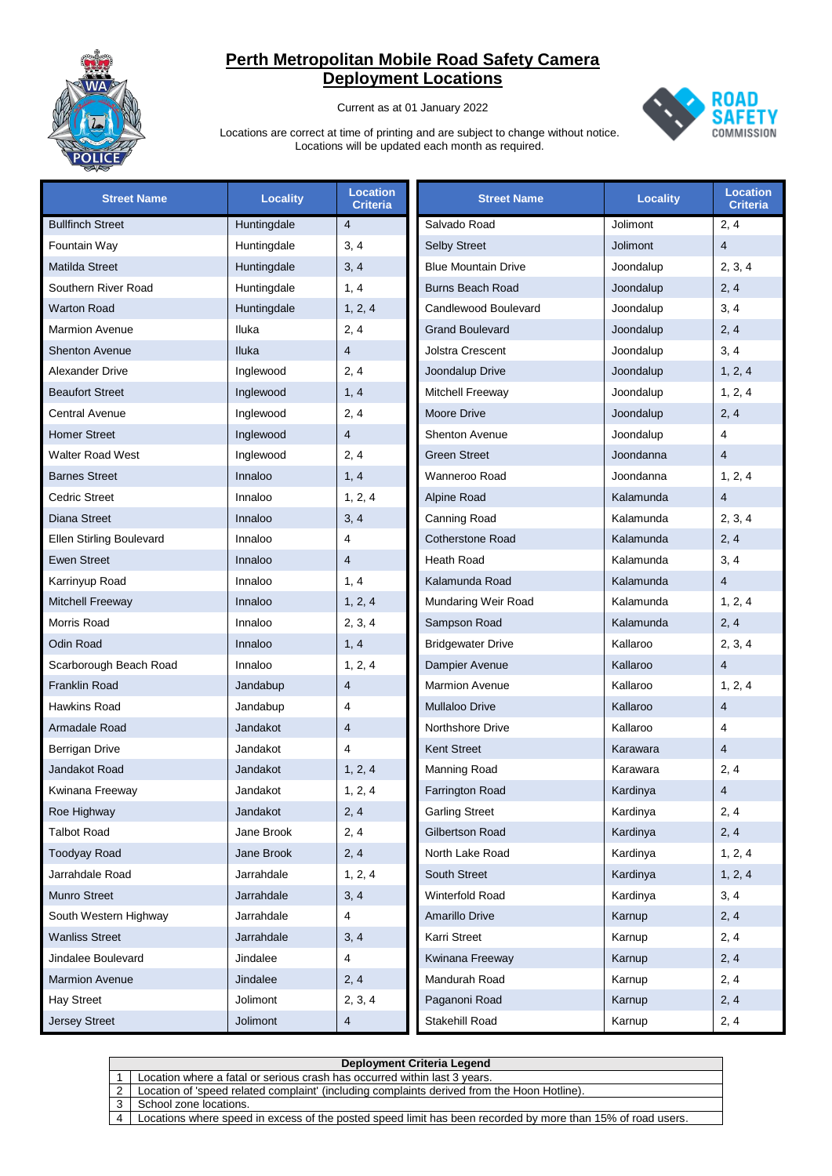

Current as at 01 January 2022



| <b>Street Name</b>              | <b>Locality</b> | <b>Location</b><br><b>Criteria</b> | <b>Street Name</b>         | <b>Locality</b> | <b>Location</b><br><b>Criteria</b> |
|---------------------------------|-----------------|------------------------------------|----------------------------|-----------------|------------------------------------|
| <b>Bullfinch Street</b>         | Huntingdale     | $\overline{4}$                     | Salvado Road               | Jolimont        | 2, 4                               |
| Fountain Way                    | Huntingdale     | 3, 4                               | <b>Selby Street</b>        | Jolimont        | $\overline{4}$                     |
| Matilda Street                  | Huntingdale     | 3, 4                               | <b>Blue Mountain Drive</b> | Joondalup       | 2, 3, 4                            |
| Southern River Road             | Huntingdale     | 1, 4                               | <b>Burns Beach Road</b>    | Joondalup       | 2, 4                               |
| <b>Warton Road</b>              | Huntingdale     | 1, 2, 4                            | Candlewood Boulevard       | Joondalup       | 3, 4                               |
| <b>Marmion Avenue</b>           | Iluka           | 2, 4                               | <b>Grand Boulevard</b>     | Joondalup       | 2, 4                               |
| <b>Shenton Avenue</b>           | Iluka           | $\overline{4}$                     | Jolstra Crescent           | Joondalup       | 3, 4                               |
| <b>Alexander Drive</b>          | Inglewood       | 2, 4                               | Joondalup Drive            | Joondalup       | 1, 2, 4                            |
| <b>Beaufort Street</b>          | Inglewood       | 1, 4                               | Mitchell Freeway           | Joondalup       | 1, 2, 4                            |
| <b>Central Avenue</b>           | Inglewood       | 2, 4                               | Moore Drive                | Joondalup       | 2, 4                               |
| <b>Homer Street</b>             | Inglewood       | $\overline{4}$                     | <b>Shenton Avenue</b>      | Joondalup       | 4                                  |
| <b>Walter Road West</b>         | Inglewood       | 2, 4                               | <b>Green Street</b>        | Joondanna       | $\overline{4}$                     |
| <b>Barnes Street</b>            | Innaloo         | 1, 4                               | Wanneroo Road              | Joondanna       | 1, 2, 4                            |
| <b>Cedric Street</b>            | Innaloo         | 1, 2, 4                            | Alpine Road                | Kalamunda       | $\overline{4}$                     |
| Diana Street                    | Innaloo         | 3, 4                               | Canning Road               | Kalamunda       | 2, 3, 4                            |
| <b>Ellen Stirling Boulevard</b> | Innaloo         | 4                                  | <b>Cotherstone Road</b>    | Kalamunda       | 2, 4                               |
| <b>Ewen Street</b>              | Innaloo         | 4                                  | Heath Road                 | Kalamunda       | 3, 4                               |
| Karrinyup Road                  | Innaloo         | 1, 4                               | Kalamunda Road             | Kalamunda       | $\overline{4}$                     |
| <b>Mitchell Freeway</b>         | Innaloo         | 1, 2, 4                            | Mundaring Weir Road        | Kalamunda       | 1, 2, 4                            |
| Morris Road                     | Innaloo         | 2, 3, 4                            | Sampson Road               | Kalamunda       | 2, 4                               |
| <b>Odin Road</b>                | Innaloo         | 1, 4                               | <b>Bridgewater Drive</b>   | Kallaroo        | 2, 3, 4                            |
| Scarborough Beach Road          | Innaloo         | 1, 2, 4                            | Dampier Avenue             | Kallaroo        | $\overline{4}$                     |
| <b>Franklin Road</b>            | Jandabup        | $\overline{4}$                     | <b>Marmion Avenue</b>      | Kallaroo        | 1, 2, 4                            |
| Hawkins Road                    | Jandabup        | 4                                  | <b>Mullaloo Drive</b>      | Kallaroo        | $\overline{4}$                     |
| Armadale Road                   | Jandakot        | $\overline{4}$                     | <b>Northshore Drive</b>    | Kallaroo        | $\overline{4}$                     |
| Berrigan Drive                  | Jandakot        | 4                                  | Kent Street                | Karawara        | $\overline{4}$                     |
| <b>Jandakot Road</b>            | Jandakot        | 1, 2, 4                            | Manning Road               | Karawara        | 2, 4                               |
| Kwinana Freeway                 | Jandakot        | 1, 2, 4                            | Farrington Road            | Kardinya        | $\overline{4}$                     |
| Roe Highway                     | Jandakot        | 2, 4                               | <b>Garling Street</b>      | Kardinya        | 2, 4                               |
| <b>Talbot Road</b>              | Jane Brook      | 2, 4                               | Gilbertson Road            | Kardinya        | 2, 4                               |
| <b>Toodyay Road</b>             | Jane Brook      | 2, 4                               | North Lake Road            | Kardinya        | 1, 2, 4                            |
| Jarrahdale Road                 | Jarrahdale      | 1, 2, 4                            | South Street               | Kardinya        | 1, 2, 4                            |
| <b>Munro Street</b>             | Jarrahdale      | 3, 4                               | Winterfold Road            | Kardinya        | 3, 4                               |
| South Western Highway           | Jarrahdale      | 4                                  | Amarillo Drive             | Karnup          | 2, 4                               |
| <b>Wanliss Street</b>           | Jarrahdale      | 3, 4                               | Karri Street               | Karnup          | 2, 4                               |
| Jindalee Boulevard              | Jindalee        | 4                                  | Kwinana Freeway            | Karnup          | 2, 4                               |
| <b>Marmion Avenue</b>           | Jindalee        | 2, 4                               | Mandurah Road              | Karnup          | 2, 4                               |
| <b>Hay Street</b>               | Jolimont        | 2, 3, 4                            | Paganoni Road              | Karnup          | 2, 4                               |
| <b>Jersey Street</b>            | Jolimont        | $\overline{\mathcal{A}}$           | Stakehill Road             | Karnup          | 2, 4                               |

|                       | Deployment Criteria Legend                                                                                  |  |  |  |  |
|-----------------------|-------------------------------------------------------------------------------------------------------------|--|--|--|--|
|                       | Location where a fatal or serious crash has occurred within last 3 years.                                   |  |  |  |  |
| $\mathcal{P}$         | Location of 'speed related complaint' (including complaints derived from the Hoon Hotline).                 |  |  |  |  |
|                       | School zone locations.                                                                                      |  |  |  |  |
| $\boldsymbol{\Delta}$ | Locations where speed in excess of the posted speed limit has been recorded by more than 15% of road users. |  |  |  |  |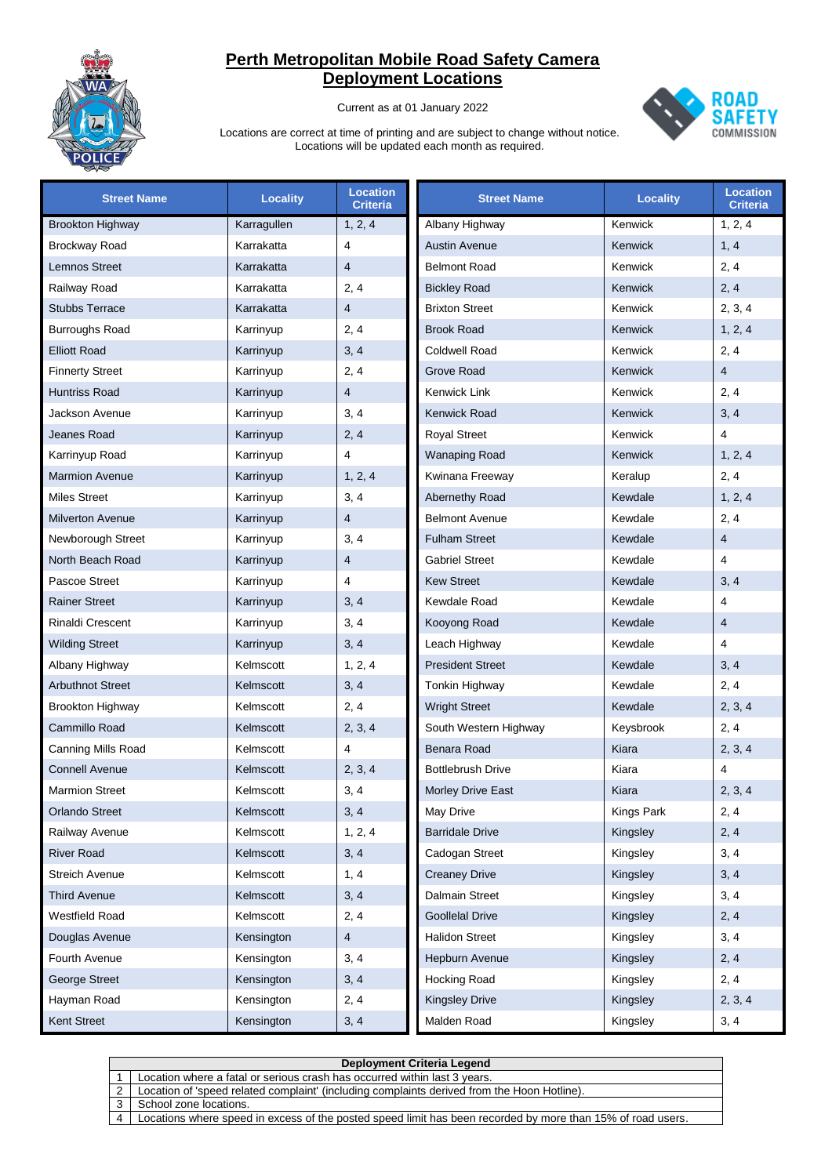

Current as at 01 January 2022



| <b>Street Name</b>      | <b>Locality</b> | <b>Location</b><br><b>Criteria</b> | <b>Street Name</b>       | <b>Locality</b> | <b>Location</b><br><b>Criteria</b> |
|-------------------------|-----------------|------------------------------------|--------------------------|-----------------|------------------------------------|
| <b>Brookton Highway</b> | Karragullen     | 1, 2, 4                            | Albany Highway           | Kenwick         | 1, 2, 4                            |
| <b>Brockway Road</b>    | Karrakatta      | $\overline{4}$                     | <b>Austin Avenue</b>     | Kenwick         | 1, 4                               |
| <b>Lemnos Street</b>    | Karrakatta      | $\overline{4}$                     | <b>Belmont Road</b>      | Kenwick         | 2, 4                               |
| Railway Road            | Karrakatta      | 2, 4                               | <b>Bickley Road</b>      | Kenwick         | 2, 4                               |
| <b>Stubbs Terrace</b>   | Karrakatta      | 4                                  | <b>Brixton Street</b>    | Kenwick         | 2, 3, 4                            |
| <b>Burroughs Road</b>   | Karrinyup       | 2, 4                               | <b>Brook Road</b>        | Kenwick         | 1, 2, 4                            |
| <b>Elliott Road</b>     | Karrinyup       | 3, 4                               | <b>Coldwell Road</b>     | Kenwick         | 2, 4                               |
| <b>Finnerty Street</b>  | Karrinyup       | 2, 4                               | Grove Road               | Kenwick         | $\overline{4}$                     |
| <b>Huntriss Road</b>    | Karrinyup       | 4                                  | Kenwick Link             | Kenwick         | 2, 4                               |
| Jackson Avenue          | Karrinyup       | 3, 4                               | Kenwick Road             | Kenwick         | 3, 4                               |
| Jeanes Road             | Karrinyup       | 2, 4                               | <b>Royal Street</b>      | Kenwick         | $\overline{4}$                     |
| Karrinyup Road          | Karrinyup       | 4                                  | <b>Wanaping Road</b>     | Kenwick         | 1, 2, 4                            |
| <b>Marmion Avenue</b>   | Karrinyup       | 1, 2, 4                            | Kwinana Freeway          | Keralup         | 2, 4                               |
| <b>Miles Street</b>     | Karrinyup       | 3, 4                               | Abernethy Road           | Kewdale         | 1, 2, 4                            |
| <b>Milverton Avenue</b> | Karrinyup       | 4                                  | <b>Belmont Avenue</b>    | Kewdale         | 2, 4                               |
| Newborough Street       | Karrinyup       | 3, 4                               | <b>Fulham Street</b>     | Kewdale         | $\overline{4}$                     |
| North Beach Road        | Karrinyup       | 4                                  | <b>Gabriel Street</b>    | Kewdale         | 4                                  |
| Pascoe Street           | Karrinyup       | $\overline{4}$                     | <b>Kew Street</b>        | Kewdale         | 3, 4                               |
| <b>Rainer Street</b>    | Karrinyup       | 3, 4                               | Kewdale Road             | Kewdale         | $\overline{4}$                     |
| <b>Rinaldi Crescent</b> | Karrinyup       | 3, 4                               | Kooyong Road             | Kewdale         | $\overline{4}$                     |
| <b>Wilding Street</b>   | Karrinyup       | 3, 4                               | Leach Highway            | Kewdale         | 4                                  |
| Albany Highway          | Kelmscott       | 1, 2, 4                            | <b>President Street</b>  | Kewdale         | 3, 4                               |
| <b>Arbuthnot Street</b> | Kelmscott       | 3, 4                               | Tonkin Highway           | Kewdale         | 2, 4                               |
| <b>Brookton Highway</b> | Kelmscott       | 2, 4                               | <b>Wright Street</b>     | Kewdale         | 2, 3, 4                            |
| Cammillo Road           | Kelmscott       | 2, 3, 4                            | South Western Highway    | Keysbrook       | 2, 4                               |
| Canning Mills Road      | Kelmscott       | 4                                  | <b>Benara Road</b>       | Kiara           | 2, 3, 4                            |
| <b>Connell Avenue</b>   | Kelmscott       | 2, 3, 4                            | <b>Bottlebrush Drive</b> | Kiara           | $\overline{\mathbf{4}}$            |
| <b>Marmion Street</b>   | Kelmscott       | 3, 4                               | <b>Morley Drive East</b> | Kiara           | 2, 3, 4                            |
| <b>Orlando Street</b>   | Kelmscott       | 3, 4                               | May Drive                | Kings Park      | 2, 4                               |
| Railway Avenue          | Kelmscott       | 1, 2, 4                            | <b>Barridale Drive</b>   | Kingsley        | 2, 4                               |
| <b>River Road</b>       | Kelmscott       | 3, 4                               | Cadogan Street           | Kingsley        | 3, 4                               |
| Streich Avenue          | Kelmscott       | 1, 4                               | <b>Creaney Drive</b>     | Kingsley        | 3, 4                               |
| <b>Third Avenue</b>     | Kelmscott       | 3, 4                               | <b>Dalmain Street</b>    | Kingsley        | 3, 4                               |
| <b>Westfield Road</b>   | Kelmscott       | 2, 4                               | <b>Goollelal Drive</b>   | Kingsley        | 2, 4                               |
| Douglas Avenue          | Kensington      | 4                                  | <b>Halidon Street</b>    | Kingsley        | 3, 4                               |
| Fourth Avenue           | Kensington      | 3, 4                               | Hepburn Avenue           | Kingsley        | 2, 4                               |
| George Street           | Kensington      | 3, 4                               | <b>Hocking Road</b>      | Kingsley        | 2, 4                               |
| Hayman Road             | Kensington      | 2, 4                               | <b>Kingsley Drive</b>    | Kingsley        | 2, 3, 4                            |
| Kent Street             | Kensington      | 3, 4                               | Malden Road              | Kingsley        | 3, 4                               |

|          | <b>Deployment Criteria Legend</b>                                                                           |  |  |  |  |
|----------|-------------------------------------------------------------------------------------------------------------|--|--|--|--|
|          | Location where a fatal or serious crash has occurred within last 3 years.                                   |  |  |  |  |
|          | Location of 'speed related complaint' (including complaints derived from the Hoon Hotline).                 |  |  |  |  |
|          | School zone locations.                                                                                      |  |  |  |  |
| $\Delta$ | Locations where speed in excess of the posted speed limit has been recorded by more than 15% of road users. |  |  |  |  |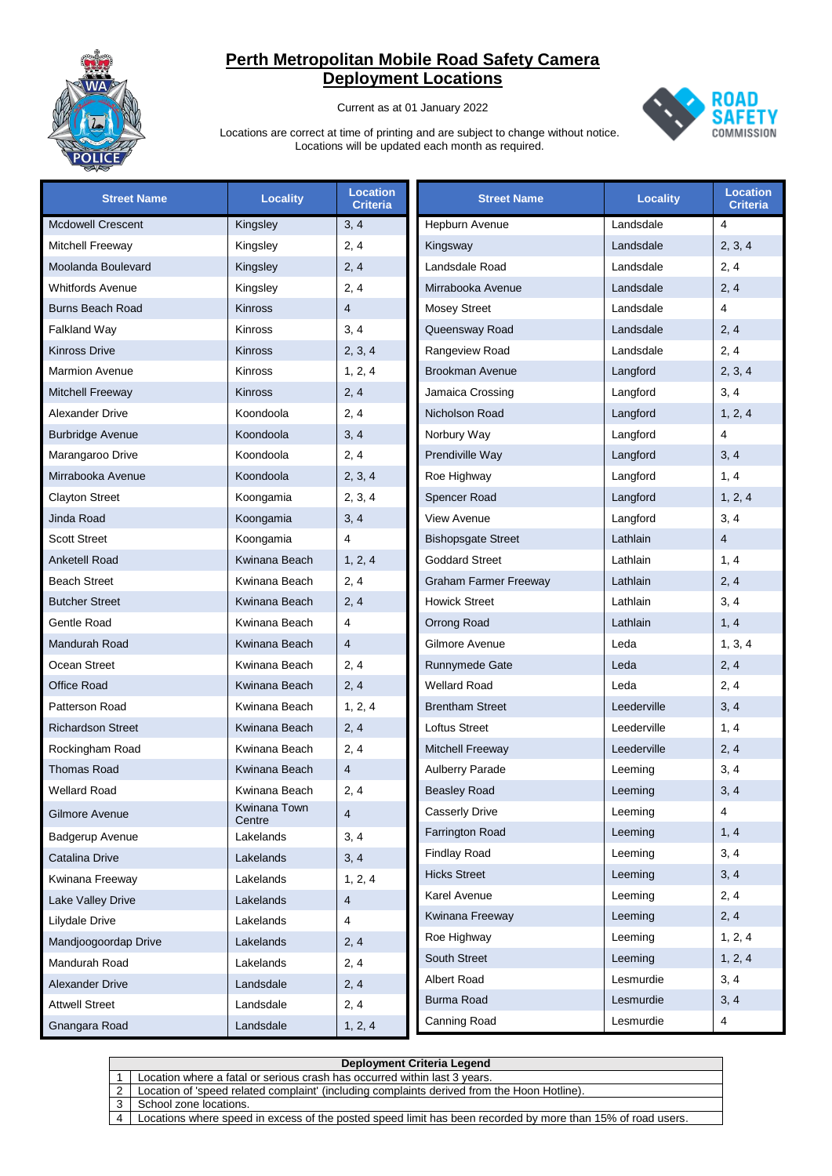

Current as at 01 January 2022



| <b>Street Name</b>       | <b>Locality</b>        | <b>Location</b><br><b>Criteria</b> | <b>Street Name</b>           | <b>Locality</b> | <b>Location</b><br><b>Criteria</b> |
|--------------------------|------------------------|------------------------------------|------------------------------|-----------------|------------------------------------|
| <b>Mcdowell Crescent</b> | Kingsley               | 3, 4                               | Hepburn Avenue               | Landsdale       | 4                                  |
| Mitchell Freeway         | Kingsley               | 2, 4                               | Kingsway                     | Landsdale       | 2, 3, 4                            |
| Moolanda Boulevard       | Kingsley               | 2, 4                               | Landsdale Road               | Landsdale       | 2, 4                               |
| <b>Whitfords Avenue</b>  | Kingsley               | 2, 4                               | Mirrabooka Avenue            | Landsdale       | 2, 4                               |
| <b>Burns Beach Road</b>  | Kinross                | $\overline{4}$                     | Mosey Street                 | Landsdale       | 4                                  |
| <b>Falkland Way</b>      | <b>Kinross</b>         | 3, 4                               | Queensway Road               | Landsdale       | 2, 4                               |
| <b>Kinross Drive</b>     | Kinross                | 2, 3, 4                            | Rangeview Road               | Landsdale       | 2, 4                               |
| <b>Marmion Avenue</b>    | Kinross                | 1, 2, 4                            | <b>Brookman Avenue</b>       | Langford        | 2, 3, 4                            |
| <b>Mitchell Freeway</b>  | <b>Kinross</b>         | 2, 4                               | Jamaica Crossing             | Langford        | 3, 4                               |
| Alexander Drive          | Koondoola              | 2, 4                               | Nicholson Road               | Langford        | 1, 2, 4                            |
| <b>Burbridge Avenue</b>  | Koondoola              | 3, 4                               | Norbury Way                  | Langford        | $\overline{4}$                     |
| Marangaroo Drive         | Koondoola              | 2, 4                               | Prendiville Way              | Langford        | 3, 4                               |
| Mirrabooka Avenue        | Koondoola              | 2, 3, 4                            | Roe Highway                  | Langford        | 1, 4                               |
| <b>Clayton Street</b>    | Koongamia              | 2, 3, 4                            | Spencer Road                 | Langford        | 1, 2, 4                            |
| Jinda Road               | Koongamia              | 3, 4                               | View Avenue                  | Langford        | 3, 4                               |
| <b>Scott Street</b>      | Koongamia              | 4                                  | <b>Bishopsgate Street</b>    | Lathlain        | $\overline{4}$                     |
| <b>Anketell Road</b>     | Kwinana Beach          | 1, 2, 4                            | Goddard Street               | Lathlain        | 1, 4                               |
| <b>Beach Street</b>      | Kwinana Beach          | 2, 4                               | <b>Graham Farmer Freeway</b> | Lathlain        | 2, 4                               |
| <b>Butcher Street</b>    | Kwinana Beach          | 2, 4                               | <b>Howick Street</b>         | Lathlain        | 3, 4                               |
| Gentle Road              | Kwinana Beach          | 4                                  | <b>Orrong Road</b>           | Lathlain        | 1, 4                               |
| Mandurah Road            | Kwinana Beach          | $\overline{4}$                     | Gilmore Avenue               | Leda            | 1, 3, 4                            |
| Ocean Street             | Kwinana Beach          | 2, 4                               | Runnymede Gate               | Leda            | 2, 4                               |
| <b>Office Road</b>       | Kwinana Beach          | 2, 4                               | <b>Wellard Road</b>          | Leda            | 2, 4                               |
| Patterson Road           | Kwinana Beach          | 1, 2, 4                            | <b>Brentham Street</b>       | Leederville     | 3, 4                               |
| <b>Richardson Street</b> | Kwinana Beach          | 2, 4                               | <b>Loftus Street</b>         | Leederville     | 1, 4                               |
| Rockingham Road          | Kwinana Beach          | 2, 4                               | <b>Mitchell Freeway</b>      | Leederville     | 2, 4                               |
| <b>Thomas Road</b>       | Kwinana Beach          | $\overline{4}$                     | <b>Aulberry Parade</b>       | Leeming         | 3, 4                               |
| <b>Wellard Road</b>      | Kwinana Beach          | 2, 4                               | <b>Beasley Road</b>          | Leeming         | 3, 4                               |
| Gilmore Avenue           | Kwinana Town<br>Centre | 4                                  | <b>Casserly Drive</b>        | Leeming         | 4                                  |
| Badgerup Avenue          | Lakelands              | 3, 4                               | <b>Farrington Road</b>       | Leeming         | 1, 4                               |
| Catalina Drive           | Lakelands              | 3, 4                               | <b>Findlay Road</b>          | Leeming         | 3, 4                               |
| Kwinana Freeway          | Lakelands              | 1, 2, 4                            | <b>Hicks Street</b>          | Leeming         | 3, 4                               |
| Lake Valley Drive        | Lakelands              | $\overline{4}$                     | Karel Avenue                 | Leeming         | 2, 4                               |
| Lilydale Drive           | Lakelands              | 4                                  | Kwinana Freeway              | Leeming         | 2, 4                               |
| Mandjoogoordap Drive     | Lakelands              | 2, 4                               | Roe Highway                  | Leeming         | 1, 2, 4                            |
| Mandurah Road            | Lakelands              | 2, 4                               | South Street                 | Leeming         | 1, 2, 4                            |
| <b>Alexander Drive</b>   | Landsdale              | 2, 4                               | Albert Road                  | Lesmurdie       | 3, 4                               |
| <b>Attwell Street</b>    | Landsdale              | 2, 4                               | <b>Burma Road</b>            | Lesmurdie       | 3, 4                               |
| Gnangara Road            | Landsdale              | 1, 2, 4                            | Canning Road                 | Lesmurdie       | 4                                  |

|                        | <b>Deployment Criteria Legend</b>                                                                           |
|------------------------|-------------------------------------------------------------------------------------------------------------|
|                        | Location where a fatal or serious crash has occurred within last 3 years.                                   |
|                        | Location of 'speed related complaint' (including complaints derived from the Hoon Hotline).                 |
|                        | School zone locations.                                                                                      |
| $\boldsymbol{\Lambda}$ | Locations where speed in excess of the posted speed limit has been recorded by more than 15% of road users. |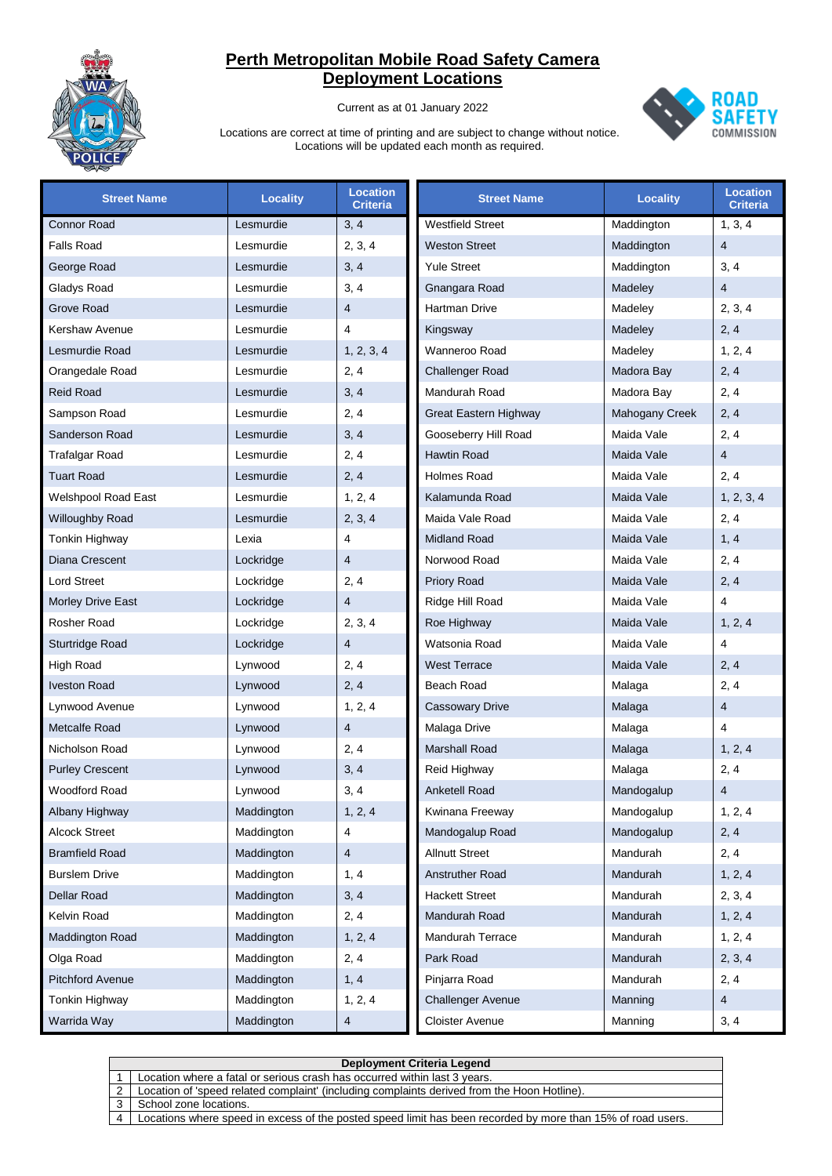

Current as at 01 January 2022



| <b>Street Name</b>         | <b>Locality</b> | <b>Location</b><br><b>Criteria</b> | <b>Street Name</b>       | <b>Locality</b> | <b>Location</b><br><b>Criteria</b> |
|----------------------------|-----------------|------------------------------------|--------------------------|-----------------|------------------------------------|
| <b>Connor Road</b>         | Lesmurdie       | 3, 4                               | <b>Westfield Street</b>  | Maddington      | 1, 3, 4                            |
| <b>Falls Road</b>          | Lesmurdie       | 2, 3, 4                            | <b>Weston Street</b>     | Maddington      | $\overline{4}$                     |
| George Road                | Lesmurdie       | 3, 4                               | <b>Yule Street</b>       | Maddington      | 3, 4                               |
| Gladys Road                | Lesmurdie       | 3, 4                               | Gnangara Road            | Madeley         | $\overline{4}$                     |
| Grove Road                 | Lesmurdie       | $\overline{4}$                     | Hartman Drive            | Madeley         | 2, 3, 4                            |
| Kershaw Avenue             | Lesmurdie       | 4                                  | Kingsway                 | Madeley         | 2, 4                               |
| Lesmurdie Road             | Lesmurdie       | 1, 2, 3, 4                         | Wanneroo Road            | Madeley         | 1, 2, 4                            |
| Orangedale Road            | Lesmurdie       | 2, 4                               | <b>Challenger Road</b>   | Madora Bay      | 2, 4                               |
| <b>Reid Road</b>           | Lesmurdie       | 3, 4                               | Mandurah Road            | Madora Bay      | 2, 4                               |
| Sampson Road               | Lesmurdie       | 2, 4                               | Great Eastern Highway    | Mahogany Creek  | 2, 4                               |
| Sanderson Road             | Lesmurdie       | 3, 4                               | Gooseberry Hill Road     | Maida Vale      | 2, 4                               |
| <b>Trafalgar Road</b>      | Lesmurdie       | 2, 4                               | <b>Hawtin Road</b>       | Maida Vale      | $\overline{4}$                     |
| <b>Tuart Road</b>          | Lesmurdie       | 2, 4                               | <b>Holmes Road</b>       | Maida Vale      | 2, 4                               |
| <b>Welshpool Road East</b> | Lesmurdie       | 1, 2, 4                            | Kalamunda Road           | Maida Vale      | 1, 2, 3, 4                         |
| Willoughby Road            | Lesmurdie       | 2, 3, 4                            | Maida Vale Road          | Maida Vale      | 2, 4                               |
| Tonkin Highway             | Lexia           | 4                                  | <b>Midland Road</b>      | Maida Vale      | 1, 4                               |
| Diana Crescent             | Lockridge       | $\overline{4}$                     | Norwood Road             | Maida Vale      | 2, 4                               |
| <b>Lord Street</b>         | Lockridge       | 2, 4                               | <b>Priory Road</b>       | Maida Vale      | 2, 4                               |
| <b>Morley Drive East</b>   | Lockridge       | $\overline{4}$                     | Ridge Hill Road          | Maida Vale      | 4                                  |
| <b>Rosher Road</b>         | Lockridge       | 2, 3, 4                            | Roe Highway              | Maida Vale      | 1, 2, 4                            |
| Sturtridge Road            | Lockridge       | $\overline{4}$                     | Watsonia Road            | Maida Vale      | 4                                  |
| <b>High Road</b>           | Lynwood         | 2, 4                               | <b>West Terrace</b>      | Maida Vale      | 2, 4                               |
| <b>Iveston Road</b>        | Lynwood         | 2, 4                               | Beach Road               | Malaga          | 2, 4                               |
| Lynwood Avenue             | Lynwood         | 1, 2, 4                            | <b>Cassowary Drive</b>   | Malaga          | $\overline{4}$                     |
| Metcalfe Road              | Lynwood         | $\overline{4}$                     | Malaga Drive             | Malaga          | 4                                  |
| Nicholson Road             | Lynwood         | 2, 4                               | <b>Marshall Road</b>     | Malaga          | 1, 2, 4                            |
| <b>Purley Crescent</b>     | Lynwood         | 3, 4                               | Reid Highway             | Malaga          | 2, 4                               |
| <b>Woodford Road</b>       | Lynwood         | 3, 4                               | <b>Anketell Road</b>     | Mandogalup      | $\overline{4}$                     |
| Albany Highway             | Maddington      | 1, 2, 4                            | Kwinana Freeway          | Mandogalup      | 1, 2, 4                            |
| <b>Alcock Street</b>       | Maddington      | 4                                  | Mandogalup Road          | Mandogalup      | 2, 4                               |
| <b>Bramfield Road</b>      | Maddington      | 4                                  | <b>Allnutt Street</b>    | Mandurah        | 2, 4                               |
| <b>Burslem Drive</b>       | Maddington      | 1, 4                               | Anstruther Road          | Mandurah        | 1, 2, 4                            |
| Dellar Road                | Maddington      | 3, 4                               | <b>Hackett Street</b>    | Mandurah        | 2, 3, 4                            |
| Kelvin Road                | Maddington      | 2, 4                               | Mandurah Road            | Mandurah        | 1, 2, 4                            |
| Maddington Road            | Maddington      | 1, 2, 4                            | Mandurah Terrace         | Mandurah        | 1, 2, 4                            |
| Olga Road                  | Maddington      | 2, 4                               | Park Road                | Mandurah        | 2, 3, 4                            |
| <b>Pitchford Avenue</b>    | Maddington      | 1, 4                               | Pinjarra Road            | Mandurah        | 2, 4                               |
| Tonkin Highway             | Maddington      | 1, 2, 4                            | <b>Challenger Avenue</b> | Manning         | $\overline{4}$                     |
| Warrida Way                | Maddington      | 4                                  | Cloister Avenue          | Manning         | 3, 4                               |

|   | <b>Deployment Criteria Legend</b>                                                                           |  |  |  |
|---|-------------------------------------------------------------------------------------------------------------|--|--|--|
|   | Location where a fatal or serious crash has occurred within last 3 years.                                   |  |  |  |
|   | Location of 'speed related complaint' (including complaints derived from the Hoon Hotline).                 |  |  |  |
|   | School zone locations.                                                                                      |  |  |  |
| 4 | Locations where speed in excess of the posted speed limit has been recorded by more than 15% of road users. |  |  |  |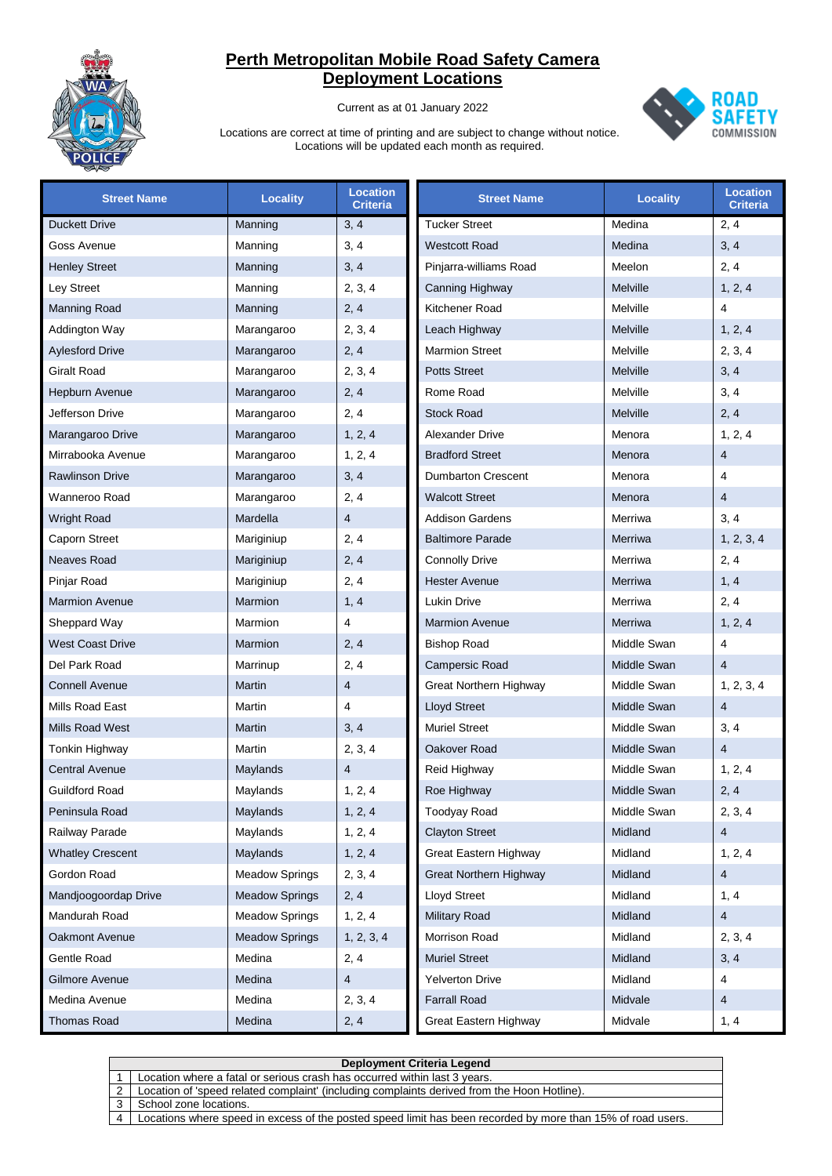

Current as at 01 January 2022



| <b>Street Name</b>      | <b>Locality</b>       | <b>Location</b><br>Criteria | <b>Street Name</b>            | <b>Locality</b> | <b>Location</b><br><b>Criteria</b> |
|-------------------------|-----------------------|-----------------------------|-------------------------------|-----------------|------------------------------------|
| <b>Duckett Drive</b>    | Manning               | 3, 4                        | <b>Tucker Street</b>          | Medina          | 2, 4                               |
| Goss Avenue             | Manning               | 3, 4                        | <b>Westcott Road</b>          | Medina          | 3, 4                               |
| <b>Henley Street</b>    | Manning               | 3, 4                        | Pinjarra-williams Road        | Meelon          | 2, 4                               |
| Ley Street              | Manning               | 2, 3, 4                     | Canning Highway               | Melville        | 1, 2, 4                            |
| <b>Manning Road</b>     | Manning               | 2, 4                        | Kitchener Road                | Melville        | $\overline{4}$                     |
| Addington Way           | Marangaroo            | 2, 3, 4                     | Leach Highway                 | Melville        | 1, 2, 4                            |
| <b>Aylesford Drive</b>  | Marangaroo            | 2, 4                        | <b>Marmion Street</b>         | Melville        | 2, 3, 4                            |
| Giralt Road             | Marangaroo            | 2, 3, 4                     | <b>Potts Street</b>           | Melville        | 3, 4                               |
| Hepburn Avenue          | Marangaroo            | 2, 4                        | Rome Road                     | Melville        | 3, 4                               |
| Jefferson Drive         | Marangaroo            | 2, 4                        | <b>Stock Road</b>             | Melville        | 2, 4                               |
| Marangaroo Drive        | Marangaroo            | 1, 2, 4                     | <b>Alexander Drive</b>        | Menora          | 1, 2, 4                            |
| Mirrabooka Avenue       | Marangaroo            | 1, 2, 4                     | <b>Bradford Street</b>        | Menora          | $\overline{4}$                     |
| <b>Rawlinson Drive</b>  | Marangaroo            | 3, 4                        | <b>Dumbarton Crescent</b>     | Menora          | 4                                  |
| Wanneroo Road           | Marangaroo            | 2, 4                        | <b>Walcott Street</b>         | Menora          | $\overline{4}$                     |
| <b>Wright Road</b>      | Mardella              | 4                           | Addison Gardens               | Merriwa         | 3, 4                               |
| Caporn Street           | Mariginiup            | 2, 4                        | <b>Baltimore Parade</b>       | Merriwa         | 1, 2, 3, 4                         |
| <b>Neaves Road</b>      | Mariginiup            | 2, 4                        | <b>Connolly Drive</b>         | Merriwa         | 2, 4                               |
| Pinjar Road             | Mariginiup            | 2, 4                        | <b>Hester Avenue</b>          | Merriwa         | 1, 4                               |
| <b>Marmion Avenue</b>   | Marmion               | 1, 4                        | Lukin Drive                   | Merriwa         | 2, 4                               |
| Sheppard Way            | Marmion               | 4                           | <b>Marmion Avenue</b>         | Merriwa         | 1, 2, 4                            |
| <b>West Coast Drive</b> | Marmion               | 2, 4                        | <b>Bishop Road</b>            | Middle Swan     | 4                                  |
| Del Park Road           | Marrinup              | 2, 4                        | Campersic Road                | Middle Swan     | $\overline{4}$                     |
| <b>Connell Avenue</b>   | Martin                | $\overline{4}$              | <b>Great Northern Highway</b> | Middle Swan     | 1, 2, 3, 4                         |
| Mills Road East         | Martin                | 4                           | <b>Lloyd Street</b>           | Middle Swan     | $\overline{4}$                     |
| <b>Mills Road West</b>  | <b>Martin</b>         | 3, 4                        | <b>Muriel Street</b>          | Middle Swan     | 3, 4                               |
| Tonkin Highway          | Martin                | 2, 3, 4                     | Oakover Road                  | Middle Swan     | 4                                  |
| <b>Central Avenue</b>   | Maylands              | 4                           | Reid Highway                  | Middle Swan     | 1, 2, 4                            |
| <b>Guildford Road</b>   | Maylands              | 1, 2, 4                     | Roe Highway                   | Middle Swan     | 2, 4                               |
| Peninsula Road          | Maylands              | 1, 2, 4                     | <b>Toodyay Road</b>           | Middle Swan     | 2, 3, 4                            |
| Railway Parade          | Maylands              | 1, 2, 4                     | <b>Clayton Street</b>         | Midland         | $\overline{4}$                     |
| <b>Whatley Crescent</b> | Maylands              | 1, 2, 4                     | Great Eastern Highway         | Midland         | 1, 2, 4                            |
| Gordon Road             | <b>Meadow Springs</b> | 2, 3, 4                     | <b>Great Northern Highway</b> | Midland         | $\overline{4}$                     |
| Mandjoogoordap Drive    | <b>Meadow Springs</b> | 2, 4                        | Lloyd Street                  | Midland         | 1, 4                               |
| Mandurah Road           | <b>Meadow Springs</b> | 1, 2, 4                     | <b>Military Road</b>          | Midland         | 4                                  |
| Oakmont Avenue          | <b>Meadow Springs</b> | 1, 2, 3, 4                  | Morrison Road                 | Midland         | 2, 3, 4                            |
| Gentle Road             | Medina                | 2, 4                        | <b>Muriel Street</b>          | Midland         | 3, 4                               |
| Gilmore Avenue          | Medina                | 4                           | <b>Yelverton Drive</b>        | Midland         | 4                                  |
| Medina Avenue           | Medina                | 2, 3, 4                     | <b>Farrall Road</b>           | Midvale         | $\overline{4}$                     |
| <b>Thomas Road</b>      | Medina                | 2, 4                        | Great Eastern Highway         | Midvale         | 1, 4                               |

|   | Deployment Criteria Legend                                                                                  |  |  |  |
|---|-------------------------------------------------------------------------------------------------------------|--|--|--|
|   | Location where a fatal or serious crash has occurred within last 3 years.                                   |  |  |  |
| 2 | Location of 'speed related complaint' (including complaints derived from the Hoon Hotline).                 |  |  |  |
|   | School zone locations.                                                                                      |  |  |  |
|   | Locations where speed in excess of the posted speed limit has been recorded by more than 15% of road users. |  |  |  |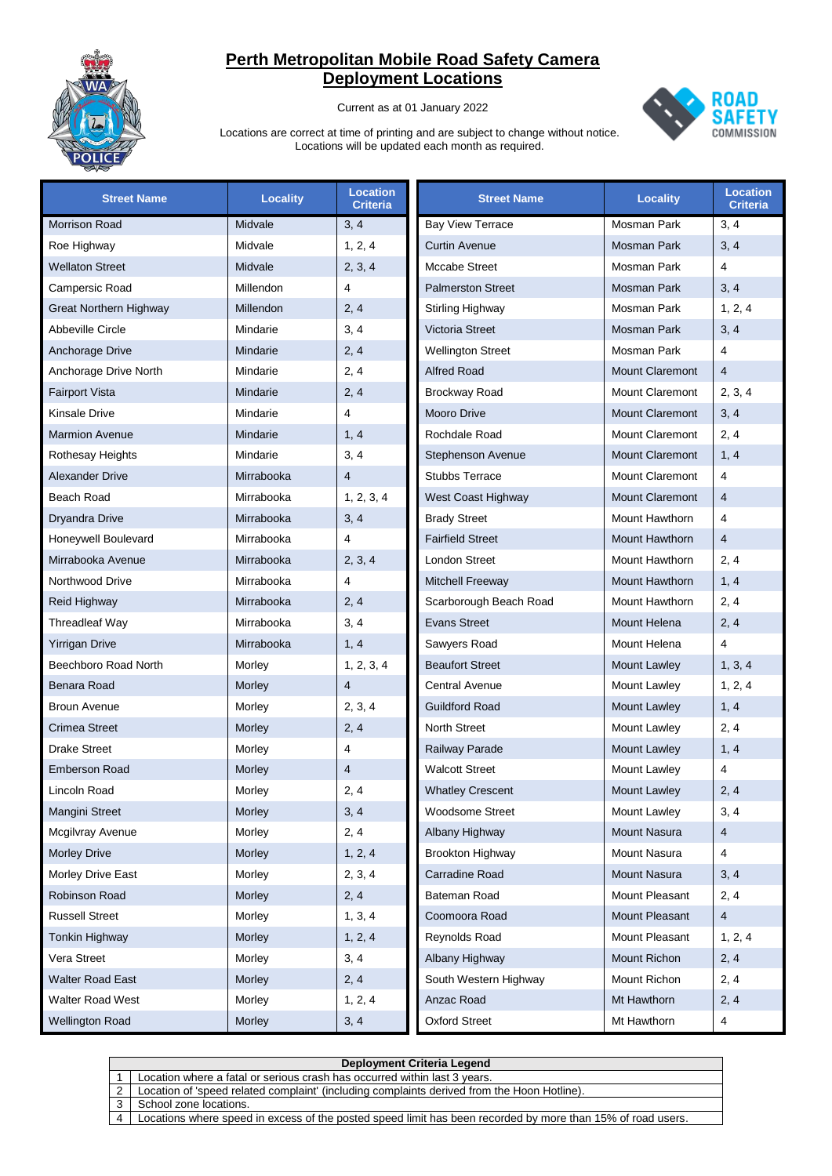

Current as at 01 January 2022



| <b>Street Name</b>     | <b>Locality</b> | <b>Location</b><br><b>Criteria</b> | <b>Street Name</b>       | <b>Locality</b>        | <b>Location</b><br><b>Criteria</b> |
|------------------------|-----------------|------------------------------------|--------------------------|------------------------|------------------------------------|
| Morrison Road          | Midvale         | 3, 4                               | <b>Bay View Terrace</b>  | Mosman Park            | 3, 4                               |
| Roe Highway            | Midvale         | 1, 2, 4                            | <b>Curtin Avenue</b>     | Mosman Park            | 3, 4                               |
| <b>Wellaton Street</b> | Midvale         | 2, 3, 4                            | Mccabe Street            | Mosman Park            | $\overline{4}$                     |
| Campersic Road         | Millendon       | 4                                  | <b>Palmerston Street</b> | <b>Mosman Park</b>     | 3, 4                               |
| Great Northern Highway | Millendon       | 2, 4                               | <b>Stirling Highway</b>  | Mosman Park            | 1, 2, 4                            |
| Abbeville Circle       | Mindarie        | 3, 4                               | Victoria Street          | Mosman Park            | 3, 4                               |
| Anchorage Drive        | Mindarie        | 2, 4                               | <b>Wellington Street</b> | Mosman Park            | $\overline{4}$                     |
| Anchorage Drive North  | Mindarie        | 2, 4                               | <b>Alfred Road</b>       | <b>Mount Claremont</b> | $\overline{4}$                     |
| <b>Fairport Vista</b>  | Mindarie        | 2, 4                               | <b>Brockway Road</b>     | Mount Claremont        | 2, 3, 4                            |
| Kinsale Drive          | Mindarie        | 4                                  | Mooro Drive              | <b>Mount Claremont</b> | 3, 4                               |
| <b>Marmion Avenue</b>  | Mindarie        | 1, 4                               | Rochdale Road            | Mount Claremont        | 2, 4                               |
| Rothesay Heights       | Mindarie        | 3, 4                               | Stephenson Avenue        | <b>Mount Claremont</b> | 1, 4                               |
| <b>Alexander Drive</b> | Mirrabooka      | $\overline{4}$                     | <b>Stubbs Terrace</b>    | <b>Mount Claremont</b> | $\overline{4}$                     |
| Beach Road             | Mirrabooka      | 1, 2, 3, 4                         | West Coast Highway       | <b>Mount Claremont</b> | $\overline{4}$                     |
| Dryandra Drive         | Mirrabooka      | 3, 4                               | <b>Brady Street</b>      | Mount Hawthorn         | $\overline{4}$                     |
| Honeywell Boulevard    | Mirrabooka      | 4                                  | <b>Fairfield Street</b>  | Mount Hawthorn         | $\overline{4}$                     |
| Mirrabooka Avenue      | Mirrabooka      | 2, 3, 4                            | London Street            | Mount Hawthorn         | 2, 4                               |
| Northwood Drive        | Mirrabooka      | 4                                  | <b>Mitchell Freeway</b>  | Mount Hawthorn         | 1, 4                               |
| Reid Highway           | Mirrabooka      | 2, 4                               | Scarborough Beach Road   | Mount Hawthorn         | 2, 4                               |
| Threadleaf Way         | Mirrabooka      | 3, 4                               | <b>Evans Street</b>      | Mount Helena           | 2, 4                               |
| <b>Yirrigan Drive</b>  | Mirrabooka      | 1, 4                               | Sawyers Road             | Mount Helena           | $\overline{4}$                     |
| Beechboro Road North   | Morley          | 1, 2, 3, 4                         | <b>Beaufort Street</b>   | Mount Lawley           | 1, 3, 4                            |
| Benara Road            | Morley          | $\overline{4}$                     | Central Avenue           | Mount Lawley           | 1, 2, 4                            |
| <b>Broun Avenue</b>    | Morley          | 2, 3, 4                            | <b>Guildford Road</b>    | <b>Mount Lawley</b>    | 1, 4                               |
| Crimea Street          | Morley          | 2, 4                               | North Street             | Mount Lawley           | 2, 4                               |
| <b>Drake Street</b>    | Morley          | 4                                  | Railway Parade           | Mount Lawley           | 1, 4                               |
| <b>Emberson Road</b>   | Morley          | $\overline{4}$                     | <b>Walcott Street</b>    | Mount Lawley           | $\overline{4}$                     |
| Lincoln Road           | Morley          | 2, 4                               | <b>Whatley Crescent</b>  | <b>Mount Lawley</b>    | 2, 4                               |
| Mangini Street         | Morley          | 3, 4                               | Woodsome Street          | Mount Lawley           | 3, 4                               |
| Mcgilvray Avenue       | Morley          | 2, 4                               | Albany Highway           | Mount Nasura           | $\overline{4}$                     |
| <b>Morley Drive</b>    | Morley          | 1, 2, 4                            | <b>Brookton Highway</b>  | <b>Mount Nasura</b>    | $\overline{4}$                     |
| Morley Drive East      | Morley          | 2, 3, 4                            | Carradine Road           | Mount Nasura           | 3, 4                               |
| Robinson Road          | Morley          | 2, 4                               | Bateman Road             | Mount Pleasant         | 2, 4                               |
| <b>Russell Street</b>  | Morley          | 1, 3, 4                            | Coomoora Road            | Mount Pleasant         | $\overline{4}$                     |
| Tonkin Highway         | Morley          | 1, 2, 4                            | Reynolds Road            | Mount Pleasant         | 1, 2, 4                            |
| Vera Street            | Morley          | 3, 4                               | Albany Highway           | Mount Richon           | 2, 4                               |
| Walter Road East       | Morley          | 2, 4                               | South Western Highway    | Mount Richon           | 2, 4                               |
| Walter Road West       | Morley          | 1, 2, 4                            | Anzac Road               | Mt Hawthorn            | 2, 4                               |
| <b>Wellington Road</b> | Morley          | 3, 4                               | <b>Oxford Street</b>     | Mt Hawthorn            | 4                                  |

|                | Deployment Criteria Legend                                                                                  |  |  |  |
|----------------|-------------------------------------------------------------------------------------------------------------|--|--|--|
|                | Location where a fatal or serious crash has occurred within last 3 years.                                   |  |  |  |
|                | Location of 'speed related complaint' (including complaints derived from the Hoon Hotline).                 |  |  |  |
|                | School zone locations.                                                                                      |  |  |  |
| $\overline{A}$ | Locations where speed in excess of the posted speed limit has been recorded by more than 15% of road users. |  |  |  |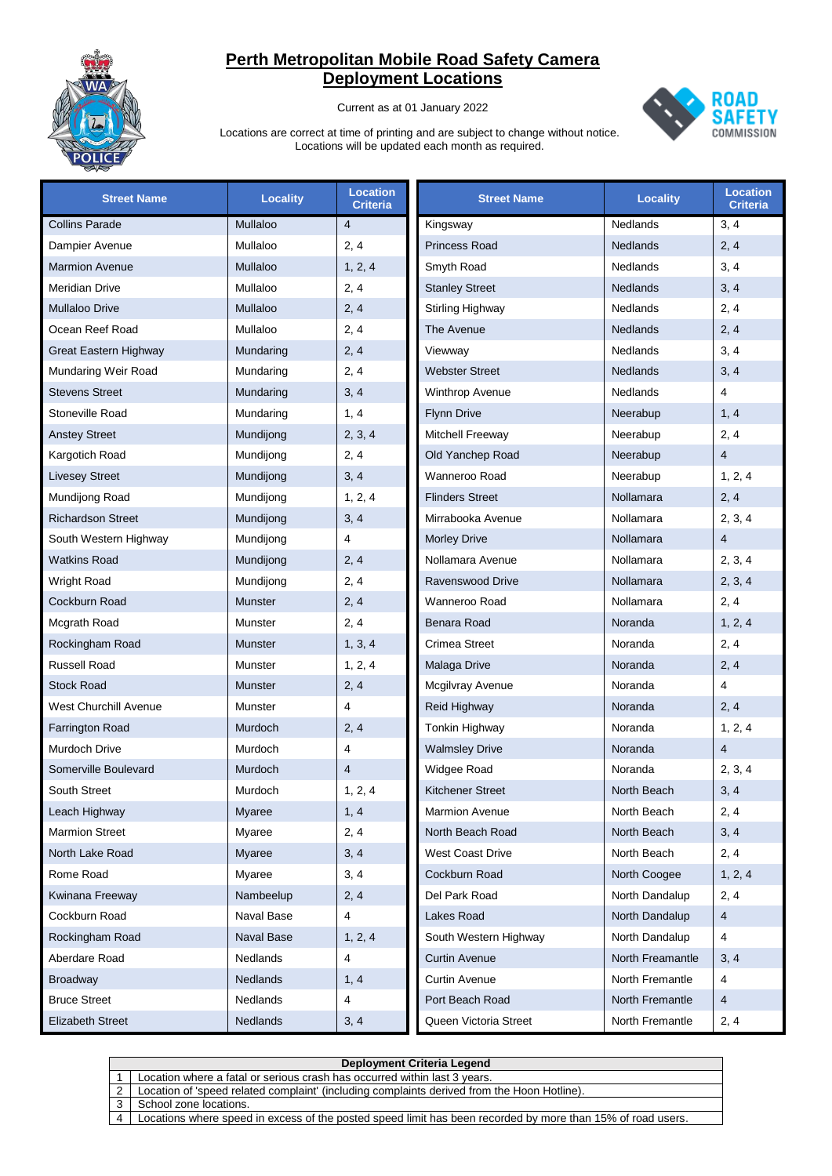

Current as at 01 January 2022



| <b>Street Name</b>           | <b>Locality</b> | <b>Location</b><br><b>Criteria</b> | <b>Street Name</b>      | Locality         | <b>Location</b><br><b>Criteria</b> |
|------------------------------|-----------------|------------------------------------|-------------------------|------------------|------------------------------------|
| <b>Collins Parade</b>        | Mullaloo        | $\overline{4}$                     | Kingsway                | Nedlands         | 3, 4                               |
| Dampier Avenue               | Mullaloo        | 2, 4                               | <b>Princess Road</b>    | <b>Nedlands</b>  | 2, 4                               |
| <b>Marmion Avenue</b>        | Mullaloo        | 1, 2, 4                            | Smyth Road              | Nedlands         | 3, 4                               |
| <b>Meridian Drive</b>        | Mullaloo        | 2, 4                               | <b>Stanley Street</b>   | <b>Nedlands</b>  | 3, 4                               |
| <b>Mullaloo Drive</b>        | Mullaloo        | 2, 4                               | Stirling Highway        | Nedlands         | 2, 4                               |
| Ocean Reef Road              | Mullaloo        | 2, 4                               | The Avenue              | <b>Nedlands</b>  | 2, 4                               |
| <b>Great Eastern Highway</b> | Mundaring       | 2, 4                               | Viewway                 | Nedlands         | 3, 4                               |
| Mundaring Weir Road          | Mundaring       | 2, 4                               | <b>Webster Street</b>   | <b>Nedlands</b>  | 3, 4                               |
| <b>Stevens Street</b>        | Mundaring       | 3, 4                               | <b>Winthrop Avenue</b>  | Nedlands         | 4                                  |
| Stoneville Road              | Mundaring       | 1, 4                               | <b>Flynn Drive</b>      | Neerabup         | 1, 4                               |
| <b>Anstey Street</b>         | Mundijong       | 2, 3, 4                            | Mitchell Freeway        | Neerabup         | 2, 4                               |
| Kargotich Road               | Mundijong       | 2, 4                               | Old Yanchep Road        | Neerabup         | $\overline{4}$                     |
| <b>Livesey Street</b>        | Mundijong       | 3, 4                               | Wanneroo Road           | Neerabup         | 1, 2, 4                            |
| Mundijong Road               | Mundijong       | 1, 2, 4                            | <b>Flinders Street</b>  | Nollamara        | 2, 4                               |
| <b>Richardson Street</b>     | Mundijong       | 3, 4                               | Mirrabooka Avenue       | Nollamara        | 2, 3, 4                            |
| South Western Highway        | Mundijong       | 4                                  | <b>Morley Drive</b>     | Nollamara        | $\overline{4}$                     |
| <b>Watkins Road</b>          | Mundijong       | 2, 4                               | Nollamara Avenue        | Nollamara        | 2, 3, 4                            |
| <b>Wright Road</b>           | Mundijong       | 2, 4                               | Ravenswood Drive        | Nollamara        | 2, 3, 4                            |
| Cockburn Road                | <b>Munster</b>  | 2, 4                               | Wanneroo Road           | Nollamara        | 2, 4                               |
| Mcgrath Road                 | Munster         | 2, 4                               | <b>Benara Road</b>      | Noranda          | 1, 2, 4                            |
| Rockingham Road              | <b>Munster</b>  | 1, 3, 4                            | Crimea Street           | Noranda          | 2, 4                               |
| Russell Road                 | Munster         | 1, 2, 4                            | Malaga Drive            | Noranda          | 2, 4                               |
| <b>Stock Road</b>            | Munster         | 2, 4                               | Mcgilvray Avenue        | Noranda          | 4                                  |
| West Churchill Avenue        | Munster         | 4                                  | Reid Highway            | Noranda          | 2, 4                               |
| Farrington Road              | Murdoch         | 2, 4                               | Tonkin Highway          | Noranda          | 1, 2, 4                            |
| <b>Murdoch Drive</b>         | Murdoch         | 4                                  | <b>Walmsley Drive</b>   | Noranda          | $\overline{4}$                     |
| Somerville Boulevard         | Murdoch         | $\overline{4}$                     | Widgee Road             | Noranda          | 2, 3, 4                            |
| South Street                 | Murdoch         | 1, 2, 4                            | <b>Kitchener Street</b> | North Beach      | 3, 4                               |
| Leach Highway                | Myaree          | 1, 4                               | Marmion Avenue          | North Beach      | 2, 4                               |
| <b>Marmion Street</b>        | Myaree          | 2, 4                               | North Beach Road        | North Beach      | 3, 4                               |
| North Lake Road              | <b>Myaree</b>   | 3, 4                               | West Coast Drive        | North Beach      | 2, 4                               |
| Rome Road                    | Myaree          | 3, 4                               | Cockburn Road           | North Coogee     | 1, 2, 4                            |
| Kwinana Freeway              | Nambeelup       | 2, 4                               | Del Park Road           | North Dandalup   | 2, 4                               |
| Cockburn Road                | Naval Base      | 4                                  | Lakes Road              | North Dandalup   | 4                                  |
| Rockingham Road              | Naval Base      | 1, 2, 4                            | South Western Highway   | North Dandalup   | 4                                  |
| Aberdare Road                | Nedlands        | 4                                  | <b>Curtin Avenue</b>    | North Freamantle | 3, 4                               |
| <b>Broadway</b>              | <b>Nedlands</b> | 1, 4                               | <b>Curtin Avenue</b>    | North Fremantle  | 4                                  |
| <b>Bruce Street</b>          | Nedlands        | 4                                  | Port Beach Road         | North Fremantle  | $\overline{4}$                     |
| <b>Elizabeth Street</b>      | <b>Nedlands</b> | 3, 4                               | Queen Victoria Street   | North Fremantle  | 2, 4                               |

|           | <b>Deployment Criteria Legend</b>                                                                           |  |  |  |  |  |
|-----------|-------------------------------------------------------------------------------------------------------------|--|--|--|--|--|
|           | Location where a fatal or serious crash has occurred within last 3 years.                                   |  |  |  |  |  |
|           | Location of 'speed related complaint' (including complaints derived from the Hoon Hotline).                 |  |  |  |  |  |
|           | School zone locations.                                                                                      |  |  |  |  |  |
| $\Lambda$ | Locations where speed in excess of the posted speed limit has been recorded by more than 15% of road users. |  |  |  |  |  |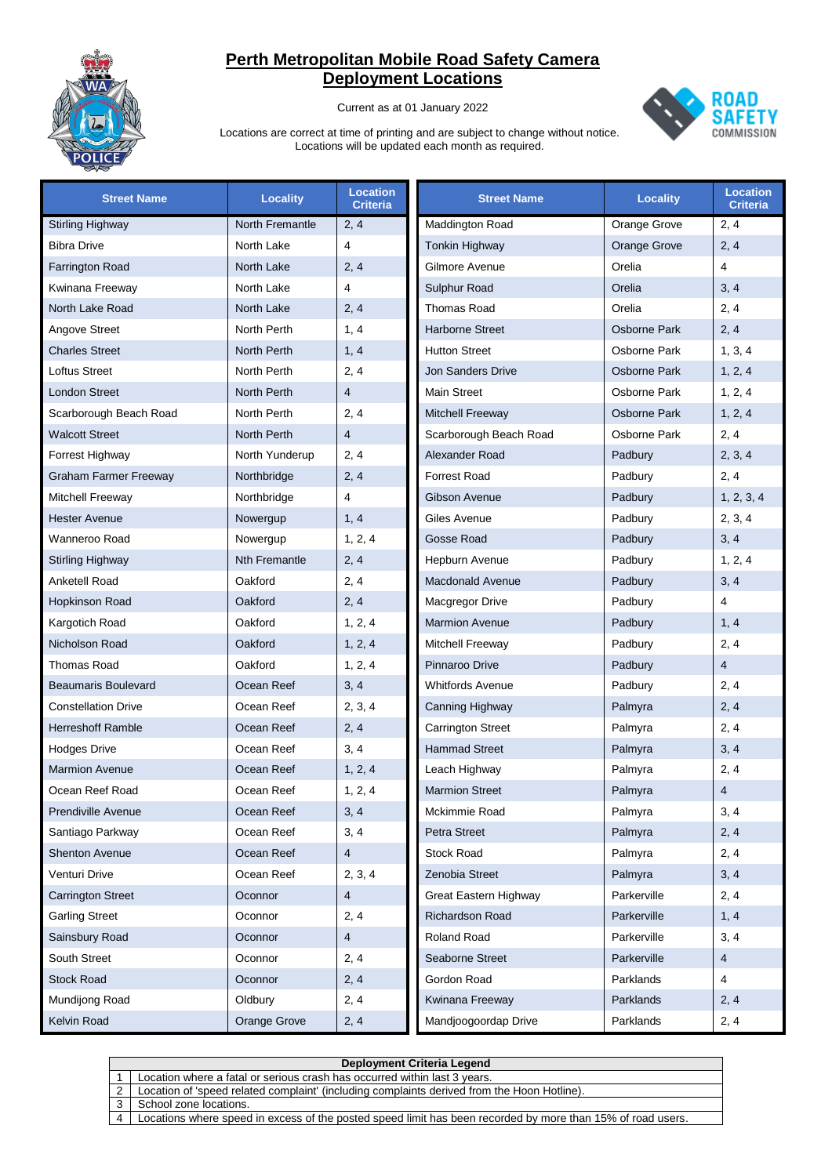

Current as at 01 January 2022



| <b>Street Name</b>           | <b>Locality</b>      | <b>Location</b><br><b>Criteria</b> | <b>Street Name</b>       | <b>Locality</b> | <b>Location</b><br><b>Criteria</b> |
|------------------------------|----------------------|------------------------------------|--------------------------|-----------------|------------------------------------|
| <b>Stirling Highway</b>      | North Fremantle      | 2, 4                               | Maddington Road          | Orange Grove    | 2, 4                               |
| <b>Bibra Drive</b>           | North Lake           | 4                                  | <b>Tonkin Highway</b>    | Orange Grove    | 2, 4                               |
| <b>Farrington Road</b>       | North Lake           | 2, 4                               | Gilmore Avenue           | Orelia          | 4                                  |
| Kwinana Freeway              | North Lake           | 4                                  | Sulphur Road             | Orelia          | 3, 4                               |
| North Lake Road              | North Lake           | 2, 4                               | Thomas Road              | Orelia          | 2, 4                               |
| Angove Street                | North Perth          | 1, 4                               | <b>Harborne Street</b>   | Osborne Park    | 2, 4                               |
| <b>Charles Street</b>        | North Perth          | 1, 4                               | <b>Hutton Street</b>     | Osborne Park    | 1, 3, 4                            |
| <b>Loftus Street</b>         | North Perth          | 2, 4                               | <b>Jon Sanders Drive</b> | Osborne Park    | 1, 2, 4                            |
| <b>London Street</b>         | North Perth          | $\overline{4}$                     | <b>Main Street</b>       | Osborne Park    | 1, 2, 4                            |
| Scarborough Beach Road       | North Perth          | 2, 4                               | Mitchell Freeway         | Osborne Park    | 1, 2, 4                            |
| <b>Walcott Street</b>        | North Perth          | $\overline{4}$                     | Scarborough Beach Road   | Osborne Park    | 2, 4                               |
| Forrest Highway              | North Yunderup       | 2, 4                               | Alexander Road           | Padbury         | 2, 3, 4                            |
| <b>Graham Farmer Freeway</b> | Northbridge          | 2, 4                               | Forrest Road             | Padbury         | 2, 4                               |
| Mitchell Freeway             | Northbridge          | 4                                  | Gibson Avenue            | Padbury         | 1, 2, 3, 4                         |
| <b>Hester Avenue</b>         | Nowergup             | 1, 4                               | Giles Avenue             | Padbury         | 2, 3, 4                            |
| Wanneroo Road                | Nowergup             | 1, 2, 4                            | Gosse Road               | Padbury         | 3, 4                               |
| <b>Stirling Highway</b>      | <b>Nth Fremantle</b> | 2, 4                               | Hepburn Avenue           | Padbury         | 1, 2, 4                            |
| Anketell Road                | Oakford              | 2, 4                               | <b>Macdonald Avenue</b>  | Padbury         | 3, 4                               |
| Hopkinson Road               | Oakford              | 2, 4                               | Macgregor Drive          | Padbury         | 4                                  |
| Kargotich Road               | Oakford              | 1, 2, 4                            | <b>Marmion Avenue</b>    | Padbury         | 1, 4                               |
| Nicholson Road               | Oakford              | 1, 2, 4                            | Mitchell Freeway         | Padbury         | 2, 4                               |
| <b>Thomas Road</b>           | Oakford              | 1, 2, 4                            | Pinnaroo Drive           | Padbury         | $\overline{4}$                     |
| <b>Beaumaris Boulevard</b>   | Ocean Reef           | 3, 4                               | <b>Whitfords Avenue</b>  | Padbury         | 2, 4                               |
| <b>Constellation Drive</b>   | Ocean Reef           | 2, 3, 4                            | Canning Highway          | Palmyra         | 2, 4                               |
| <b>Herreshoff Ramble</b>     | Ocean Reef           | 2, 4                               | <b>Carrington Street</b> | Palmyra         | 2, 4                               |
| <b>Hodges Drive</b>          | Ocean Reef           | 3, 4                               | <b>Hammad Street</b>     | Palmyra         | 3, 4                               |
| <b>Marmion Avenue</b>        | Ocean Reef           | 1, 2, 4                            | Leach Highway            | Palmyra         | 2, 4                               |
| Ocean Reef Road              | Ocean Reef           | 1, 2, 4                            | <b>Marmion Street</b>    | Palmyra         | $\overline{4}$                     |
| <b>Prendiville Avenue</b>    | Ocean Reef           | 3, 4                               | Mckimmie Road            | Palmyra         | 3, 4                               |
| Santiago Parkway             | Ocean Reef           | 3, 4                               | Petra Street             | Palmyra         | 2, 4                               |
| <b>Shenton Avenue</b>        | Ocean Reef           | 4                                  | <b>Stock Road</b>        | Palmyra         | 2, 4                               |
| Venturi Drive                | Ocean Reef           | 2, 3, 4                            | Zenobia Street           | Palmyra         | 3, 4                               |
| <b>Carrington Street</b>     | Oconnor              | $\overline{4}$                     | Great Eastern Highway    | Parkerville     | 2, 4                               |
| <b>Garling Street</b>        | Oconnor              | 2, 4                               | <b>Richardson Road</b>   | Parkerville     | 1, 4                               |
| Sainsbury Road               | Oconnor              | 4                                  | <b>Roland Road</b>       | Parkerville     | 3, 4                               |
| South Street                 | Oconnor              | 2, 4                               | Seaborne Street          | Parkerville     | $\overline{4}$                     |
| <b>Stock Road</b>            | Oconnor              | 2, 4                               | Gordon Road              | Parklands       | $\overline{4}$                     |
| Mundijong Road               | Oldbury              | 2, 4                               | Kwinana Freeway          | Parklands       | 2, 4                               |
| Kelvin Road                  | Orange Grove         | 2, 4                               | Mandjoogoordap Drive     | Parklands       | 2, 4                               |

|               | Deployment Criteria Legend                                                                                  |  |  |  |
|---------------|-------------------------------------------------------------------------------------------------------------|--|--|--|
|               | Location where a fatal or serious crash has occurred within last 3 years.                                   |  |  |  |
| $\mathcal{P}$ | Location of 'speed related complaint' (including complaints derived from the Hoon Hotline).                 |  |  |  |
|               | School zone locations.                                                                                      |  |  |  |
|               | Locations where speed in excess of the posted speed limit has been recorded by more than 15% of road users. |  |  |  |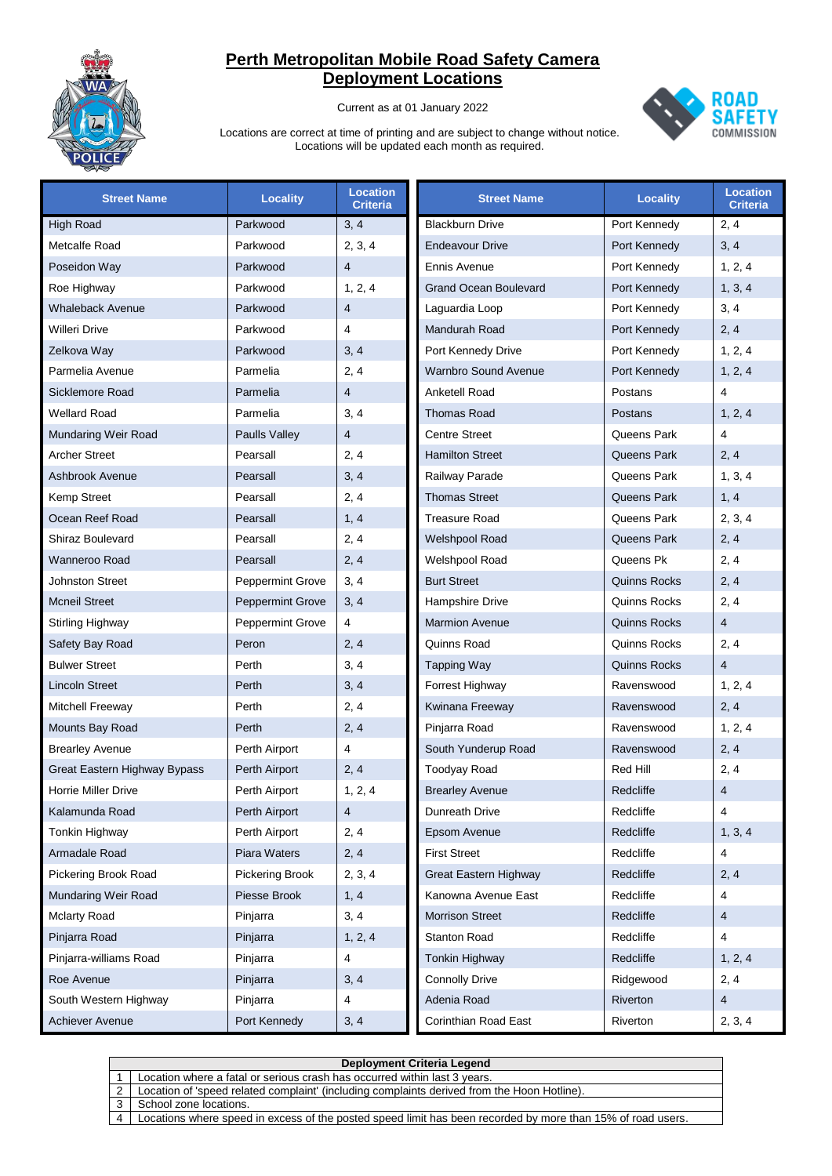

Current as at 01 January 2022



| <b>Street Name</b>           | <b>Locality</b>         | <b>Location</b><br><b>Criteria</b> | <b>Street Name</b>           | <b>Locality</b>     | <b>Location</b><br><b>Criteria</b> |
|------------------------------|-------------------------|------------------------------------|------------------------------|---------------------|------------------------------------|
| <b>High Road</b>             | Parkwood                | 3, 4                               | <b>Blackburn Drive</b>       | Port Kennedy        | 2, 4                               |
| Metcalfe Road                | Parkwood                | 2, 3, 4                            | <b>Endeavour Drive</b>       | Port Kennedy        | 3, 4                               |
| Poseidon Way                 | Parkwood                | $\overline{4}$                     | <b>Ennis Avenue</b>          | Port Kennedy        | 1, 2, 4                            |
| Roe Highway                  | Parkwood                | 1, 2, 4                            | <b>Grand Ocean Boulevard</b> | Port Kennedy        | 1, 3, 4                            |
| <b>Whaleback Avenue</b>      | Parkwood                | $\overline{4}$                     | Laguardia Loop               | Port Kennedy        | 3, 4                               |
| Willeri Drive                | Parkwood                | 4                                  | <b>Mandurah Road</b>         | Port Kennedy        | 2, 4                               |
| Zelkova Way                  | Parkwood                | 3, 4                               | Port Kennedy Drive           | Port Kennedy        | 1, 2, 4                            |
| Parmelia Avenue              | Parmelia                | 2, 4                               | <b>Warnbro Sound Avenue</b>  | Port Kennedy        | 1, 2, 4                            |
| Sicklemore Road              | Parmelia                | $\overline{4}$                     | <b>Anketell Road</b>         | Postans             | $\overline{\mathbf{4}}$            |
| <b>Wellard Road</b>          | Parmelia                | 3, 4                               | <b>Thomas Road</b>           | Postans             | 1, 2, 4                            |
| Mundaring Weir Road          | Paulls Valley           | $\overline{4}$                     | <b>Centre Street</b>         | Queens Park         | $\overline{\mathbf{4}}$            |
| <b>Archer Street</b>         | Pearsall                | 2, 4                               | <b>Hamilton Street</b>       | Queens Park         | 2, 4                               |
| Ashbrook Avenue              | Pearsall                | 3, 4                               | Railway Parade               | Queens Park         | 1, 3, 4                            |
| <b>Kemp Street</b>           | Pearsall                | 2, 4                               | <b>Thomas Street</b>         | Queens Park         | 1, 4                               |
| Ocean Reef Road              | Pearsall                | 1, 4                               | <b>Treasure Road</b>         | Queens Park         | 2, 3, 4                            |
| Shiraz Boulevard             | Pearsall                | 2, 4                               | Welshpool Road               | Queens Park         | 2, 4                               |
| <b>Wanneroo Road</b>         | Pearsall                | 2, 4                               | Welshpool Road               | Queens Pk           | 2, 4                               |
| <b>Johnston Street</b>       | <b>Peppermint Grove</b> | 3, 4                               | <b>Burt Street</b>           | <b>Quinns Rocks</b> | 2, 4                               |
| <b>Mcneil Street</b>         | <b>Peppermint Grove</b> | 3, 4                               | Hampshire Drive              | Quinns Rocks        | 2, 4                               |
| Stirling Highway             | <b>Peppermint Grove</b> | 4                                  | <b>Marmion Avenue</b>        | <b>Quinns Rocks</b> | $\overline{4}$                     |
| Safety Bay Road              | Peron                   | 2, 4                               | Quinns Road                  | Quinns Rocks        | 2, 4                               |
| <b>Bulwer Street</b>         | Perth                   | 3, 4                               | <b>Tapping Way</b>           | <b>Quinns Rocks</b> | $\overline{4}$                     |
| <b>Lincoln Street</b>        | Perth                   | 3, 4                               | Forrest Highway              | Ravenswood          | 1, 2, 4                            |
| Mitchell Freeway             | Perth                   | 2, 4                               | Kwinana Freeway              | Ravenswood          | 2, 4                               |
| Mounts Bay Road              | Perth                   | 2, 4                               | Pinjarra Road                | Ravenswood          | 1, 2, 4                            |
| <b>Brearley Avenue</b>       | Perth Airport           | 4                                  | South Yunderup Road          | Ravenswood          | 2, 4                               |
| Great Eastern Highway Bypass | Perth Airport           | 2, 4                               | <b>Toodyay Road</b>          | <b>Red Hill</b>     | 2, 4                               |
| <b>Horrie Miller Drive</b>   | Perth Airport           | 1, 2, 4                            | <b>Brearley Avenue</b>       | Redcliffe           | $\overline{4}$                     |
| Kalamunda Road               | Perth Airport           | $\overline{4}$                     | Dunreath Drive               | Redcliffe           | 4                                  |
| Tonkin Highway               | Perth Airport           | 2, 4                               | Epsom Avenue                 | Redcliffe           | 1, 3, 4                            |
| Armadale Road                | Piara Waters            | 2, 4                               | <b>First Street</b>          | Redcliffe           | 4                                  |
| Pickering Brook Road         | Pickering Brook         | 2, 3, 4                            | <b>Great Eastern Highway</b> | Redcliffe           | 2, 4                               |
| Mundaring Weir Road          | Piesse Brook            | 1, 4                               | Kanowna Avenue East          | Redcliffe           | 4                                  |
| <b>Mclarty Road</b>          | Pinjarra                | 3, 4                               | <b>Morrison Street</b>       | Redcliffe           | $\overline{4}$                     |
| Pinjarra Road                | Pinjarra                | 1, 2, 4                            | Stanton Road                 | Redcliffe           | 4                                  |
| Pinjarra-williams Road       | Pinjarra                | 4                                  | Tonkin Highway               | Redcliffe           | 1, 2, 4                            |
| Roe Avenue                   | Pinjarra                | 3, 4                               | <b>Connolly Drive</b>        | Ridgewood           | 2, 4                               |
| South Western Highway        | Pinjarra                | 4                                  | Adenia Road                  | Riverton            | $\overline{4}$                     |
| Achiever Avenue              | Port Kennedy            | 3, 4                               | Corinthian Road East         | Riverton            | 2, 3, 4                            |

|   | Deployment Criteria Legend                                                                                  |  |  |  |  |
|---|-------------------------------------------------------------------------------------------------------------|--|--|--|--|
|   | Location where a fatal or serious crash has occurred within last 3 years.                                   |  |  |  |  |
| 2 | Location of 'speed related complaint' (including complaints derived from the Hoon Hotline).                 |  |  |  |  |
|   | School zone locations.                                                                                      |  |  |  |  |
|   | Locations where speed in excess of the posted speed limit has been recorded by more than 15% of road users. |  |  |  |  |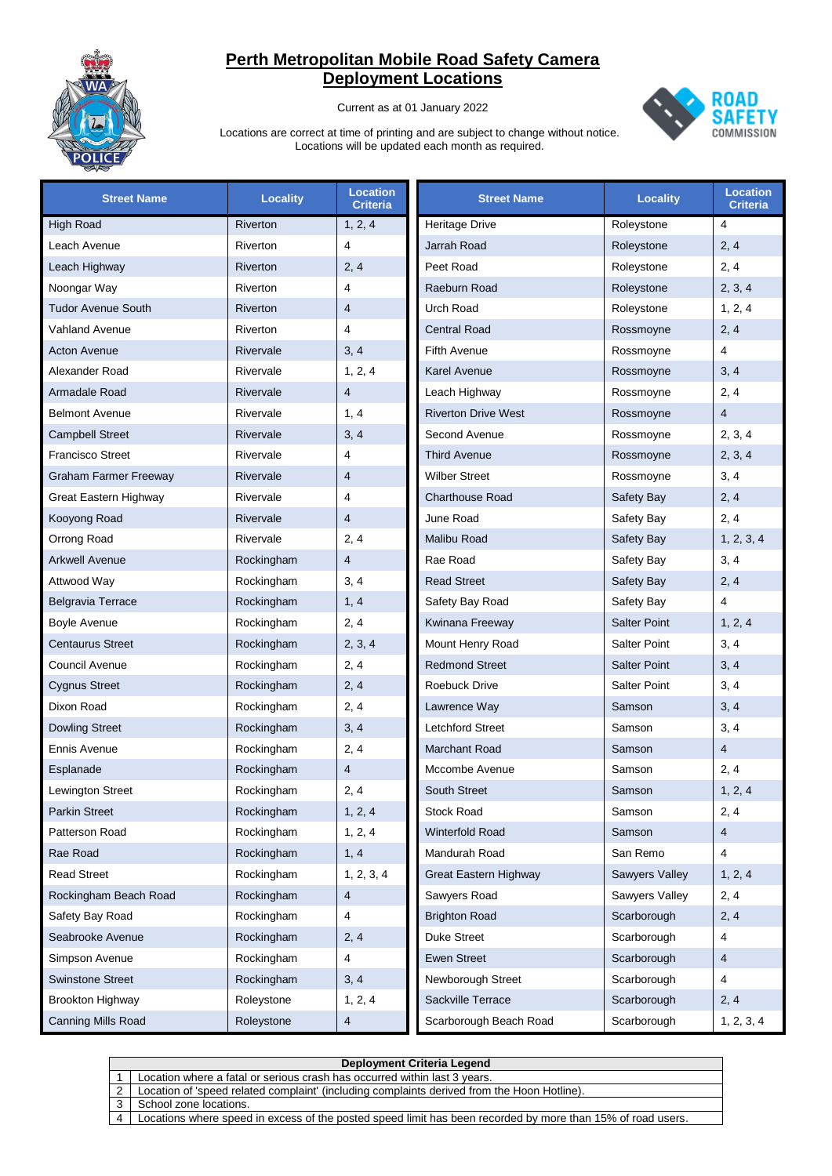

Current as at 01 January 2022



| <b>Street Name</b>           | <b>Locality</b> | <b>Location</b><br><b>Criteria</b> | <b>Street Name</b>         | <b>Locality</b>     | <b>Location</b><br><b>Criteria</b> |
|------------------------------|-----------------|------------------------------------|----------------------------|---------------------|------------------------------------|
| <b>High Road</b>             | <b>Riverton</b> | 1, 2, 4                            | <b>Heritage Drive</b>      | Roleystone          | $\overline{4}$                     |
| Leach Avenue                 | Riverton        | 4                                  | Jarrah Road                | Roleystone          | 2, 4                               |
| Leach Highway                | Riverton        | 2, 4                               | Peet Road                  | Roleystone          | 2, 4                               |
| Noongar Way                  | Riverton        | 4                                  | Raeburn Road               | Roleystone          | 2, 3, 4                            |
| <b>Tudor Avenue South</b>    | Riverton        | 4                                  | Urch Road                  | Roleystone          | 1, 2, 4                            |
| <b>Vahland Avenue</b>        | Riverton        | 4                                  | <b>Central Road</b>        | Rossmoyne           | 2, 4                               |
| <b>Acton Avenue</b>          | Rivervale       | 3, 4                               | <b>Fifth Avenue</b>        | Rossmoyne           | 4                                  |
| Alexander Road               | Rivervale       | 1, 2, 4                            | Karel Avenue               | Rossmoyne           | 3, 4                               |
| Armadale Road                | Rivervale       | $\overline{4}$                     | Leach Highway              | Rossmoyne           | 2, 4                               |
| <b>Belmont Avenue</b>        | Rivervale       | 1, 4                               | <b>Riverton Drive West</b> | Rossmoyne           | $\overline{4}$                     |
| <b>Campbell Street</b>       | Rivervale       | 3, 4                               | Second Avenue              | Rossmoyne           | 2, 3, 4                            |
| <b>Francisco Street</b>      | Rivervale       | 4                                  | <b>Third Avenue</b>        | Rossmoyne           | 2, 3, 4                            |
| <b>Graham Farmer Freeway</b> | Rivervale       | 4                                  | <b>Wilber Street</b>       | Rossmoyne           | 3, 4                               |
| Great Eastern Highway        | Rivervale       | 4                                  | <b>Charthouse Road</b>     | Safety Bay          | 2, 4                               |
| Kooyong Road                 | Rivervale       | $\overline{4}$                     | June Road                  | Safety Bay          | 2, 4                               |
| Orrong Road                  | Rivervale       | 2, 4                               | <b>Malibu Road</b>         | Safety Bay          | 1, 2, 3, 4                         |
| <b>Arkwell Avenue</b>        | Rockingham      | $\overline{4}$                     | Rae Road                   | Safety Bay          | 3, 4                               |
| Attwood Way                  | Rockingham      | 3, 4                               | <b>Read Street</b>         | Safety Bay          | 2, 4                               |
| Belgravia Terrace            | Rockingham      | 1, 4                               | Safety Bay Road            | Safety Bay          | $\overline{4}$                     |
| <b>Boyle Avenue</b>          | Rockingham      | 2, 4                               | Kwinana Freeway            | <b>Salter Point</b> | 1, 2, 4                            |
| <b>Centaurus Street</b>      | Rockingham      | 2, 3, 4                            | Mount Henry Road           | <b>Salter Point</b> | 3, 4                               |
| Council Avenue               | Rockingham      | 2, 4                               | <b>Redmond Street</b>      | <b>Salter Point</b> | 3, 4                               |
| <b>Cygnus Street</b>         | Rockingham      | 2, 4                               | <b>Roebuck Drive</b>       | <b>Salter Point</b> | 3, 4                               |
| Dixon Road                   | Rockingham      | 2, 4                               | Lawrence Way               | Samson              | 3, 4                               |
| <b>Dowling Street</b>        | Rockingham      | 3, 4                               | Letchford Street           | Samson              | 3, 4                               |
| Ennis Avenue                 | Rockingham      | 2, 4                               | <b>Marchant Road</b>       | Samson              | $\overline{4}$                     |
| Esplanade                    | Rockingham      | $\overline{4}$                     | Mccombe Avenue             | Samson              | 2, 4                               |
| Lewington Street             | Rockingham      | 2, 4                               | <b>South Street</b>        | Samson              | 1, 2, 4                            |
| <b>Parkin Street</b>         | Rockingham      | 1, 2, 4                            | Stock Road                 | Samson              | 2, 4                               |
| Patterson Road               | Rockingham      | 1, 2, 4                            | Winterfold Road            | Samson              | 4                                  |
| Rae Road                     | Rockingham      | 1, 4                               | Mandurah Road              | San Remo            | 4                                  |
| <b>Read Street</b>           | Rockingham      | 1, 2, 3, 4                         | Great Eastern Highway      | Sawyers Valley      | 1, 2, 4                            |
| Rockingham Beach Road        | Rockingham      | $\overline{4}$                     | Sawyers Road               | Sawyers Valley      | 2, 4                               |
| Safety Bay Road              | Rockingham      | 4                                  | <b>Brighton Road</b>       | Scarborough         | 2, 4                               |
| Seabrooke Avenue             | Rockingham      | 2, 4                               | Duke Street                | Scarborough         | 4                                  |
| Simpson Avenue               | Rockingham      | 4                                  | <b>Ewen Street</b>         | Scarborough         | $\overline{4}$                     |
| <b>Swinstone Street</b>      | Rockingham      | 3, 4                               | Newborough Street          | Scarborough         | 4                                  |
| <b>Brookton Highway</b>      | Roleystone      | 1, 2, 4                            | Sackville Terrace          | Scarborough         | 2, 4                               |
| Canning Mills Road           | Roleystone      | 4                                  | Scarborough Beach Road     | Scarborough         | 1, 2, 3, 4                         |

|   | Deployment Criteria Legend                                                                                  |  |  |  |  |
|---|-------------------------------------------------------------------------------------------------------------|--|--|--|--|
|   | Location where a fatal or serious crash has occurred within last 3 years.                                   |  |  |  |  |
| 2 | Location of 'speed related complaint' (including complaints derived from the Hoon Hotline).                 |  |  |  |  |
|   | School zone locations.                                                                                      |  |  |  |  |
|   | Locations where speed in excess of the posted speed limit has been recorded by more than 15% of road users. |  |  |  |  |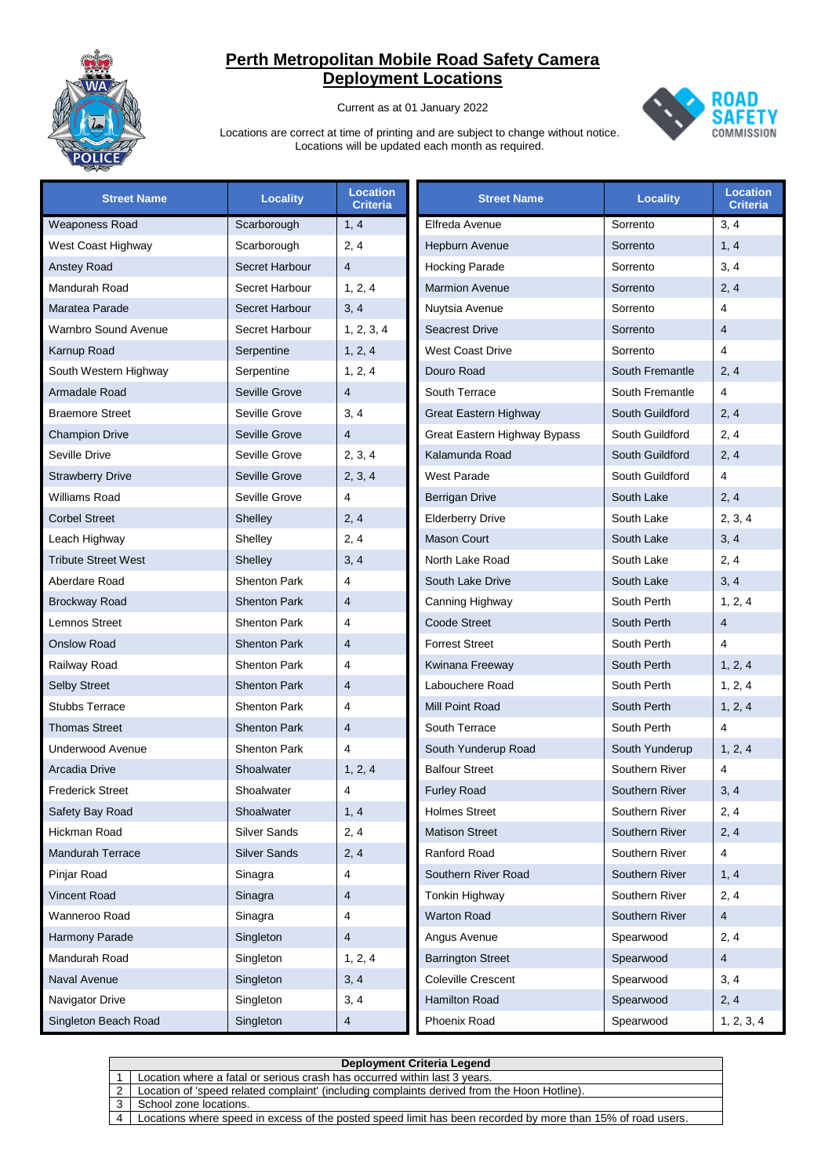

Current as at 01 January 2022



| <b>Street Name</b>         | <b>Locality</b>     | <b>Location</b><br><b>Criteria</b> | <b>Street Name</b>           | <b>Locality</b> | <b>Location</b><br><b>Criteria</b> |
|----------------------------|---------------------|------------------------------------|------------------------------|-----------------|------------------------------------|
| <b>Weaponess Road</b>      | Scarborough         | 1, 4                               | Elfreda Avenue               | Sorrento        | 3, 4                               |
| West Coast Highway         | Scarborough         | 2, 4                               | Hepburn Avenue               | Sorrento        | 1, 4                               |
| <b>Anstey Road</b>         | Secret Harbour      | $\overline{4}$                     | <b>Hocking Parade</b>        | Sorrento        | 3, 4                               |
| Mandurah Road              | Secret Harbour      | 1, 2, 4                            | <b>Marmion Avenue</b>        | Sorrento        | 2, 4                               |
| Maratea Parade             | Secret Harbour      | 3, 4                               | Nuytsia Avenue               | Sorrento        | $\overline{\mathbf{4}}$            |
| Warnbro Sound Avenue       | Secret Harbour      | 1, 2, 3, 4                         | <b>Seacrest Drive</b>        | Sorrento        | $\overline{4}$                     |
| Karnup Road                | Serpentine          | 1, 2, 4                            | <b>West Coast Drive</b>      | Sorrento        | $\overline{\mathbf{4}}$            |
| South Western Highway      | Serpentine          | 1, 2, 4                            | Douro Road                   | South Fremantle | 2, 4                               |
| Armadale Road              | Seville Grove       | $\overline{4}$                     | South Terrace                | South Fremantle | 4                                  |
| <b>Braemore Street</b>     | Seville Grove       | 3, 4                               | Great Eastern Highway        | South Guildford | 2, 4                               |
| <b>Champion Drive</b>      | Seville Grove       | $\overline{4}$                     | Great Eastern Highway Bypass | South Guildford | 2, 4                               |
| Seville Drive              | Seville Grove       | 2, 3, 4                            | Kalamunda Road               | South Guildford | 2, 4                               |
| <b>Strawberry Drive</b>    | Seville Grove       | 2, 3, 4                            | <b>West Parade</b>           | South Guildford | 4                                  |
| Williams Road              | Seville Grove       | 4                                  | <b>Berrigan Drive</b>        | South Lake      | 2, 4                               |
| <b>Corbel Street</b>       | Shelley             | 2, 4                               | <b>Elderberry Drive</b>      | South Lake      | 2, 3, 4                            |
| Leach Highway              | Shelley             | 2, 4                               | <b>Mason Court</b>           | South Lake      | 3, 4                               |
| <b>Tribute Street West</b> | Shelley             | 3, 4                               | North Lake Road              | South Lake      | 2, 4                               |
| Aberdare Road              | <b>Shenton Park</b> | $\overline{\mathbf{4}}$            | South Lake Drive             | South Lake      | 3, 4                               |
| <b>Brockway Road</b>       | <b>Shenton Park</b> | $\overline{4}$                     | Canning Highway              | South Perth     | 1, 2, 4                            |
| <b>Lemnos Street</b>       | <b>Shenton Park</b> | $\overline{\mathbf{4}}$            | Coode Street                 | South Perth     | $\overline{4}$                     |
| <b>Onslow Road</b>         | <b>Shenton Park</b> | $\overline{4}$                     | <b>Forrest Street</b>        | South Perth     | 4                                  |
| Railway Road               | <b>Shenton Park</b> | $\overline{\mathbf{4}}$            | Kwinana Freeway              | South Perth     | 1, 2, 4                            |
| <b>Selby Street</b>        | <b>Shenton Park</b> | $\overline{4}$                     | Labouchere Road              | South Perth     | 1, 2, 4                            |
| <b>Stubbs Terrace</b>      | <b>Shenton Park</b> | $\overline{\mathbf{4}}$            | Mill Point Road              | South Perth     | 1, 2, 4                            |
| <b>Thomas Street</b>       | <b>Shenton Park</b> | $\overline{4}$                     | South Terrace                | South Perth     | $\overline{\mathbf{4}}$            |
| <b>Underwood Avenue</b>    | <b>Shenton Park</b> | $\overline{4}$                     | South Yunderup Road          | South Yunderup  | 1, 2, 4                            |
| Arcadia Drive              | Shoalwater          | 1, 2, 4                            | <b>Balfour Street</b>        | Southern River  | $\overline{\mathbf{4}}$            |
| <b>Frederick Street</b>    | Shoalwater          | $\overline{\mathbf{4}}$            | <b>Furley Road</b>           | Southern River  | 3, 4                               |
| Safety Bay Road            | Shoalwater          | 1, 4                               | <b>Holmes Street</b>         | Southern River  | 2, 4                               |
| Hickman Road               | Silver Sands        | 2, 4                               | <b>Matison Street</b>        | Southern River  | 2, 4                               |
| <b>Mandurah Terrace</b>    | <b>Silver Sands</b> | 2, 4                               | Ranford Road                 | Southern River  | 4                                  |
| Pinjar Road                | Sinagra             | 4                                  | Southern River Road          | Southern River  | 1, 4                               |
| <b>Vincent Road</b>        | Sinagra             | 4                                  | Tonkin Highway               | Southern River  | 2, 4                               |
| Wanneroo Road              | Sinagra             | 4                                  | <b>Warton Road</b>           | Southern River  | 4                                  |
| Harmony Parade             | Singleton           | 4                                  | Angus Avenue                 | Spearwood       | 2, 4                               |
| Mandurah Road              | Singleton           | 1, 2, 4                            | <b>Barrington Street</b>     | Spearwood       | $\overline{\mathbf{4}}$            |
| Naval Avenue               | Singleton           | 3, 4                               | Coleville Crescent           | Spearwood       | 3, 4                               |
| Navigator Drive            | Singleton           | 3, 4                               | Hamilton Road                | Spearwood       | 2, 4                               |
| Singleton Beach Road       | Singleton           | 4                                  | Phoenix Road                 | Spearwood       | 1, 2, 3, 4                         |

|   | Deployment Criteria Legend                                                                                  |  |  |  |
|---|-------------------------------------------------------------------------------------------------------------|--|--|--|
|   | Location where a fatal or serious crash has occurred within last 3 years.                                   |  |  |  |
| 2 | Location of 'speed related complaint' (including complaints derived from the Hoon Hotline).                 |  |  |  |
|   | School zone locations.                                                                                      |  |  |  |
|   | Locations where speed in excess of the posted speed limit has been recorded by more than 15% of road users. |  |  |  |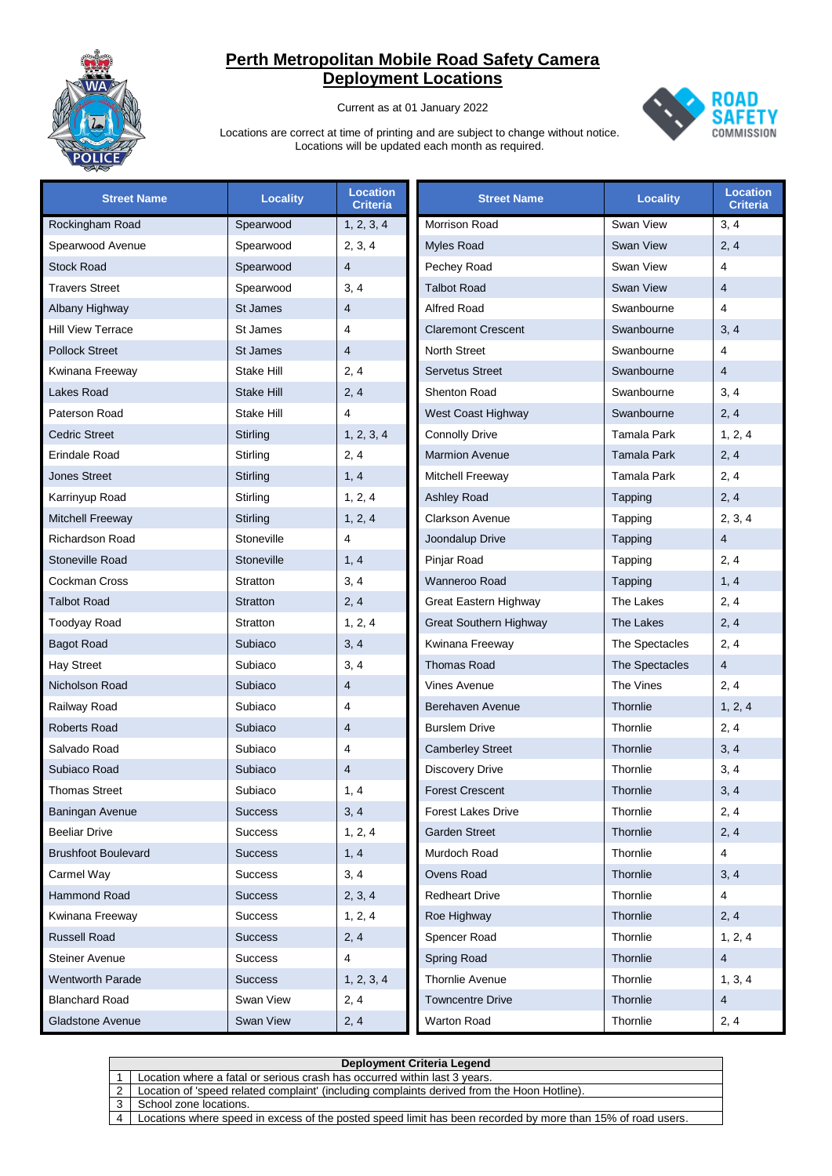

Current as at 01 January 2022



| <b>Street Name</b>         | <b>Locality</b> | <b>Location</b><br>Criteria | <b>Street Name</b>            | <b>Locality</b>  | <b>Location</b><br><b>Criteria</b> |
|----------------------------|-----------------|-----------------------------|-------------------------------|------------------|------------------------------------|
| Rockingham Road            | Spearwood       | 1, 2, 3, 4                  | Morrison Road                 | Swan View        | 3, 4                               |
| Spearwood Avenue           | Spearwood       | 2, 3, 4                     | <b>Myles Road</b>             | Swan View        | 2, 4                               |
| <b>Stock Road</b>          | Spearwood       | $\overline{4}$              | Pechey Road                   | Swan View        | $\overline{\mathbf{4}}$            |
| <b>Travers Street</b>      | Spearwood       | 3, 4                        | <b>Talbot Road</b>            | <b>Swan View</b> | $\overline{4}$                     |
| Albany Highway             | St James        | $\overline{4}$              | <b>Alfred Road</b>            | Swanbourne       | 4                                  |
| <b>Hill View Terrace</b>   | St James        | $\overline{\mathbf{4}}$     | <b>Claremont Crescent</b>     | Swanbourne       | 3, 4                               |
| <b>Pollock Street</b>      | St James        | $\overline{4}$              | North Street                  | Swanbourne       | $\overline{\mathbf{4}}$            |
| Kwinana Freeway            | Stake Hill      | 2, 4                        | <b>Servetus Street</b>        | Swanbourne       | $\overline{4}$                     |
| Lakes Road                 | Stake Hill      | 2, 4                        | <b>Shenton Road</b>           | Swanbourne       | 3, 4                               |
| Paterson Road              | Stake Hill      | 4                           | West Coast Highway            | Swanbourne       | 2, 4                               |
| <b>Cedric Street</b>       | Stirling        | 1, 2, 3, 4                  | <b>Connolly Drive</b>         | Tamala Park      | 1, 2, 4                            |
| Erindale Road              | Stirling        | 2, 4                        | <b>Marmion Avenue</b>         | Tamala Park      | 2, 4                               |
| <b>Jones Street</b>        | Stirling        | 1, 4                        | Mitchell Freeway              | Tamala Park      | 2, 4                               |
| Karrinyup Road             | Stirling        | 1, 2, 4                     | <b>Ashley Road</b>            | Tapping          | 2, 4                               |
| <b>Mitchell Freeway</b>    | Stirling        | 1, 2, 4                     | <b>Clarkson Avenue</b>        | Tapping          | 2, 3, 4                            |
| Richardson Road            | Stoneville      | 4                           | Joondalup Drive               | Tapping          | $\overline{4}$                     |
| <b>Stoneville Road</b>     | Stoneville      | 1, 4                        | Pinjar Road                   | Tapping          | 2, 4                               |
| Cockman Cross              | Stratton        | 3, 4                        | Wanneroo Road                 | Tapping          | 1, 4                               |
| <b>Talbot Road</b>         | Stratton        | 2, 4                        | Great Eastern Highway         | The Lakes        | 2, 4                               |
| Toodyay Road               | Stratton        | 1, 2, 4                     | <b>Great Southern Highway</b> | The Lakes        | 2, 4                               |
| <b>Bagot Road</b>          | Subiaco         | 3, 4                        | Kwinana Freeway               | The Spectacles   | 2, 4                               |
| <b>Hay Street</b>          | Subiaco         | 3, 4                        | <b>Thomas Road</b>            | The Spectacles   | $\overline{4}$                     |
| Nicholson Road             | Subiaco         | $\overline{4}$              | <b>Vines Avenue</b>           | The Vines        | 2, 4                               |
| Railway Road               | Subiaco         | $\overline{\mathbf{4}}$     | Berehaven Avenue              | Thornlie         | 1, 2, 4                            |
| <b>Roberts Road</b>        | Subiaco         | $\overline{4}$              | <b>Burslem Drive</b>          | Thornlie         | 2, 4                               |
| Salvado Road               | Subiaco         | $\overline{\mathbf{4}}$     | <b>Camberley Street</b>       | Thornlie         | 3, 4                               |
| Subiaco Road               | Subiaco         | $\overline{4}$              | <b>Discovery Drive</b>        | Thornlie         | 3, 4                               |
| <b>Thomas Street</b>       | Subiaco         | 1, 4                        | <b>Forest Crescent</b>        | Thornlie         | 3, 4                               |
| Baningan Avenue            | <b>Success</b>  | 3, 4                        | <b>Forest Lakes Drive</b>     | Thornlie         | 2, 4                               |
| <b>Beeliar Drive</b>       | <b>Success</b>  | 1, 2, 4                     | <b>Garden Street</b>          | Thornlie         | 2, 4                               |
| <b>Brushfoot Boulevard</b> | <b>Success</b>  | 1, 4                        | Murdoch Road                  | Thornlie         | $\overline{4}$                     |
| Carmel Way                 | <b>Success</b>  | 3, 4                        | <b>Ovens Road</b>             | Thornlie         | 3, 4                               |
| Hammond Road               | <b>Success</b>  | 2, 3, 4                     | <b>Redheart Drive</b>         | Thornlie         | $\overline{4}$                     |
| Kwinana Freeway            | <b>Success</b>  | 1, 2, 4                     | Roe Highway                   | Thornlie         | 2, 4                               |
| <b>Russell Road</b>        | <b>Success</b>  | 2, 4                        | Spencer Road                  | Thornlie         | 1, 2, 4                            |
| <b>Steiner Avenue</b>      | <b>Success</b>  | 4                           | Spring Road                   | Thornlie         | 4                                  |
| <b>Wentworth Parade</b>    | <b>Success</b>  | 1, 2, 3, 4                  | <b>Thornlie Avenue</b>        | Thornlie         | 1, 3, 4                            |
| <b>Blanchard Road</b>      | Swan View       | 2, 4                        | <b>Towncentre Drive</b>       | Thornlie         | 4                                  |
| <b>Gladstone Avenue</b>    | Swan View       | 2, 4                        | Warton Road                   | Thornlie         | 2, 4                               |

|   | Deployment Criteria Legend                                                                                  |  |  |  |
|---|-------------------------------------------------------------------------------------------------------------|--|--|--|
|   | Location where a fatal or serious crash has occurred within last 3 years.                                   |  |  |  |
| 2 | Location of 'speed related complaint' (including complaints derived from the Hoon Hotline).                 |  |  |  |
|   | School zone locations.                                                                                      |  |  |  |
|   | Locations where speed in excess of the posted speed limit has been recorded by more than 15% of road users. |  |  |  |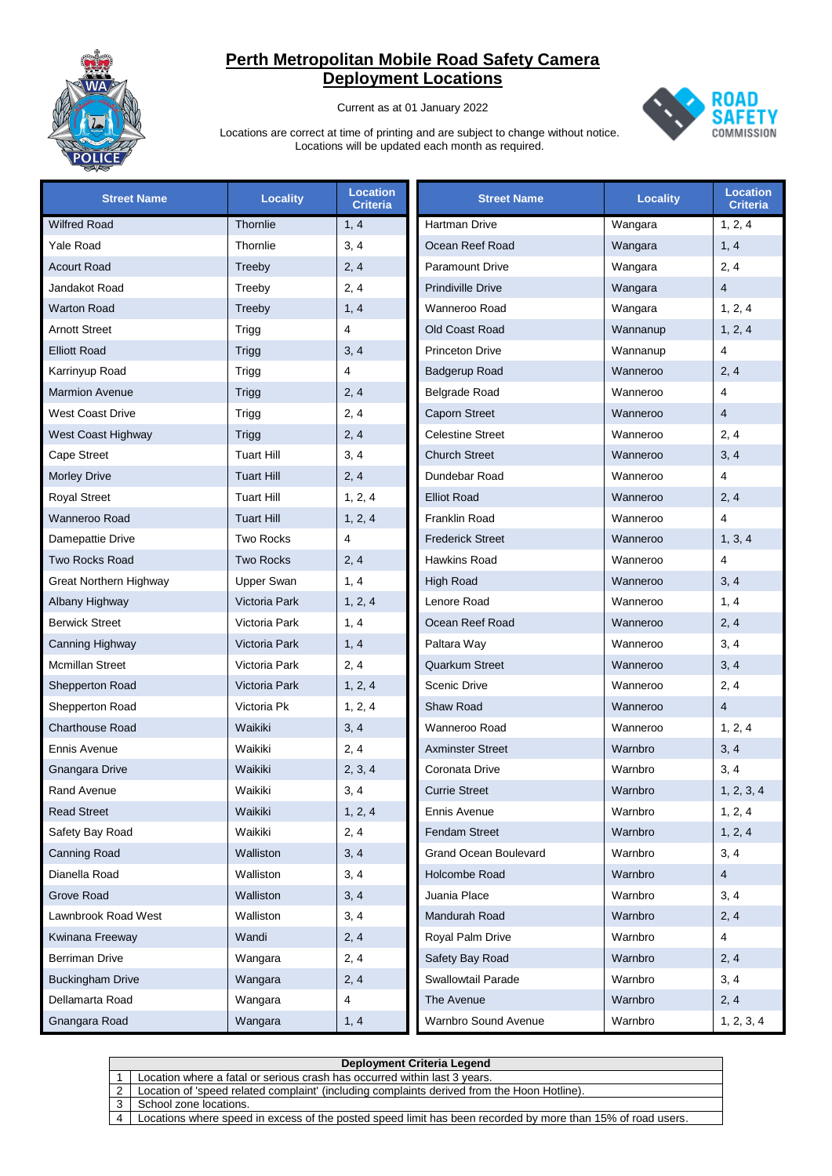

Current as at 01 January 2022



| <b>Street Name</b>      | <b>Locality</b>      | <b>Location</b><br><b>Criteria</b> | <b>Street Name</b>       | <b>Locality</b> | <b>Location</b><br><b>Criteria</b> |
|-------------------------|----------------------|------------------------------------|--------------------------|-----------------|------------------------------------|
| <b>Wilfred Road</b>     | Thornlie             | 1, 4                               | <b>Hartman Drive</b>     | Wangara         | 1, 2, 4                            |
| Yale Road               | Thornlie             | 3, 4                               | Ocean Reef Road          | Wangara         | 1, 4                               |
| <b>Acourt Road</b>      | Treeby               | 2, 4                               | <b>Paramount Drive</b>   | Wangara         | 2, 4                               |
| Jandakot Road           | Treeby               | 2, 4                               | <b>Prindiville Drive</b> | Wangara         | $\overline{4}$                     |
| <b>Warton Road</b>      | Treeby               | 1, 4                               | Wanneroo Road            | Wangara         | 1, 2, 4                            |
| <b>Arnott Street</b>    | Trigg                | 4                                  | Old Coast Road           | Wannanup        | 1, 2, 4                            |
| <b>Elliott Road</b>     | Trigg                | 3, 4                               | <b>Princeton Drive</b>   | Wannanup        | $\overline{4}$                     |
| Karrinyup Road          | Trigg                | 4                                  | Badgerup Road            | Wanneroo        | 2, 4                               |
| <b>Marmion Avenue</b>   | Trigg                | 2, 4                               | <b>Belgrade Road</b>     | Wanneroo        | $\overline{4}$                     |
| <b>West Coast Drive</b> | Trigg                | 2, 4                               | <b>Caporn Street</b>     | Wanneroo        | $\overline{4}$                     |
| West Coast Highway      | Trigg                | 2, 4                               | <b>Celestine Street</b>  | Wanneroo        | 2, 4                               |
| <b>Cape Street</b>      | <b>Tuart Hill</b>    | 3, 4                               | <b>Church Street</b>     | Wanneroo        | 3, 4                               |
| <b>Morley Drive</b>     | <b>Tuart Hill</b>    | 2, 4                               | Dundebar Road            | Wanneroo        | $\overline{4}$                     |
| <b>Royal Street</b>     | <b>Tuart Hill</b>    | 1, 2, 4                            | <b>Elliot Road</b>       | Wanneroo        | 2, 4                               |
| Wanneroo Road           | <b>Tuart Hill</b>    | 1, 2, 4                            | Franklin Road            | Wanneroo        | $\overline{\mathbf{4}}$            |
| Damepattie Drive        | <b>Two Rocks</b>     | 4                                  | <b>Frederick Street</b>  | Wanneroo        | 1, 3, 4                            |
| <b>Two Rocks Road</b>   | <b>Two Rocks</b>     | 2, 4                               | <b>Hawkins Road</b>      | Wanneroo        | $\overline{4}$                     |
| Great Northern Highway  | Upper Swan           | 1, 4                               | <b>High Road</b>         | Wanneroo        | 3, 4                               |
| Albany Highway          | Victoria Park        | 1, 2, 4                            | Lenore Road              | Wanneroo        | 1, 4                               |
| <b>Berwick Street</b>   | Victoria Park        | 1, 4                               | Ocean Reef Road          | Wanneroo        | 2, 4                               |
| Canning Highway         | Victoria Park        | 1, 4                               | Paltara Way              | Wanneroo        | 3, 4                               |
| <b>Mcmillan Street</b>  | Victoria Park        | 2, 4                               | <b>Quarkum Street</b>    | Wanneroo        | 3, 4                               |
| Shepperton Road         | <b>Victoria Park</b> | 1, 2, 4                            | <b>Scenic Drive</b>      | Wanneroo        | 2, 4                               |
| Shepperton Road         | Victoria Pk          | 1, 2, 4                            | Shaw Road                | Wanneroo        | $\overline{4}$                     |
| <b>Charthouse Road</b>  | Waikiki              | 3, 4                               | Wanneroo Road            | Wanneroo        | 1, 2, 4                            |
| Ennis Avenue            | Waikiki              | 2, 4                               | <b>Axminster Street</b>  | Warnbro         | 3, 4                               |
| <b>Gnangara Drive</b>   | Waikiki              | 2, 3, 4                            | Coronata Drive           | Warnbro         | 3, 4                               |
| <b>Rand Avenue</b>      | Waikiki              | 3, 4                               | <b>Currie Street</b>     | Warnbro         | 1, 2, 3, 4                         |
| <b>Read Street</b>      | Waikiki              | 1, 2, 4                            | Ennis Avenue             | Warnbro         | 1, 2, 4                            |
| Safety Bay Road         | Waikiki              | 2, 4                               | <b>Fendam Street</b>     | Warnbro         | 1, 2, 4                            |
| <b>Canning Road</b>     | Walliston            | 3, 4                               | Grand Ocean Boulevard    | Warnbro         | 3, 4                               |
| Dianella Road           | Walliston            | 3, 4                               | Holcombe Road            | Warnbro         | $\overline{4}$                     |
| Grove Road              | Walliston            | 3, 4                               | Juania Place             | Warnbro         | 3, 4                               |
| Lawnbrook Road West     | Walliston            | 3, 4                               | Mandurah Road            | Warnbro         | 2, 4                               |
| Kwinana Freeway         | Wandi                | 2, 4                               | Royal Palm Drive         | Warnbro         | $\overline{4}$                     |
| Berriman Drive          | Wangara              | 2, 4                               | Safety Bay Road          | Warnbro         | 2, 4                               |
| <b>Buckingham Drive</b> | Wangara              | 2, 4                               | Swallowtail Parade       | Warnbro         | 3, 4                               |
| Dellamarta Road         | Wangara              | 4                                  | The Avenue               | Warnbro         | 2, 4                               |
| Gnangara Road           | Wangara              | 1, 4                               | Warnbro Sound Avenue     | Warnbro         | 1, 2, 3, 4                         |

|                | <b>Deployment Criteria Legend</b>                                                                           |  |  |
|----------------|-------------------------------------------------------------------------------------------------------------|--|--|
|                | Location where a fatal or serious crash has occurred within last 3 years.                                   |  |  |
|                | Location of 'speed related complaint' (including complaints derived from the Hoon Hotline).                 |  |  |
|                | School zone locations.                                                                                      |  |  |
| $\overline{4}$ | Locations where speed in excess of the posted speed limit has been recorded by more than 15% of road users. |  |  |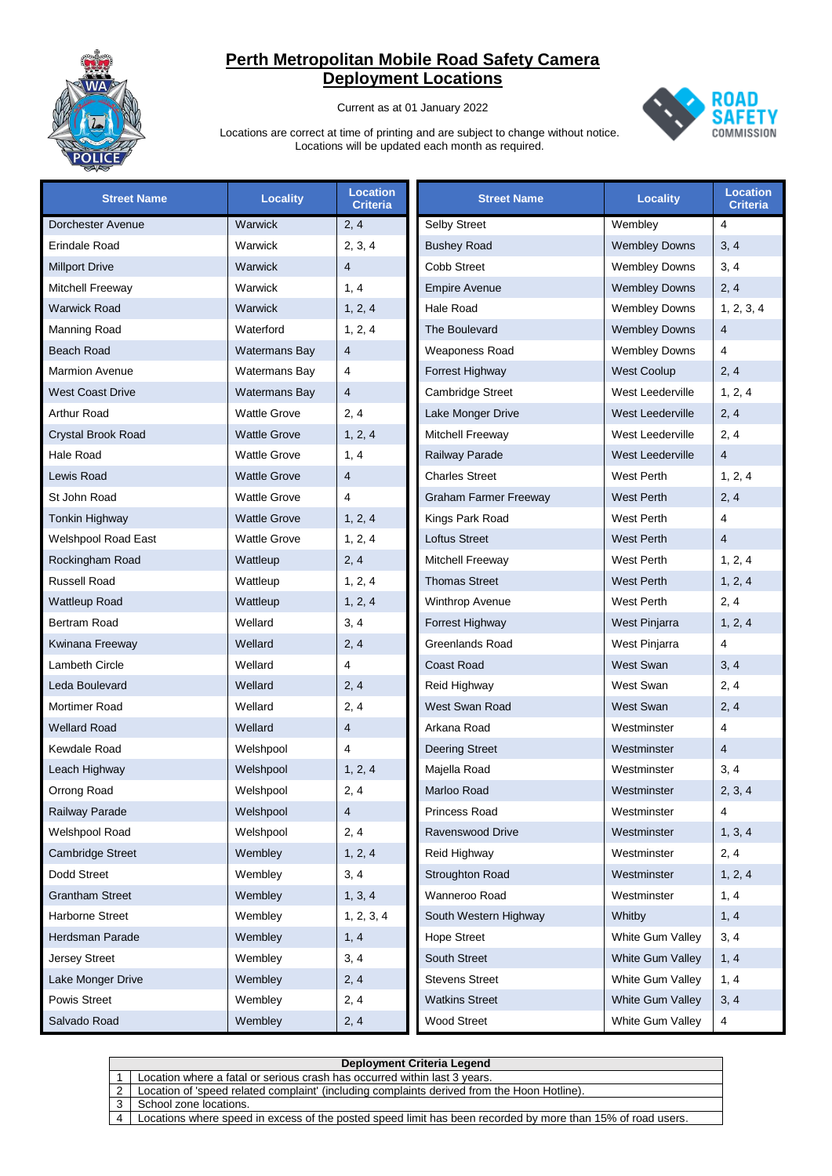

Current as at 01 January 2022



| <b>Street Name</b>         | <b>Locality</b>      | <b>Location</b><br><b>Criteria</b> | <b>Street Name</b>           | <b>Locality</b>         | <b>Location</b><br>Criteria |
|----------------------------|----------------------|------------------------------------|------------------------------|-------------------------|-----------------------------|
| Dorchester Avenue          | <b>Warwick</b>       | 2, 4                               | <b>Selby Street</b>          | Wembley                 | 4                           |
| Erindale Road              | Warwick              | 2, 3, 4                            | <b>Bushey Road</b>           | <b>Wembley Downs</b>    | 3, 4                        |
| <b>Millport Drive</b>      | Warwick              | $\overline{4}$                     | Cobb Street                  | <b>Wembley Downs</b>    | 3, 4                        |
| Mitchell Freeway           | Warwick              | 1, 4                               | <b>Empire Avenue</b>         | <b>Wembley Downs</b>    | 2, 4                        |
| <b>Warwick Road</b>        | <b>Warwick</b>       | 1, 2, 4                            | Hale Road                    | <b>Wembley Downs</b>    | 1, 2, 3, 4                  |
| Manning Road               | Waterford            | 1, 2, 4                            | The Boulevard                | <b>Wembley Downs</b>    | $\overline{4}$              |
| <b>Beach Road</b>          | <b>Watermans Bay</b> | $\overline{4}$                     | Weaponess Road               | <b>Wembley Downs</b>    | 4                           |
| <b>Marmion Avenue</b>      | Watermans Bay        | 4                                  | Forrest Highway              | <b>West Coolup</b>      | 2, 4                        |
| <b>West Coast Drive</b>    | Watermans Bay        | $\overline{4}$                     | <b>Cambridge Street</b>      | West Leederville        | 1, 2, 4                     |
| Arthur Road                | <b>Wattle Grove</b>  | 2, 4                               | Lake Monger Drive            | West Leederville        | 2, 4                        |
| Crystal Brook Road         | <b>Wattle Grove</b>  | 1, 2, 4                            | Mitchell Freeway             | West Leederville        | 2, 4                        |
| Hale Road                  | <b>Wattle Grove</b>  | 1, 4                               | Railway Parade               | West Leederville        | 4                           |
| Lewis Road                 | <b>Wattle Grove</b>  | $\overline{4}$                     | <b>Charles Street</b>        | West Perth              | 1, 2, 4                     |
| St John Road               | <b>Wattle Grove</b>  | 4                                  | <b>Graham Farmer Freeway</b> | West Perth              | 2, 4                        |
| <b>Tonkin Highway</b>      | <b>Wattle Grove</b>  | 1, 2, 4                            | Kings Park Road              | West Perth              | 4                           |
| <b>Welshpool Road East</b> | <b>Wattle Grove</b>  | 1, 2, 4                            | <b>Loftus Street</b>         | <b>West Perth</b>       | $\overline{4}$              |
| Rockingham Road            | Wattleup             | 2, 4                               | Mitchell Freeway             | West Perth              | 1, 2, 4                     |
| Russell Road               | Wattleup             | 1, 2, 4                            | <b>Thomas Street</b>         | <b>West Perth</b>       | 1, 2, 4                     |
| Wattleup Road              | Wattleup             | 1, 2, 4                            | <b>Winthrop Avenue</b>       | West Perth              | 2, 4                        |
| Bertram Road               | Wellard              | 3, 4                               | Forrest Highway              | West Pinjarra           | 1, 2, 4                     |
| Kwinana Freeway            | Wellard              | 2, 4                               | Greenlands Road              | West Pinjarra           | 4                           |
| Lambeth Circle             | Wellard              | $\overline{4}$                     | <b>Coast Road</b>            | West Swan               | 3, 4                        |
| Leda Boulevard             | Wellard              | 2, 4                               | Reid Highway                 | West Swan               | 2, 4                        |
| Mortimer Road              | Wellard              | 2, 4                               | West Swan Road               | <b>West Swan</b>        | 2, 4                        |
| Wellard Road               | Wellard              | $\overline{4}$                     | Arkana Road                  | Westminster             | $\overline{4}$              |
| Kewdale Road               | Welshpool            | 4                                  | <b>Deering Street</b>        | Westminster             | $\overline{4}$              |
| Leach Highway              | Welshpool            | 1, 2, 4                            | Majella Road                 | Westminster             | 3, 4                        |
| Orrong Road                | Welshpool            | 2, 4                               | Marloo Road                  | Westminster             | 2, 3, 4                     |
| Railway Parade             | Welshpool            | 4                                  | Princess Road                | Westminster             | 4                           |
| Welshpool Road             | Welshpool            | 2, 4                               | Ravenswood Drive             | Westminster             | 1, 3, 4                     |
| <b>Cambridge Street</b>    | Wembley              | 1, 2, 4                            | Reid Highway                 | Westminster             | 2, 4                        |
| Dodd Street                | Wembley              | 3, 4                               | Stroughton Road              | Westminster             | 1, 2, 4                     |
| <b>Grantham Street</b>     | Wembley              | 1, 3, 4                            | Wanneroo Road                | Westminster             | 1, 4                        |
| Harborne Street            | Wembley              | 1, 2, 3, 4                         | South Western Highway        | Whitby                  | 1, 4                        |
| Herdsman Parade            | Wembley              | 1, 4                               | <b>Hope Street</b>           | White Gum Valley        | 3, 4                        |
| <b>Jersey Street</b>       | Wembley              | 3, 4                               | South Street                 | <b>White Gum Valley</b> | 1, 4                        |
| Lake Monger Drive          | Wembley              | 2, 4                               | <b>Stevens Street</b>        | White Gum Valley        | 1, 4                        |
| Powis Street               | Wembley              | 2, 4                               | <b>Watkins Street</b>        | White Gum Valley        | 3, 4                        |
| Salvado Road               | Wembley              | 2, 4                               | <b>Wood Street</b>           | White Gum Valley        | 4                           |

|   | Deployment Criteria Legend                                                                                  |
|---|-------------------------------------------------------------------------------------------------------------|
|   | Location where a fatal or serious crash has occurred within last 3 years.                                   |
| 2 | Location of 'speed related complaint' (including complaints derived from the Hoon Hotline).                 |
|   | School zone locations.                                                                                      |
| 4 | Locations where speed in excess of the posted speed limit has been recorded by more than 15% of road users. |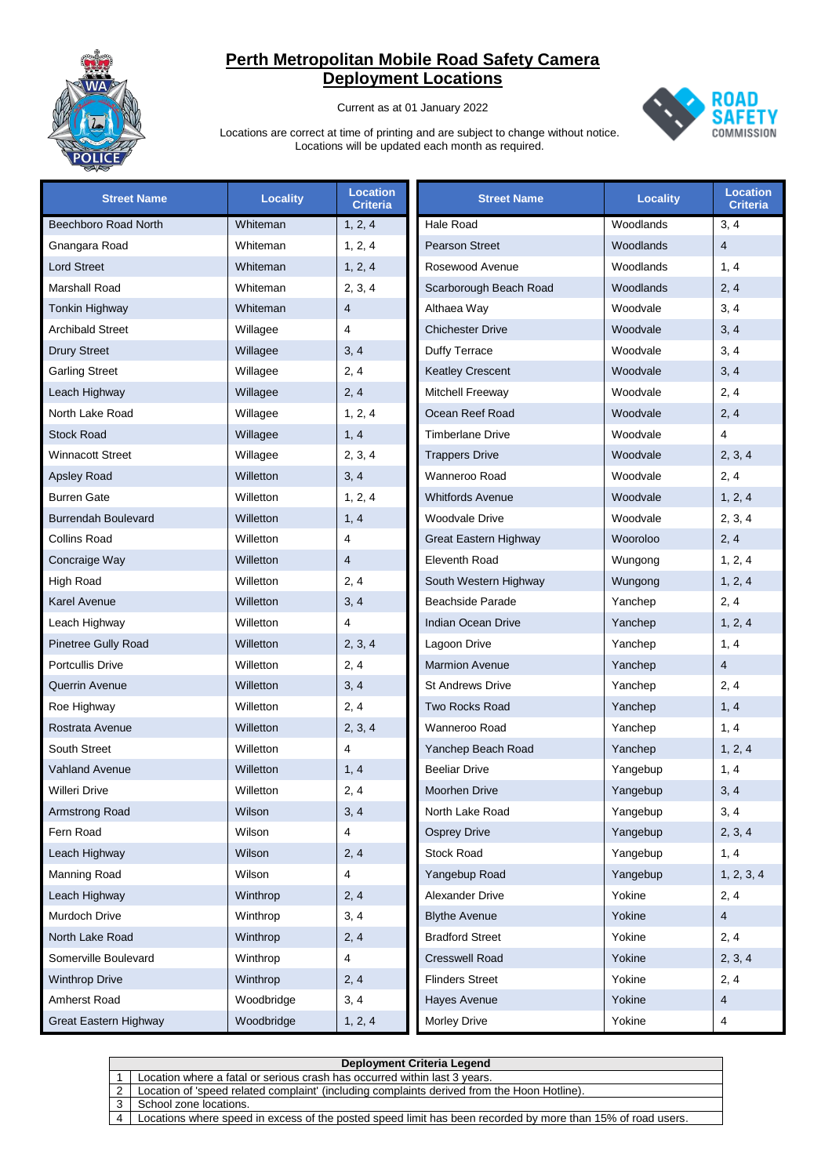

Current as at 01 January 2022



| <b>Street Name</b>         | <b>Locality</b> | <b>Location</b><br><b>Criteria</b> | <b>Street Name</b>        | <b>Locality</b> | <b>Location</b><br><b>Criteria</b> |
|----------------------------|-----------------|------------------------------------|---------------------------|-----------------|------------------------------------|
| Beechboro Road North       | Whiteman        | 1, 2, 4                            | <b>Hale Road</b>          | Woodlands       | 3, 4                               |
| Gnangara Road              | Whiteman        | 1, 2, 4                            | <b>Pearson Street</b>     | Woodlands       | $\overline{4}$                     |
| <b>Lord Street</b>         | Whiteman        | 1, 2, 4                            | Rosewood Avenue           | Woodlands       | 1, 4                               |
| <b>Marshall Road</b>       | Whiteman        | 2, 3, 4                            | Scarborough Beach Road    | Woodlands       | 2, 4                               |
| <b>Tonkin Highway</b>      | Whiteman        | $\overline{4}$                     | Althaea Way               | Woodvale        | 3, 4                               |
| <b>Archibald Street</b>    | Willagee        | 4                                  | <b>Chichester Drive</b>   | Woodvale        | 3, 4                               |
| <b>Drury Street</b>        | Willagee        | 3, 4                               | Duffy Terrace             | Woodvale        | 3, 4                               |
| <b>Garling Street</b>      | Willagee        | 2, 4                               | <b>Keatley Crescent</b>   | Woodvale        | 3, 4                               |
| Leach Highway              | Willagee        | 2, 4                               | Mitchell Freeway          | Woodvale        | 2, 4                               |
| North Lake Road            | Willagee        | 1, 2, 4                            | Ocean Reef Road           | Woodvale        | 2, 4                               |
| <b>Stock Road</b>          | Willagee        | 1, 4                               | <b>Timberlane Drive</b>   | Woodvale        | $\overline{4}$                     |
| <b>Winnacott Street</b>    | Willagee        | 2, 3, 4                            | <b>Trappers Drive</b>     | Woodvale        | 2, 3, 4                            |
| <b>Apsley Road</b>         | Willetton       | 3, 4                               | Wanneroo Road             | Woodvale        | 2, 4                               |
| <b>Burren Gate</b>         | Willetton       | 1, 2, 4                            | <b>Whitfords Avenue</b>   | Woodvale        | 1, 2, 4                            |
| <b>Burrendah Boulevard</b> | Willetton       | 1, 4                               | <b>Woodvale Drive</b>     | Woodvale        | 2, 3, 4                            |
| <b>Collins Road</b>        | Willetton       | 4                                  | Great Eastern Highway     | Wooroloo        | 2, 4                               |
| Concraige Way              | Willetton       | $\overline{4}$                     | <b>Eleventh Road</b>      | Wungong         | 1, 2, 4                            |
| <b>High Road</b>           | Willetton       | 2, 4                               | South Western Highway     | Wungong         | 1, 2, 4                            |
| <b>Karel Avenue</b>        | Willetton       | 3, 4                               | <b>Beachside Parade</b>   | Yanchep         | 2, 4                               |
| Leach Highway              | Willetton       | 4                                  | <b>Indian Ocean Drive</b> | Yanchep         | 1, 2, 4                            |
| <b>Pinetree Gully Road</b> | Willetton       | 2, 3, 4                            | Lagoon Drive              | Yanchep         | 1, 4                               |
| <b>Portcullis Drive</b>    | Willetton       | 2, 4                               | <b>Marmion Avenue</b>     | Yanchep         | $\overline{4}$                     |
| <b>Querrin Avenue</b>      | Willetton       | 3, 4                               | <b>St Andrews Drive</b>   | Yanchep         | 2, 4                               |
| Roe Highway                | Willetton       | 2, 4                               | <b>Two Rocks Road</b>     | Yanchep         | 1, 4                               |
| Rostrata Avenue            | Willetton       | 2, 3, 4                            | Wanneroo Road             | Yanchep         | 1, 4                               |
| South Street               | Willetton       | 4                                  | Yanchep Beach Road        | Yanchep         | 1, 2, 4                            |
| <b>Vahland Avenue</b>      | Willetton       | 1, 4                               | <b>Beeliar Drive</b>      | Yangebup        | 1, 4                               |
| Willeri Drive              | Willetton       | 2, 4                               | <b>Moorhen Drive</b>      | Yangebup        | 3, 4                               |
| Armstrong Road             | Wilson          | 3, 4                               | North Lake Road           | Yangebup        | 3, 4                               |
| Fern Road                  | Wilson          | 4                                  | <b>Osprey Drive</b>       | Yangebup        | 2, 3, 4                            |
| Leach Highway              | Wilson          | 2, 4                               | <b>Stock Road</b>         | Yangebup        | 1, 4                               |
| Manning Road               | Wilson          | 4                                  | Yangebup Road             | Yangebup        | 1, 2, 3, 4                         |
| Leach Highway              | Winthrop        | 2, 4                               | Alexander Drive           | Yokine          | 2, 4                               |
| Murdoch Drive              | Winthrop        | 3, 4                               | <b>Blythe Avenue</b>      | Yokine          | $\overline{4}$                     |
| North Lake Road            | Winthrop        | 2, 4                               | <b>Bradford Street</b>    | Yokine          | 2, 4                               |
| Somerville Boulevard       | Winthrop        | 4                                  | <b>Cresswell Road</b>     | Yokine          | 2, 3, 4                            |
| <b>Winthrop Drive</b>      | Winthrop        | 2, 4                               | <b>Flinders Street</b>    | Yokine          | 2, 4                               |
| Amherst Road               | Woodbridge      | 3, 4                               | Hayes Avenue              | Yokine          | 4                                  |
| Great Eastern Highway      | Woodbridge      | 1, 2, 4                            | Morley Drive              | Yokine          | 4                                  |

| Deployment Criteria Legend |                                                                                                             |  |  |  |
|----------------------------|-------------------------------------------------------------------------------------------------------------|--|--|--|
|                            | Location where a fatal or serious crash has occurred within last 3 years.                                   |  |  |  |
|                            | Location of 'speed related complaint' (including complaints derived from the Hoon Hotline).                 |  |  |  |
|                            | School zone locations.                                                                                      |  |  |  |
|                            | Locations where speed in excess of the posted speed limit has been recorded by more than 15% of road users. |  |  |  |